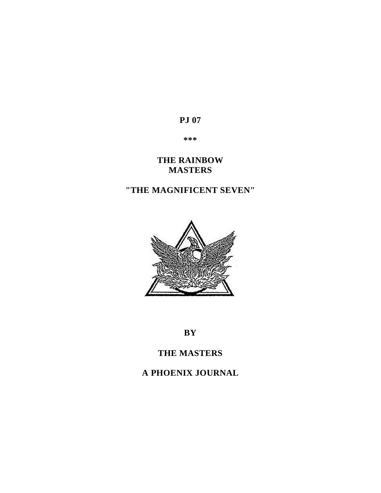**PJ 07**

**\*\*\***

**THE RAINBOW MASTERS** 

# **"THE MAGNIFICENT SEVEN"**



**BY**

# **THE MASTERS**

# **A PHOENIX JOURNAL**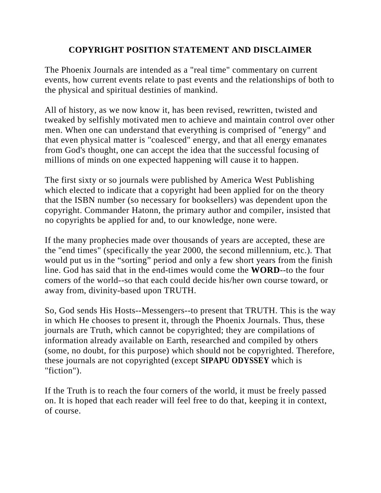## **COPYRIGHT POSITION STATEMENT AND DISCLAIMER**

The Phoenix Journals are intended as a "real time" commentary on current events, how current events relate to past events and the relationships of both to the physical and spiritual destinies of mankind.

All of history, as we now know it, has been revised, rewritten, twisted and tweaked by selfishly motivated men to achieve and maintain control over other men. When one can understand that everything is comprised of "energy" and that even physical matter is "coalesced" energy, and that all energy emanates from God's thought, one can accept the idea that the successful focusing of millions of minds on one expected happening will cause it to happen.

The first sixty or so journals were published by America West Publishing which elected to indicate that a copyright had been applied for on the theory that the ISBN number (so necessary for booksellers) was dependent upon the copyright. Commander Hatonn, the primary author and compiler, insisted that no copyrights be applied for and, to our knowledge, none were.

If the many prophecies made over thousands of years are accepted, these are the "end times" (specifically the year 2000, the second millennium, etc.). That would put us in the "sorting" period and only a few short years from the finish line. God has said that in the end-times would come the **WORD**--to the four comers of the world--so that each could decide his/her own course toward, or away from, divinity-based upon TRUTH.

So, God sends His Hosts--Messengers--to present that TRUTH. This is the way in which He chooses to present it, through the Phoenix Journals. Thus, these journals are Truth, which cannot be copyrighted; they are compilations of information already available on Earth, researched and compiled by others (some, no doubt, for this purpose) which should not be copyrighted. Therefore, these journals are not copyrighted (except **SIPAPU ODYSSEY** which is "fiction").

If the Truth is to reach the four corners of the world, it must be freely passed on. It is hoped that each reader will feel free to do that, keeping it in context, of course.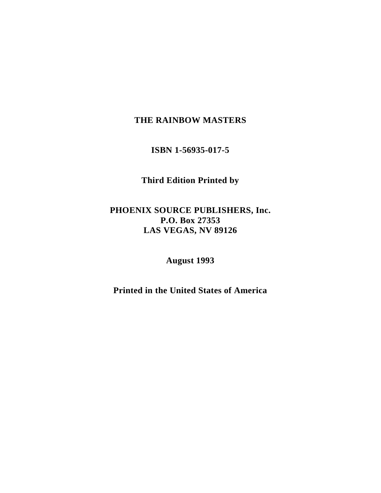### **THE RAINBOW MASTERS**

**ISBN 1-56935-017-5**

**Third Edition Printed by** 

## **PHOENIX SOURCE PUBLISHERS, Inc. P.O. Box 27353 LAS VEGAS, NV 89126**

**August 1993**

**Printed in the United States of America**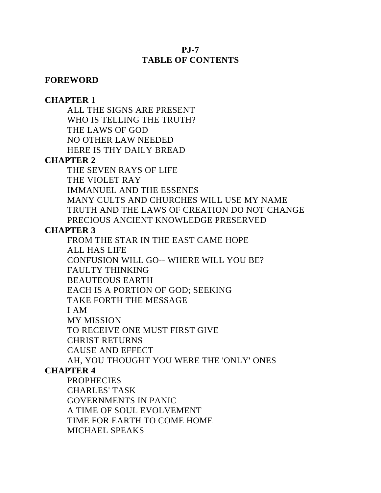## **PJ-7 TABLE OF CONTENTS**

#### **FOREWORD**

#### **CHAPTER 1**

ALL THE SIGNS ARE PRESENT WHO IS TELLING THE TRUTH? THE LAWS OF GOD NO OTHER LAW NEEDED HERE IS THY DAILY BREAD

#### **CHAPTER 2**

THE SEVEN RAYS OF LIFE THE VIOLET RAY IMMANUEL AND THE ESSENES MANY CULTS AND CHURCHES WILL USE MY NAME TRUTH AND THE LAWS OF CREATION DO NOT CHANGE PRECIOUS ANCIENT KNOWLEDGE PRESERVED

#### **CHAPTER 3**

FROM THE STAR IN THE EAST CAME HOPE ALL HAS LIFE CONFUSION WILL GO-- WHERE WILL YOU BE? FAULTY THINKING BEAUTEOUS EARTH EACH IS A PORTION OF GOD; SEEKING TAKE FORTH THE MESSAGE I AM MY MISSION TO RECEIVE ONE MUST FIRST GIVE CHRIST RETURNS CAUSE AND EFFECT

AH, YOU THOUGHT YOU WERE THE 'ONLY' ONES

# **CHAPTER 4**

**PROPHECIES** CHARLES' TASK GOVERNMENTS IN PANIC A TIME OF SOUL EVOLVEMENT TIME FOR EARTH TO COME HOME MICHAEL SPEAKS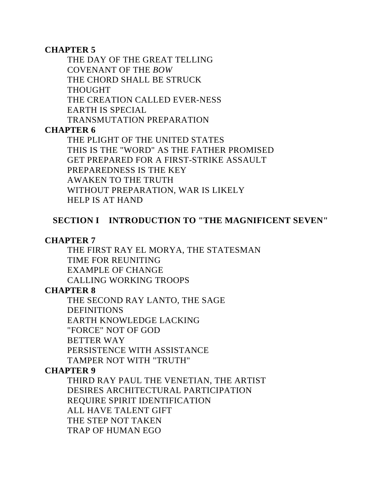#### **CHAPTER 5**

THE DAY OF THE GREAT TELLING COVENANT OF THE *BOW* THE CHORD SHALL BE STRUCK THOUGHT THE CREATION CALLED EVER-NESS EARTH IS SPECIAL TRANSMUTATION PREPARATION

#### **CHAPTER 6**

THE PLIGHT OF THE UNITED STATES THIS IS THE "WORD" AS THE FATHER PROMISED GET PREPARED FOR A FIRST-STRIKE ASSAULT PREPAREDNESS IS THE KEY AWAKEN TO THE TRUTH WITHOUT PREPARATION, WAR IS LIKELY HELP IS AT HAND

### **SECTION I INTRODUCTION TO "THE MAGNIFICENT SEVEN"**

### **CHAPTER 7**

THE FIRST RAY EL MORYA, THE STATESMAN TIME FOR REUNITING EXAMPLE OF CHANGE CALLING WORKING TROOPS

#### **CHAPTER 8**

THE SECOND RAY LANTO, THE SAGE **DEFINITIONS** EARTH KNOWLEDGE LACKING "FORCE" NOT OF GOD BETTER WAY PERSISTENCE WITH ASSISTANCE TAMPER NOT WITH "TRUTH"

### **CHAPTER 9**

THIRD RAY PAUL THE VENETIAN, THE ARTIST DESIRES ARCHITECTURAL PARTICIPATION REQUIRE SPIRIT IDENTIFICATION ALL HAVE TALENT GIFT THE STEP NOT TAKEN TRAP OF HUMAN EGO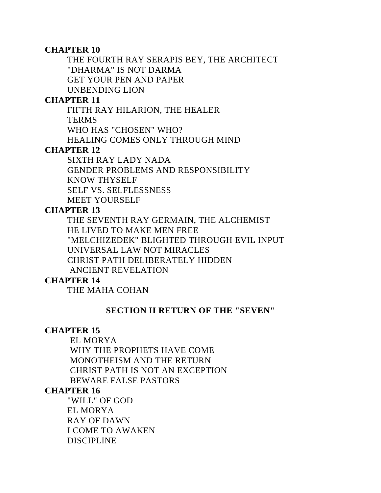**CHAPTER 10**

THE FOURTH RAY SERAPIS BEY, THE ARCHITECT "DHARMA" IS NOT DARMA GET YOUR PEN AND PAPER UNBENDING LION

### **CHAPTER 11**

FIFTH RAY HILARION, THE HEALER TERMS WHO HAS "CHOSEN" WHO? HEALING COMES ONLY THROUGH MIND

### **CHAPTER 12**

SIXTH RAY LADY NADA GENDER PROBLEMS AND RESPONSIBILITY KNOW THYSELF SELF VS. SELFLESSNESS MEET YOURSELF

## **CHAPTER 13**

THE SEVENTH RAY GERMAIN, THE ALCHEMIST HE LIVED TO MAKE MEN FREE "MELCHIZEDEK" BLIGHTED THROUGH EVIL INPUT UNIVERSAL LAW NOT MIRACLES CHRIST PATH DELIBERATELY HIDDEN ANCIENT REVELATION

### **CHAPTER 14**

THE MAHA COHAN

### **SECTION II RETURN OF THE "SEVEN"**

#### **CHAPTER 15**

EL MORYA WHY THE PROPHETS HAVE COME MONOTHEISM AND THE RETURN CHRIST PATH IS NOT AN EXCEPTION BEWARE FALSE PASTORS

#### **CHAPTER 16**

"WILL" OF GOD EL MORYA RAY OF DAWN I COME TO AWAKEN DISCIPLINE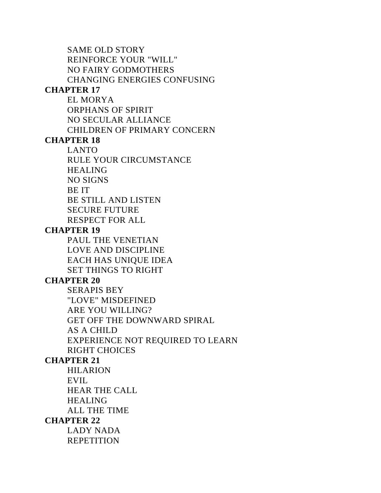SAME OLD STORY REINFORCE YOUR "WILL" NO FAIRY GODMOTHERS CHANGING ENERGIES CONFUSING

## **CHAPTER 17**

EL MORYA ORPHANS OF SPIRIT NO SECULAR ALLIANCE CHILDREN OF PRIMARY CONCERN

## **CHAPTER 18**

LANTO RULE YOUR CIRCUMSTANCE HEALING NO SIGNS BE IT BE STILL AND LISTEN SECURE FUTURE RESPECT FOR ALL

## **CHAPTER 19**

PAUL THE VENETIAN LOVE AND DISCIPLINE EACH HAS UNIQUE IDEA SET THINGS TO RIGHT

## **CHAPTER 20**

SERAPIS BEY "LOVE" MISDEFINED ARE YOU WILLING? GET OFF THE DOWNWARD SPIRAL AS A CHILD EXPERIENCE NOT REQUIRED TO LEARN RIGHT CHOICES

## **CHAPTER 21**

HILARION EVIL HEAR THE CALL **HEALING** ALL THE TIME **CHAPTER 22** LADY NADA

**REPETITION**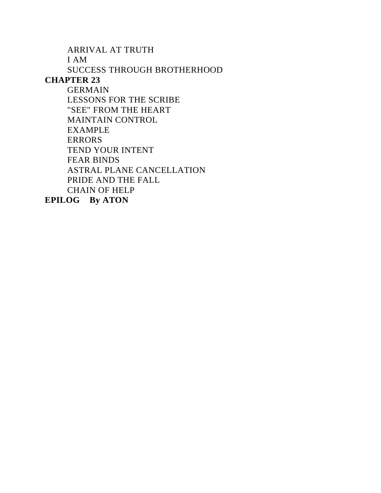ARRIVAL AT TRUTH I AM

SUCCESS THROUGH BROTHERHOOD

# **CHAPTER 23**

**GERMAIN** LESSONS FOR THE SCRIBE "SEE" FROM THE HEART MAINTAIN CONTROL EXAMPLE ERRORS TEND YOUR INTENT FEAR BINDS ASTRAL PLANE CANCELLATION PRIDE AND THE FALL CHAIN OF HELP **EPILOG By ATON**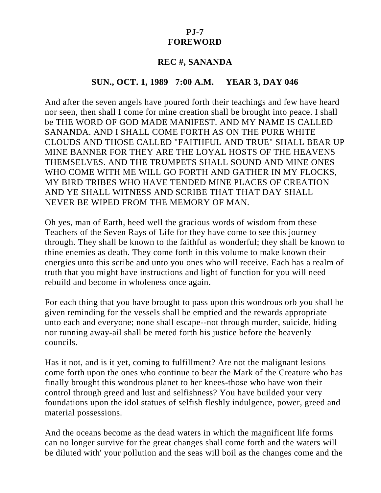## **PJ-7 FOREWORD**

### **REC #, SANANDA**

### **SUN., OCT. 1, 1989 7:00 A.M. YEAR 3, DAY 046**

And after the seven angels have poured forth their teachings and few have heard nor seen, then shall I come for mine creation shall be brought into peace. I shall be THE WORD OF GOD MADE MANIFEST. AND MY NAME IS CALLED SANANDA. AND I SHALL COME FORTH AS ON THE PURE WHITE CLOUDS AND THOSE CALLED "FAITHFUL AND TRUE" SHALL BEAR UP MINE BANNER FOR THEY ARE THE LOYAL HOSTS OF THE HEAVENS THEMSELVES. AND THE TRUMPETS SHALL SOUND AND MINE ONES WHO COME WITH ME WILL GO FORTH AND GATHER IN MY FLOCKS, MY BIRD TRIBES WHO HAVE TENDED MINE PLACES OF CREATION AND YE SHALL WITNESS AND SCRIBE THAT THAT DAY SHALL NEVER BE WIPED FROM THE MEMORY OF MAN.

Oh yes, man of Earth, heed well the gracious words of wisdom from these Teachers of the Seven Rays of Life for they have come to see this journey through. They shall be known to the faithful as wonderful; they shall be known to thine enemies as death. They come forth in this volume to make known their energies unto this scribe and unto you ones who will receive. Each has a realm of truth that you might have instructions and light of function for you will need rebuild and become in wholeness once again.

For each thing that you have brought to pass upon this wondrous orb you shall be given reminding for the vessels shall be emptied and the rewards appropriate unto each and everyone; none shall escape--not through murder, suicide, hiding nor running away-ail shall be meted forth his justice before the heavenly councils.

Has it not, and is it yet, coming to fulfillment? Are not the malignant lesions come forth upon the ones who continue to bear the Mark of the Creature who has finally brought this wondrous planet to her knees-those who have won their control through greed and lust and selfishness? You have builded your very foundations upon the idol statues of selfish fleshly indulgence, power, greed and material possessions.

And the oceans become as the dead waters in which the magnificent life forms can no longer survive for the great changes shall come forth and the waters will be diluted with' your pollution and the seas will boil as the changes come and the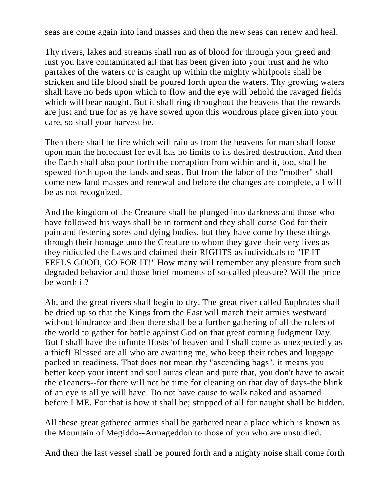seas are come again into land masses and then the new seas can renew and heal.

Thy rivers, lakes and streams shall run as of blood for through your greed and lust you have contaminated all that has been given into your trust and he who partakes of the waters or is caught up within the mighty whirlpools shall be stricken and life blood shall be poured forth upon the waters. Thy growing waters shall have no beds upon which to flow and the eye will behold the ravaged fields which will bear naught. But it shall ring throughout the heavens that the rewards are just and true for as ye have sowed upon this wondrous place given into your care, so shall your harvest be.

Then there shall be fire which will rain as from the heavens for man shall loose upon man the holocaust for evil has no limits to its desired destruction. And then the Earth shall also pour forth the corruption from within and it, too, shall be spewed forth upon the lands and seas. But from the labor of the "mother" shall come new land masses and renewal and before the changes are complete, all will be as not recognized.

And the kingdom of the Creature shall be plunged into darkness and those who have followed his ways shall be in torment and they shall curse God for their pain and festering sores and dying bodies, but they have come by these things through their homage unto the Creature to whom they gave their very lives as they ridiculed the Laws and claimed their RIGHTS as individuals to "IF IT FEELS GOOD, GO FOR IT!" How many will remember any pleasure from such degraded behavior and those brief moments of so-called pleasure? Will the price be worth it?

Ah, and the great rivers shall begin to dry. The great river called Euphrates shall be dried up so that the Kings from the East will march their armies westward without hindrance and then there shall be a further gathering of all the rulers of the world to gather for battle against God on that great coming Judgment Day. But I shall have the infinite Hosts 'of heaven and I shall come as unexpectedly as a thief! Blessed are all who are awaiting me, who keep their robes and luggage packed in readiness. That does not mean thy "ascending bags", it means you better keep your intent and soul auras clean and pure that, you don't have to await the c1eaners--for there will not be time for cleaning on that day of days-the blink of an eye is all ye will have. Do not have cause to walk naked and ashamed before I ME. For that is how it shall be; stripped of all for naught shall be hidden.

All these great gathered armies shall be gathered near a place which is known as the Mountain of Megiddo--Armageddon to those of you who are unstudied.

And then the last vessel shall be poured forth and a mighty noise shall come forth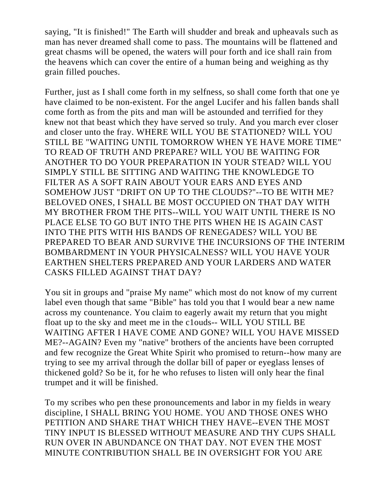saying, "It is finished!" The Earth will shudder and break and upheavals such as man has never dreamed shall come to pass. The mountains will be flattened and great chasms will be opened, the waters will pour forth and ice shall rain from the heavens which can cover the entire of a human being and weighing as thy grain filled pouches.

Further, just as I shall come forth in my selfness, so shall come forth that one ye have claimed to be non-existent. For the angel Lucifer and his fallen bands shall come forth as from the pits and man will be astounded and terrified for they knew not that beast which they have served so truly. And you march ever closer and closer unto the fray. WHERE WILL YOU BE STATIONED? WILL YOU STILL BE "WAITING UNTIL TOMORROW WHEN YE HAVE MORE TIME" TO READ OF TRUTH AND PREPARE? WILL YOU BE WAITING FOR ANOTHER TO DO YOUR PREPARATION IN YOUR STEAD? WILL YOU SIMPLY STILL BE SITTING AND WAITING THE KNOWLEDGE TO FILTER AS A SOFT RAIN ABOUT YOUR EARS AND EYES AND SOMEHOW JUST "DRIFT ON UP TO THE CLOUDS?"--TO BE WITH ME? BELOVED ONES, I SHALL BE MOST OCCUPIED ON THAT DAY WITH MY BROTHER FROM THE PITS--WILL YOU WAIT UNTIL THERE IS NO PLACE ELSE TO GO BUT INTO THE PITS WHEN HE IS AGAIN CAST INTO THE PITS WITH HIS BANDS OF RENEGADES? WILL YOU BE PREPARED TO BEAR AND SURVIVE THE INCURSIONS OF THE INTERIM BOMBARDMENT IN YOUR PHYSICALNESS? WILL YOU HAVE YOUR EARTHEN SHELTERS PREPARED AND YOUR LARDERS AND WATER CASKS FILLED AGAINST THAT DAY?

You sit in groups and "praise My name" which most do not know of my current label even though that same "Bible" has told you that I would bear a new name across my countenance. You claim to eagerly await my return that you might float up to the sky and meet me in the c1ouds-- WILL YOU STILL BE WAITING AFTER I HAVE COME AND GONE? WILL YOU HAVE MISSED ME?--AGAIN? Even my "native" brothers of the ancients have been corrupted and few recognize the Great White Spirit who promised to return--how many are trying to see my arrival through the dollar bill of paper or eyeglass lenses of thickened gold? So be it, for he who refuses to listen will only hear the final trumpet and it will be finished.

To my scribes who pen these pronouncements and labor in my fields in weary discipline, I SHALL BRING YOU HOME. YOU AND THOSE ONES WHO PETITION AND SHARE THAT WHICH THEY HAVE--EVEN THE MOST TINY INPUT IS BLESSED WITHOUT MEASURE AND THY CUPS SHALL RUN OVER IN ABUNDANCE ON THAT DAY. NOT EVEN THE MOST MINUTE CONTRIBUTION SHALL BE IN OVERSIGHT FOR YOU ARE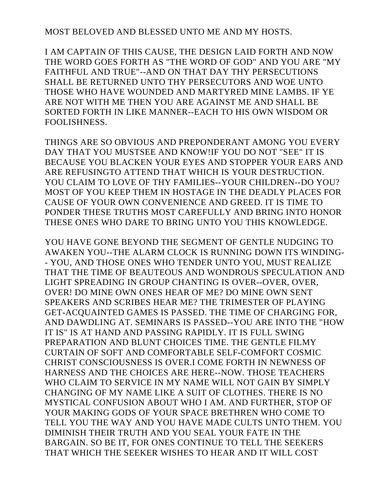## MOST BELOVED AND BLESSED UNTO ME AND MY HOSTS.

I AM CAPTAIN OF THIS CAUSE, THE DESIGN LAID FORTH AND NOW THE WORD GOES FORTH AS "THE WORD OF GOD" AND YOU ARE "MY FAITHFUL AND TRUE"--AND ON THAT DAY THY PERSECUTIONS SHALL BE RETURNED UNTO THY PERSECUTORS AND WOE UNTO THOSE WHO HAVE WOUNDED AND MARTYRED MINE LAMBS. IF YE ARE NOT WITH ME THEN YOU ARE AGAINST ME AND SHALL BE SORTED FORTH IN LIKE MANNER--EACH TO HIS OWN WISDOM OR FOOLISHNESS.

THINGS ARE SO OBVIOUS AND PREPONDERANT AMONG YOU EVERY DAY THAT YOU MUSTSEE AND KNOW!IF YOU DO NOT "SEE" IT IS BECAUSE YOU BLACKEN YOUR EYES AND STOPPER YOUR EARS AND ARE REFUSINGTO ATTEND THAT WHICH IS YOUR DESTRUCTION. YOU CLAIM TO LOVE OF THY FAMILIES--YOUR CHILDREN--DO YOU? MOST OF YOU KEEP THEM IN HOSTAGE IN THE DEADLY PLACES FOR CAUSE OF YOUR OWN CONVENIENCE AND GREED. IT IS TIME TO PONDER THESE TRUTHS MOST CAREFULLY AND BRING INTO HONOR THESE ONES WHO DARE TO BRING UNTO YOU THIS KNOWLEDGE.

YOU HAVE GONE BEYOND THE SEGMENT OF GENTLE NUDGING TO AWAKEN YOU--THE ALARM CLOCK IS RUNNING DOWN ITS WINDING- - YOU, AND THOSE ONES WHO TENDER UNTO YOU, MUST REALIZE THAT THE TIME OF BEAUTEOUS AND WONDROUS SPECULATION AND LIGHT SPREADING IN GROUP CHANTING IS OVER--OVER, OVER, OVER! DO MINE OWN ONES HEAR OF ME? DO MINE OWN SENT SPEAKERS AND SCRIBES HEAR ME? THE TRIMESTER OF PLAYING GET-ACQUAINTED GAMES IS PASSED. THE TIME OF CHARGING FOR, AND DAWDLING AT. SEMINARS IS PASSED--YOU ARE INTO THE "HOW IT IS" IS AT HAND AND PASSING RAPIDLY. IT IS FULL SWING PREPARATION AND BLUNT CHOICES TIME. THE GENTLE FILMY CURTAIN OF SOFT AND COMFORTABLE SELF-COMFORT COSMIC CHRIST CONSCIOUSNESS IS OVER.I COME FORTH IN NEWNESS OF HARNESS AND THE CHOICES ARE HERE--NOW. THOSE TEACHERS WHO CLAIM TO SERVICE IN MY NAME WILL NOT GAIN BY SIMPLY CHANGING OF MY NAME LIKE A SUIT OF CLOTHES. THERE IS NO MYSTICAL CONFUSION ABOUT WHO I AM. AND FURTHER, STOP OF YOUR MAKING GODS OF YOUR SPACE BRETHREN WHO COME TO TELL YOU THE WAY AND YOU HAVE MADE CULTS UNTO THEM. YOU DIMINISH THEIR TRUTH AND YOU SEAL YOUR FATE IN THE BARGAIN. SO BE IT, FOR ONES CONTINUE TO TELL THE SEEKERS THAT WHICH THE SEEKER WISHES TO HEAR AND IT WILL COST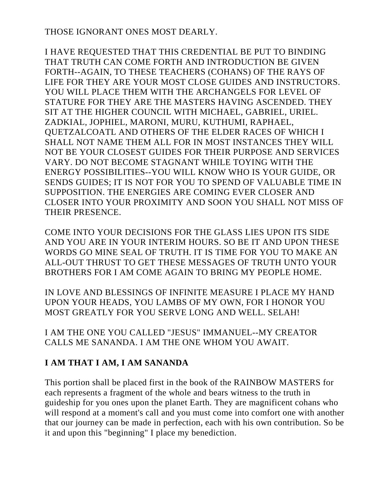THOSE IGNORANT ONES MOST DEARLY.

I HAVE REQUESTED THAT THIS CREDENTIAL BE PUT TO BINDING THAT TRUTH CAN COME FORTH AND INTRODUCTION BE GIVEN FORTH--AGAIN, TO THESE TEACHERS (COHANS) OF THE RAYS OF LIFE FOR THEY ARE YOUR MOST CLOSE GUIDES AND INSTRUCTORS. YOU WILL PLACE THEM WITH THE ARCHANGELS FOR LEVEL OF STATURE FOR THEY ARE THE MASTERS HAVING ASCENDED. THEY SIT AT THE HIGHER COUNCIL WITH MICHAEL, GABRIEL, URIEL. ZADKIAL, JOPHIEL, MARONI, MURU, KUTHUMI, RAPHAEL, QUETZALCOATL AND OTHERS OF THE ELDER RACES OF WHICH I SHALL NOT NAME THEM ALL FOR IN MOST INSTANCES THEY WILL NOT BE YOUR CLOSEST GUIDES FOR THEIR PURPOSE AND SERVICES VARY. DO NOT BECOME STAGNANT WHILE TOYING WITH THE ENERGY POSSIBILITIES--YOU WILL KNOW WHO IS YOUR GUIDE, OR SENDS GUIDES; IT IS NOT FOR YOU TO SPEND OF VALUABLE TIME IN SUPPOSITION. THE ENERGIES ARE COMING EVER CLOSER AND CLOSER INTO YOUR PROXIMITY AND SOON YOU SHALL NOT MISS OF THEIR PRESENCE.

COME INTO YOUR DECISIONS FOR THE GLASS LIES UPON ITS SIDE AND YOU ARE IN YOUR INTERIM HOURS. SO BE IT AND UPON THESE WORDS GO MINE SEAL OF TRUTH. IT IS TIME FOR YOU TO MAKE AN ALL-OUT THRUST TO GET THESE MESSAGES OF TRUTH UNTO YOUR BROTHERS FOR I AM COME AGAIN TO BRING MY PEOPLE HOME.

IN LOVE AND BLESSINGS OF INFINITE MEASURE I PLACE MY HAND UPON YOUR HEADS, YOU LAMBS OF MY OWN, FOR I HONOR YOU MOST GREATLY FOR YOU SERVE LONG AND WELL. SELAH!

I AM THE ONE YOU CALLED "JESUS" IMMANUEL--MY CREATOR CALLS ME SANANDA. I AM THE ONE WHOM YOU AWAIT.

# **I AM THAT I AM, I AM SANANDA**

This portion shall be placed first in the book of the RAINBOW MASTERS for each represents a fragment of the whole and bears witness to the truth in guideship for you ones upon the planet Earth. They are magnificent cohans who will respond at a moment's call and you must come into comfort one with another that our journey can be made in perfection, each with his own contribution. So be it and upon this "beginning" I place my benediction.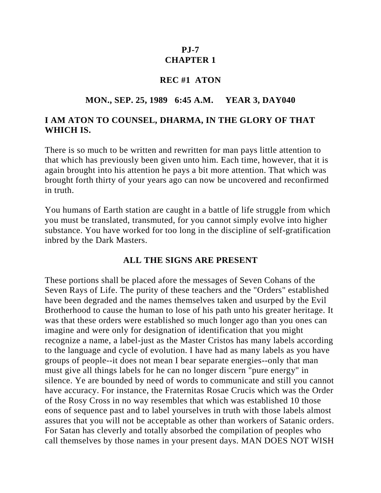## **PJ-7 CHAPTER 1**

### **REC #1 ATON**

#### **MON., SEP. 25, 1989 6:45 A.M. YEAR 3, DAY040**

## **I AM ATON TO COUNSEL, DHARMA, IN THE GLORY OF THAT WHICH IS.**

There is so much to be written and rewritten for man pays little attention to that which has previously been given unto him. Each time, however, that it is again brought into his attention he pays a bit more attention. That which was brought forth thirty of your years ago can now be uncovered and reconfirmed in truth.

You humans of Earth station are caught in a battle of life struggle from which you must be translated, transmuted, for you cannot simply evolve into higher substance. You have worked for too long in the discipline of self-gratification inbred by the Dark Masters.

### **ALL THE SIGNS ARE PRESENT**

These portions shall be placed afore the messages of Seven Cohans of the Seven Rays of Life. The purity of these teachers and the "Orders" established have been degraded and the names themselves taken and usurped by the Evil Brotherhood to cause the human to lose of his path unto his greater heritage. It was that these orders were established so much longer ago than you ones can imagine and were only for designation of identification that you might recognize a name, a label-just as the Master Cristos has many labels according to the language and cycle of evolution. I have had as many labels as you have groups of people--it does not mean I bear separate energies--only that man must give all things labels for he can no longer discern "pure energy" in silence. Ye are bounded by need of words to communicate and still you cannot have accuracy. For instance, the Fraternitas Rosae Crucis which was the Order of the Rosy Cross in no way resembles that which was established 10 those eons of sequence past and to label yourselves in truth with those labels almost assures that you will not be acceptable as other than workers of Satanic orders. For Satan has cleverly and totally absorbed the compilation of peoples who call themselves by those names in your present days. MAN DOES NOT WISH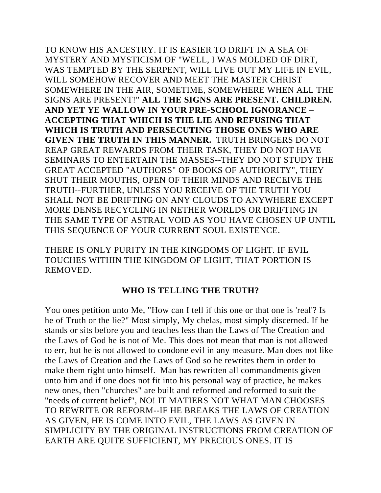TO KNOW HIS ANCESTRY. IT IS EASIER TO DRIFT IN A SEA OF MYSTERY AND MYSTICISM OF "WELL, I WAS MOLDED OF DIRT, WAS TEMPTED BY THE SERPENT, WILL LIVE OUT MY LIFE IN EVIL, WILL SOMEHOW RECOVER AND MEET THE MASTER CHRIST SOMEWHERE IN THE AIR, SOMETIME, SOMEWHERE WHEN ALL THE SIGNS ARE PRESENT!" **ALL THE SIGNS ARE PRESENT. CHILDREN. AND YET YE WALLOW IN YOUR PRE-SCHOOL IGNORANCE – ACCEPTING THAT WHICH IS THE LIE AND REFUSING THAT WHICH IS TRUTH AND PERSECUTING THOSE ONES WHO ARE GIVEN THE TRUTH IN THIS MANNER.** TRUTH BRINGERS DO NOT REAP GREAT REWARDS FROM THEIR TASK, THEY DO NOT HAVE SEMINARS TO ENTERTAIN THE MASSES--THEY DO NOT STUDY THE GREAT ACCEPTED "AUTHORS" OF BOOKS OF AUTHORITY", THEY SHUT THEIR MOUTHS, OPEN OF THEIR MINDS AND RECEIVE THE TRUTH--FURTHER, UNLESS YOU RECEIVE OF THE TRUTH YOU SHALL NOT BE DRIFTING ON ANY CLOUDS TO ANYWHERE EXCEPT MORE DENSE RECYCLING IN NETHER WORLDS OR DRIFTING IN THE SAME TYPE OF ASTRAL VOID AS YOU HAVE CHOSEN UP UNTIL THIS SEQUENCE OF YOUR CURRENT SOUL EXISTENCE.

THERE IS ONLY PURITY IN THE KINGDOMS OF LIGHT. IF EVIL TOUCHES WITHIN THE KINGDOM OF LIGHT, THAT PORTION IS REMOVED.

#### **WHO IS TELLING THE TRUTH?**

You ones petition unto Me, "How can I tell if this one or that one is 'real'? Is he of Truth or the lie?" Most simply, My chelas, most simply discerned. If he stands or sits before you and teaches less than the Laws of The Creation and the Laws of God he is not of Me. This does not mean that man is not allowed to err, but he is not allowed to condone evil in any measure. Man does not like the Laws of Creation and the Laws of God so he rewrites them in order to make them right unto himself. Man has rewritten all commandments given unto him and if one does not fit into his personal way of practice, he makes new ones, then "churches" are built and reformed and reformed to suit the "needs of current belief", NO! IT MATIERS NOT WHAT MAN CHOOSES TO REWRITE OR REFORM--IF HE BREAKS THE LAWS OF CREATION AS GIVEN, HE IS COME INTO EVIL, THE LAWS AS GIVEN IN SIMPLICITY BY THE ORIGINAL INSTRUCTIONS FROM CREATION OF EARTH ARE QUITE SUFFICIENT, MY PRECIOUS ONES. IT IS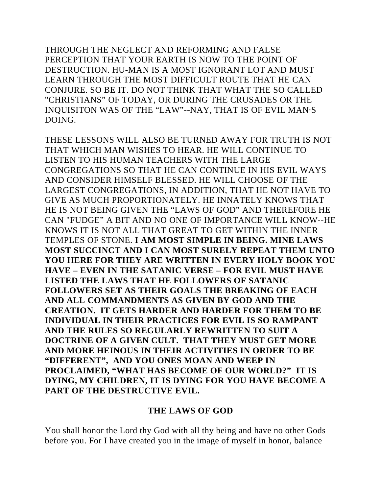THROUGH THE NEGLECT AND REFORMING AND FALSE PERCEPTION THAT YOUR EARTH IS NOW TO THE POINT OF DESTRUCTION. HU-MAN IS A MOST IGNORANT LOT AND MUST LEARN THROUGH THE MOST DIFFICULT ROUTE THAT HE CAN CONJURE. SO BE IT. DO NOT THINK THAT WHAT THE SO CALLED "CHRISTIANS" OF TODAY, OR DURING THE CRUSADES OR THE INQUISITON WAS OF THE "LAW"--NAY, THAT IS OF EVIL MAN·S DOING.

THESE LESSONS WILL ALSO BE TURNED AWAY FOR TRUTH IS NOT THAT WHICH MAN WISHES TO HEAR. HE WILL CONTINUE TO LISTEN TO HIS HUMAN TEACHERS WITH THE LARGE CONGREGATIONS SO THAT HE CAN CONTINUE IN HIS EVIL WAYS AND CONSIDER HIMSELF BLESSED. HE WILL CHOOSE OF THE LARGEST CONGREGATIONS, IN ADDITION, THAT HE NOT HAVE TO GIVE AS MUCH PROPORTIONATELY. HE INNATELY KNOWS THAT HE IS NOT BEING GIVEN THE "LAWS OF GOD" AND THEREFORE HE CAN "FUDGE" A BIT AND NO ONE OF IMPORTANCE WILL KNOW--HE KNOWS IT IS NOT ALL THAT GREAT TO GET WITHIN THE INNER TEMPLES OF STONE. **I AM MOST SIMPLE IN BEING. MINE LAWS MOST SUCCINCT AND I CAN MOST SURELY REPEAT THEM UNTO YOU HERE FOR THEY ARE WRITTEN IN EVERY HOLY BOOK YOU HAVE – EVEN IN THE SATANIC VERSE – FOR EVIL MUST HAVE LISTED THE LAWS THAT HE FOLLOWERS OF SATANIC FOLLOWERS SET AS THEIR GOALS THE BREAKING OF EACH AND ALL COMMANDMENTS AS GIVEN BY GOD AND THE CREATION. IT GETS HARDER AND HARDER FOR THEM TO BE INDIVIDUAL IN THEIR PRACTICES FOR EVIL IS SO RAMPANT AND THE RULES SO REGULARLY REWRITTEN TO SUIT A DOCTRINE OF A GIVEN CULT. THAT THEY MUST GET MORE AND MORE HEINOUS IN THEIR ACTIVITIES IN ORDER TO BE "DIFFERENT", AND YOU ONES MOAN AND WEEP IN PROCLAIMED, "WHAT HAS BECOME OF OUR WORLD?" IT IS DYING, MY CHILDREN, IT IS DYING FOR YOU HAVE BECOME A PART OF THE DESTRUCTIVE EVIL.**

### **THE LAWS OF GOD**

You shall honor the Lord thy God with all thy being and have no other Gods before you. For I have created you in the image of myself in honor, balance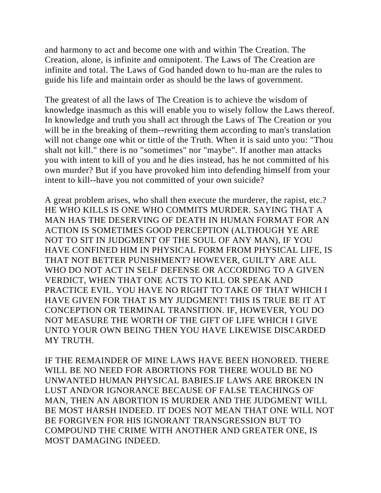and harmony to act and become one with and within The Creation. The Creation, alone, is infinite and omnipotent. The Laws of The Creation are infinite and total. The Laws of God handed down to hu-man are the rules to guide his life and maintain order as should be the laws of government.

The greatest of all the laws of The Creation is to achieve the wisdom of knowledge inasmuch as this will enable you to wisely follow the Laws thereof. In knowledge and truth you shall act through the Laws of The Creation or you will be in the breaking of them--rewriting them according to man's translation will not change one whit or tittle of the Truth. When it is said unto you: "Thou shalt not kill." there is no "sometimes" nor "maybe". If another man attacks you with intent to kill of you and he dies instead, has he not committed of his own murder? But if you have provoked him into defending himself from your intent to kill--have you not committed of your own suicide?

A great problem arises, who shall then execute the murderer, the rapist, etc.? HE WHO KILLS IS ONE WHO COMMITS MURDER. SAYING THAT A MAN HAS THE DESERVING OF DEATH IN HUMAN FORMAT FOR AN ACTION IS SOMETIMES GOOD PERCEPTION (ALTHOUGH YE ARE NOT TO SIT IN JUDGMENT OF THE SOUL OF ANY MAN), IF YOU HAVE CONFINED HIM IN PHYSICAL FORM FROM PHYSICAL LIFE, IS THAT NOT BETTER PUNISHMENT? HOWEVER, GUILTY ARE ALL WHO DO NOT ACT IN SELF DEFENSE OR ACCORDING TO A GIVEN VERDICT, WHEN THAT ONE ACTS TO KILL OR SPEAK AND PRACTICE EVIL. YOU HAVE NO RIGHT TO TAKE OF THAT WHICH I HAVE GIVEN FOR THAT IS MY JUDGMENT! THIS IS TRUE BE IT AT CONCEPTION OR TERMINAL TRANSITION. IF, HOWEVER, YOU DO NOT MEASURE THE WORTH OF THE GIFT OF LIFE WHICH I GIVE UNTO YOUR OWN BEING THEN YOU HAVE LIKEWISE DISCARDED MY TRUTH.

IF THE REMAINDER OF MINE LAWS HAVE BEEN HONORED. THERE WILL BE NO NEED FOR ABORTIONS FOR THERE WOULD BE NO UNWANTED HUMAN PHYSICAL BABIES.IF LAWS ARE BROKEN IN LUST AND/OR IGNORANCE BECAUSE OF FALSE TEACHINGS OF MAN, THEN AN ABORTION IS MURDER AND THE JUDGMENT WILL BE MOST HARSH INDEED. IT DOES NOT MEAN THAT ONE WILL NOT BE FORGIVEN FOR HIS IGNORANT TRANSGRESSION BUT TO COMPOUND THE CRIME WITH ANOTHER AND GREATER ONE, IS MOST DAMAGING INDEED.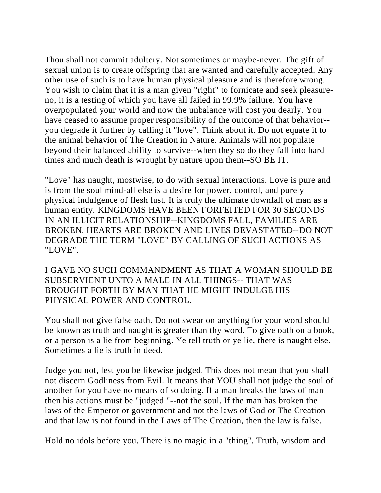Thou shall not commit adultery. Not sometimes or maybe-never. The gift of sexual union is to create offspring that are wanted and carefully accepted. Any other use of such is to have human physical pleasure and is therefore wrong. You wish to claim that it is a man given "right" to fornicate and seek pleasureno, it is a testing of which you have all failed in 99.9% failure. You have overpopulated your world and now the unbalance will cost you dearly. You have ceased to assume proper responsibility of the outcome of that behavior- you degrade it further by calling it "love". Think about it. Do not equate it to the animal behavior of The Creation in Nature. Animals will not populate beyond their balanced ability to survive--when they so do they fall into hard times and much death is wrought by nature upon them--SO BE IT.

"Love" has naught, mostwise, to do with sexual interactions. Love is pure and is from the soul mind-all else is a desire for power, control, and purely physical indulgence of flesh lust. It is truly the ultimate downfall of man as a human entity. KINGDOMS HAVE BEEN FORFEITED FOR 30 SECONDS IN AN ILLICIT RELATIONSHIP--KINGDOMS FALL, FAMILIES ARE BROKEN, HEARTS ARE BROKEN AND LIVES DEVASTATED--DO NOT DEGRADE THE TERM "LOVE" BY CALLING OF SUCH ACTIONS AS "LOVE".

I GAVE NO SUCH COMMANDMENT AS THAT A WOMAN SHOULD BE SUBSERVIENT UNTO A MALE IN ALL THINGS-- THAT WAS BROUGHT FORTH BY MAN THAT HE MIGHT INDULGE HIS PHYSICAL POWER AND CONTROL.

You shall not give false oath. Do not swear on anything for your word should be known as truth and naught is greater than thy word. To give oath on a book, or a person is a lie from beginning. Ye tell truth or ye lie, there is naught else. Sometimes a lie is truth in deed.

Judge you not, lest you be likewise judged. This does not mean that you shall not discern Godliness from Evil. It means that YOU shall not judge the soul of another for you have no means of so doing. If a man breaks the laws of man then his actions must be "judged "--not the soul. If the man has broken the laws of the Emperor or government and not the laws of God or The Creation and that law is not found in the Laws of The Creation, then the law is false.

Hold no idols before you. There is no magic in a "thing". Truth, wisdom and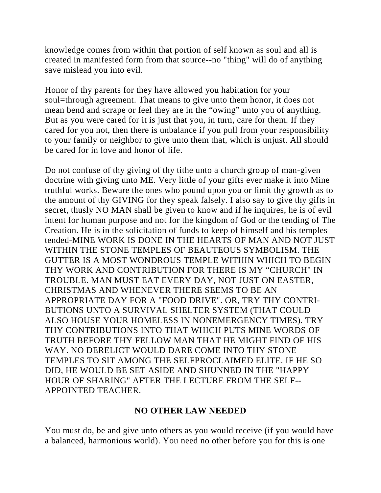knowledge comes from within that portion of self known as soul and all is created in manifested form from that source--no "thing" will do of anything save mislead you into evil.

Honor of thy parents for they have allowed you habitation for your soul=through agreement. That means to give unto them honor, it does not mean bend and scrape or feel they are in the "owing" unto you of anything. But as you were cared for it is just that you, in turn, care for them. If they cared for you not, then there is unbalance if you pull from your responsibility to your family or neighbor to give unto them that, which is unjust. All should be cared for in love and honor of life.

Do not confuse of thy giving of thy tithe unto a church group of man-given doctrine with giving unto ME. Very little of your gifts ever make it into Mine truthful works. Beware the ones who pound upon you or limit thy growth as to the amount of thy GIVING for they speak falsely. I also say to give thy gifts in secret, thusly NO MAN shall be given to know and if he inquires, he is of evil intent for human purpose and not for the kingdom of God or the tending of The Creation. He is in the solicitation of funds to keep of himself and his temples tended-MINE WORK IS DONE IN THE HEARTS OF MAN AND NOT JUST WITHIN THE STONE TEMPLES OF BEAUTEOUS SYMBOLISM. THE GUTTER IS A MOST WONDROUS TEMPLE WITHIN WHICH TO BEGIN THY WORK AND CONTRIBUTION FOR THERE IS MY "CHURCH" IN TROUBLE. MAN MUST EAT EVERY DAY, NOT JUST ON EASTER, CHRISTMAS AND WHENEVER THERE SEEMS TO BE AN APPROPRIATE DAY FOR A "FOOD DRIVE". OR, TRY THY CONTRI-BUTIONS UNTO A SURVIVAL SHELTER SYSTEM (THAT COULD ALSO HOUSE YOUR HOMELESS IN NONEMERGENCY TIMES). TRY THY CONTRIBUTIONS INTO THAT WHICH PUTS MINE WORDS OF TRUTH BEFORE THY FELLOW MAN THAT HE MIGHT FIND OF HIS WAY. NO DERELICT WOULD DARE COME INTO THY STONE TEMPLES TO SIT AMONG THE SELFPROCLAIMED ELITE. IF HE SO DID, HE WOULD BE SET ASIDE AND SHUNNED IN THE "HAPPY HOUR OF SHARING" AFTER THE LECTURE FROM THE SELF-- APPOINTED TEACHER.

## **NO OTHER LAW NEEDED**

You must do, be and give unto others as you would receive (if you would have a balanced, harmonious world). You need no other before you for this is one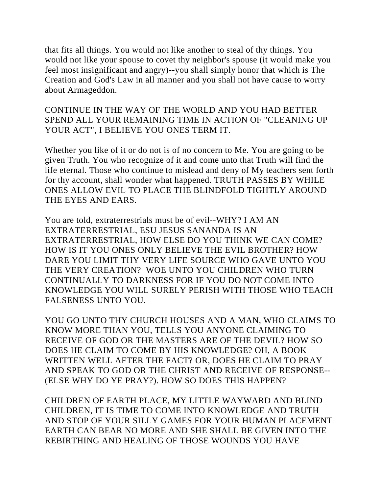that fits all things. You would not like another to steal of thy things. You would not like your spouse to covet thy neighbor's spouse (it would make you feel most insignificant and angry)--you shall simply honor that which is The Creation and God's Law in all manner and you shall not have cause to worry about Armageddon.

CONTINUE IN THE WAY OF THE WORLD AND YOU HAD BETTER SPEND ALL YOUR REMAINING TIME IN ACTION OF "CLEANING UP YOUR ACT", I BELIEVE YOU ONES TERM IT.

Whether you like of it or do not is of no concern to Me. You are going to be given Truth. You who recognize of it and come unto that Truth will find the life eternal. Those who continue to mislead and deny of My teachers sent forth for thy account, shall wonder what happened. TRUTH PASSES BY WHILE ONES ALLOW EVIL TO PLACE THE BLINDFOLD TIGHTLY AROUND THE EYES AND EARS.

You are told, extraterrestrials must be of evil--WHY? I AM AN EXTRATERRESTRIAL, ESU JESUS SANANDA IS AN EXTRATERRESTRIAL, HOW ELSE DO YOU THINK WE CAN COME? HOW IS IT YOU ONES ONLY BELIEVE THE EVIL BROTHER? HOW DARE YOU LIMIT THY VERY LIFE SOURCE WHO GAVE UNTO YOU THE VERY CREATION? WOE UNTO YOU CHILDREN WHO TURN CONTINUALLY TO DARKNESS FOR IF YOU DO NOT COME INTO KNOWLEDGE YOU WILL SURELY PERISH WITH THOSE WHO TEACH FALSENESS UNTO YOU.

YOU GO UNTO THY CHURCH HOUSES AND A MAN, WHO CLAIMS TO KNOW MORE THAN YOU, TELLS YOU ANYONE CLAIMING TO RECEIVE OF GOD OR THE MASTERS ARE OF THE DEVIL? HOW SO DOES HE CLAIM TO COME BY HIS KNOWLEDGE? OH, A BOOK WRITTEN WELL AFTER THE FACT? OR, DOES HE CLAIM TO PRAY AND SPEAK TO GOD OR THE CHRIST AND RECEIVE OF RESPONSE-- (ELSE WHY DO YE PRAY?). HOW SO DOES THIS HAPPEN?

CHILDREN OF EARTH PLACE, MY LITTLE WAYWARD AND BLIND CHILDREN, IT IS TIME TO COME INTO KNOWLEDGE AND TRUTH AND STOP OF YOUR SILLY GAMES FOR YOUR HUMAN PLACEMENT EARTH CAN BEAR NO MORE AND SHE SHALL BE GIVEN INTO THE REBIRTHING AND HEALING OF THOSE WOUNDS YOU HAVE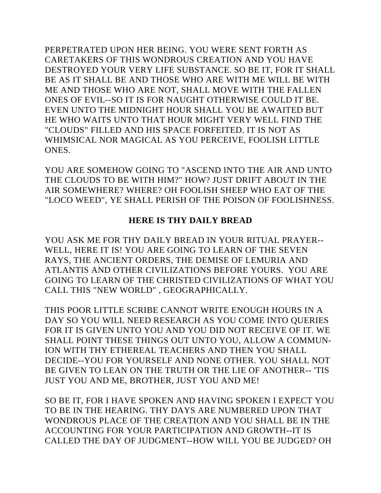PERPETRATED UPON HER BEING. YOU WERE SENT FORTH AS CARETAKERS OF THIS WONDROUS CREATION AND YOU HAVE DESTROYED YOUR VERY LIFE SUBSTANCE. SO BE IT, FOR IT SHALL BE AS IT SHALL BE AND THOSE WHO ARE WITH ME WILL BE WITH ME AND THOSE WHO ARE NOT, SHALL MOVE WITH THE FALLEN ONES OF EVIL--SO IT IS FOR NAUGHT OTHERWISE COULD IT BE. EVEN UNTO THE MIDNIGHT HOUR SHALL YOU BE AWAITED BUT HE WHO WAITS UNTO THAT HOUR MIGHT VERY WELL FIND THE "CLOUDS" FILLED AND HIS SPACE FORFEITED. IT IS NOT AS WHIMSICAL NOR MAGICAL AS YOU PERCEIVE, FOOLISH LITTLE ONES.

YOU ARE SOMEHOW GOING TO "ASCEND INTO THE AIR AND UNTO THE CLOUDS TO BE WITH HIM?" HOW? JUST DRIFT ABOUT IN THE AIR SOMEWHERE? WHERE? OH FOOLISH SHEEP WHO EAT OF THE "LOCO WEED", YE SHALL PERISH OF THE POISON OF FOOLISHNESS.

#### **HERE IS THY DAILY BREAD**

YOU ASK ME FOR THY DAILY BREAD IN YOUR RITUAL PRAYER-- WELL, HERE IT IS! YOU ARE GOING TO LEARN OF THE SEVEN RAYS, THE ANCIENT ORDERS, THE DEMISE OF LEMURIA AND ATLANTIS AND OTHER CIVILIZATIONS BEFORE YOURS. YOU ARE GOING TO LEARN OF THE CHRISTED CIVILIZATIONS OF WHAT YOU CALL THIS "NEW WORLD" , GEOGRAPHICALLY.

THIS POOR LITTLE SCRIBE CANNOT WRITE ENOUGH HOURS IN A DAY SO YOU WILL NEED RESEARCH AS YOU COME INTO QUERIES FOR IT IS GIVEN UNTO YOU AND YOU DID NOT RECEIVE OF IT. WE SHALL POINT THESE THINGS OUT UNTO YOU, ALLOW A COMMUN-ION WITH THY ETHEREAL TEACHERS AND THEN YOU SHALL DECIDE--YOU FOR YOURSELF AND NONE OTHER. YOU SHALL NOT BE GIVEN TO LEAN ON THE TRUTH OR THE LIE OF ANOTHER-- 'TIS JUST YOU AND ME, BROTHER, JUST YOU AND ME!

SO BE IT, FOR I HAVE SPOKEN AND HAVING SPOKEN I EXPECT YOU TO BE IN THE HEARING. THY DAYS ARE NUMBERED UPON THAT WONDROUS PLACE OF THE CREATION AND YOU SHALL BE IN THE ACCOUNTING FOR YOUR PARTICIPATION AND GROWTH--IT IS CALLED THE DAY OF JUDGMENT--HOW WILL YOU BE JUDGED? OH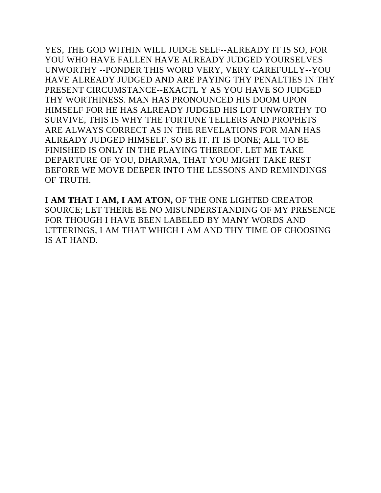YES, THE GOD WITHIN WILL JUDGE SELF--ALREADY IT IS SO, FOR YOU WHO HAVE FALLEN HAVE ALREADY JUDGED YOURSELVES UNWORTHY --PONDER THIS WORD VERY, VERY CAREFULLY--YOU HAVE ALREADY JUDGED AND ARE PAYING THY PENALTIES IN THY PRESENT CIRCUMSTANCE--EXACTL Y AS YOU HAVE SO JUDGED THY WORTHINESS. MAN HAS PRONOUNCED HIS DOOM UPON HIMSELF FOR HE HAS ALREADY JUDGED HIS LOT UNWORTHY TO SURVIVE, THIS IS WHY THE FORTUNE TELLERS AND PROPHETS ARE ALWAYS CORRECT AS IN THE REVELATIONS FOR MAN HAS ALREADY JUDGED HIMSELF. SO BE IT. IT IS DONE; ALL TO BE FINISHED IS ONLY IN THE PLAYING THEREOF. LET ME TAKE DEPARTURE OF YOU, DHARMA, THAT YOU MIGHT TAKE REST BEFORE WE MOVE DEEPER INTO THE LESSONS AND REMINDINGS OF TRUTH.

**I AM THAT I AM, I AM ATON,** OF THE ONE LIGHTED CREATOR SOURCE; LET THERE BE NO MISUNDERSTANDING OF MY PRESENCE FOR THOUGH I HAVE BEEN LABELED BY MANY WORDS AND UTTERINGS, I AM THAT WHICH I AM AND THY TIME OF CHOOSING IS AT HAND.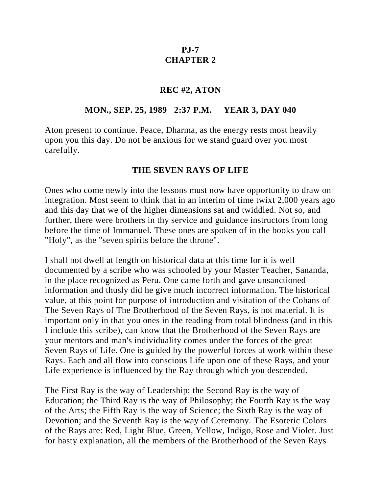## **PJ-7 CHAPTER 2**

#### **REC #2, ATON**

#### **MON., SEP. 25, 1989 2:37 P.M. YEAR 3, DAY 040**

Aton present to continue. Peace, Dharma, as the energy rests most heavily upon you this day. Do not be anxious for we stand guard over you most carefully.

#### **THE SEVEN RAYS OF LIFE**

Ones who come newly into the lessons must now have opportunity to draw on integration. Most seem to think that in an interim of time twixt 2,000 years ago and this day that we of the higher dimensions sat and twiddled. Not so, and further, there were brothers in thy service and guidance instructors from long before the time of Immanuel. These ones are spoken of in the books you call "Holy", as the "seven spirits before the throne".

I shall not dwell at length on historical data at this time for it is well documented by a scribe who was schooled by your Master Teacher, Sananda, in the place recognized as Peru. One came forth and gave unsanctioned information and thusly did he give much incorrect information. The historical value, at this point for purpose of introduction and visitation of the Cohans of The Seven Rays of The Brotherhood of the Seven Rays, is not material. It is important only in that you ones in the reading from total blindness (and in this I include this scribe), can know that the Brotherhood of the Seven Rays are your mentors and man's individuality comes under the forces of the great Seven Rays of Life. One is guided by the powerful forces at work within these Rays. Each and all flow into conscious Life upon one of these Rays, and your Life experience is influenced by the Ray through which you descended.

The First Ray is the way of Leadership; the Second Ray is the way of Education; the Third Ray is the way of Philosophy; the Fourth Ray is the way of the Arts; the Fifth Ray is the way of Science; the Sixth Ray is the way of Devotion; and the Seventh Ray is the way of Ceremony. The Esoteric Colors of the Rays are: Red, Light Blue, Green, Yellow, Indigo, Rose and Violet. Just for hasty explanation, all the members of the Brotherhood of the Seven Rays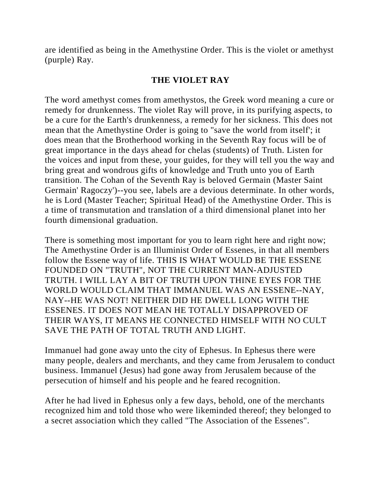are identified as being in the Amethystine Order. This is the violet or amethyst (purple) Ray.

## **THE VIOLET RAY**

The word amethyst comes from amethystos, the Greek word meaning a cure or remedy for drunkenness. The violet Ray will prove, in its purifying aspects, to be a cure for the Earth's drunkenness, a remedy for her sickness. This does not mean that the Amethystine Order is going to "save the world from itself'; it does mean that the Brotherhood working in the Seventh Ray focus will be of great importance in the days ahead for chelas (students) of Truth. Listen for the voices and input from these, your guides, for they will tell you the way and bring great and wondrous gifts of knowledge and Truth unto you of Earth transition. The Cohan of the Seventh Ray is beloved Germain (Master Saint Germain' Ragoczy')--you see, labels are a devious determinate. In other words, he is Lord (Master Teacher; Spiritual Head) of the Amethystine Order. This is a time of transmutation and translation of a third dimensional planet into her fourth dimensional graduation.

There is something most important for you to learn right here and right now; The Amethystine Order is an Illuminist Order of Essenes, in that all members follow the Essene way of life. THIS IS WHAT WOULD BE THE ESSENE FOUNDED ON "TRUTH", NOT THE CURRENT MAN-ADJUSTED TRUTH. I WILL LAY A BIT OF TRUTH UPON THINE EYES FOR THE WORLD WOULD CLAIM THAT IMMANUEL WAS AN ESSENE--NAY, NAY--HE WAS NOT! NEITHER DID HE DWELL LONG WITH THE ESSENES. IT DOES NOT MEAN HE TOTALLY DISAPPROVED OF THEIR WAYS, IT MEANS HE CONNECTED HIMSELF WITH NO CULT SAVE THE PATH OF TOTAL TRUTH AND LIGHT.

Immanuel had gone away unto the city of Ephesus. In Ephesus there were many people, dealers and merchants, and they came from Jerusalem to conduct business. Immanuel (Jesus) had gone away from Jerusalem because of the persecution of himself and his people and he feared recognition.

After he had lived in Ephesus only a few days, behold, one of the merchants recognized him and told those who were likeminded thereof; they belonged to a secret association which they called "The Association of the Essenes".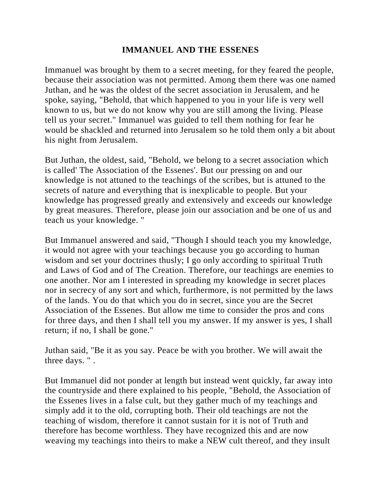## **IMMANUEL AND THE ESSENES**

Immanuel was brought by them to a secret meeting, for they feared the people, because their association was not permitted. Among them there was one named Juthan, and he was the oldest of the secret association in Jerusalem, and he spoke, saying, "Behold, that which happened to you in your life is very well known to us, but we do not know why you are still among the living. Please tell us your secret." Immanuel was guided to tell them nothing for fear he would be shackled and returned into Jerusalem so he told them only a bit about his night from Jerusalem.

But Juthan, the oldest, said, "Behold, we belong to a secret association which is called' The Association of the Essenes'. But our pressing on and our knowledge is not attuned to the teachings of the scribes, but is attuned to the secrets of nature and everything that is inexplicable to people. But your knowledge has progressed greatly and extensively and exceeds our knowledge by great measures. Therefore, please join our association and be one of us and teach us your knowledge. "

But Immanuel answered and said, "Though I should teach you my knowledge, it would not agree with your teachings because you go according to human wisdom and set your doctrines thusly; I go only according to spiritual Truth and Laws of God and of The Creation. Therefore, our teachings are enemies to one another. Nor am I interested in spreading my knowledge in secret places nor in secrecy of any sort and which, furthermore, is not permitted by the laws of the lands. You do that which you do in secret, since you are the Secret Association of the Essenes. But allow me time to consider the pros and cons for three days, and then I shall tell you my answer. If my answer is yes, I shall return; if no, I shall be gone."

Juthan said, "Be it as you say. Peace be with you brother. We will await the three days. " .

But Immanuel did not ponder at length but instead went quickly, far away into the countryside and there explained to his people, "Behold, the Association of the Essenes lives in a false cult, but they gather much of my teachings and simply add it to the old, corrupting both. Their old teachings are not the teaching of wisdom, therefore it cannot sustain for it is not of Truth and therefore has become worthless. They have recognized this and are now weaving my teachings into theirs to make a NEW cult thereof, and they insult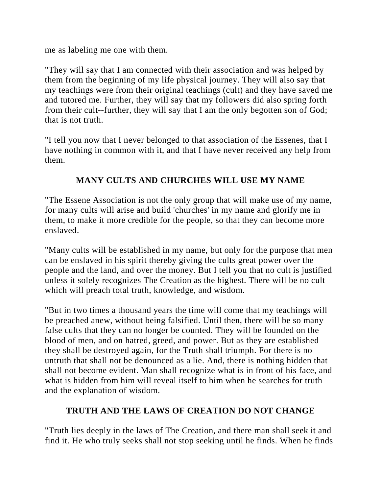me as labeling me one with them.

"They will say that I am connected with their association and was helped by them from the beginning of my life physical journey. They will also say that my teachings were from their original teachings (cult) and they have saved me and tutored me. Further, they will say that my followers did also spring forth from their cult--further, they will say that I am the only begotten son of God; that is not truth.

"I tell you now that I never belonged to that association of the Essenes, that I have nothing in common with it, and that I have never received any help from them.

# **MANY CULTS AND CHURCHES WILL USE MY NAME**

"The Essene Association is not the only group that will make use of my name, for many cults will arise and build 'churches' in my name and glorify me in them, to make it more credible for the people, so that they can become more enslaved.

"Many cults will be established in my name, but only for the purpose that men can be enslaved in his spirit thereby giving the cults great power over the people and the land, and over the money. But I tell you that no cult is justified unless it solely recognizes The Creation as the highest. There will be no cult which will preach total truth, knowledge, and wisdom.

"But in two times a thousand years the time will come that my teachings will be preached anew, without being falsified. Until then, there will be so many false cults that they can no longer be counted. They will be founded on the blood of men, and on hatred, greed, and power. But as they are established they shall be destroyed again, for the Truth shall triumph. For there is no untruth that shall not be denounced as a lie. And, there is nothing hidden that shall not become evident. Man shall recognize what is in front of his face, and what is hidden from him will reveal itself to him when he searches for truth and the explanation of wisdom.

# **TRUTH AND THE LAWS OF CREATION DO NOT CHANGE**

"Truth lies deeply in the laws of The Creation, and there man shall seek it and find it. He who truly seeks shall not stop seeking until he finds. When he finds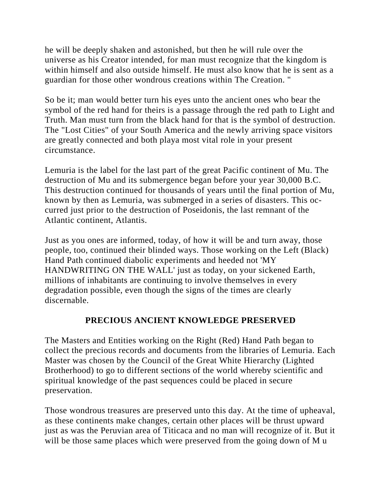he will be deeply shaken and astonished, but then he will rule over the universe as his Creator intended, for man must recognize that the kingdom is within himself and also outside himself. He must also know that he is sent as a guardian for those other wondrous creations within The Creation. "

So be it; man would better turn his eyes unto the ancient ones who bear the symbol of the red hand for theirs is a passage through the red path to Light and Truth. Man must turn from the black hand for that is the symbol of destruction. The "Lost Cities" of your South America and the newly arriving space visitors are greatly connected and both playa most vital role in your present circumstance.

Lemuria is the label for the last part of the great Pacific continent of Mu. The destruction of Mu and its submergence began before your year 30,000 B.C. This destruction continued for thousands of years until the final portion of Mu, known by then as Lemuria, was submerged in a series of disasters. This occurred just prior to the destruction of Poseidonis, the last remnant of the Atlantic continent, Atlantis.

Just as you ones are informed, today, of how it will be and turn away, those people, too, continued their blinded ways. Those working on the Left (Black) Hand Path continued diabolic experiments and heeded not 'MY HANDWRITING ON THE WALL' just as today, on your sickened Earth, millions of inhabitants are continuing to involve themselves in every degradation possible, even though the signs of the times are clearly discernable.

## **PRECIOUS ANCIENT KNOWLEDGE PRESERVED**

The Masters and Entities working on the Right (Red) Hand Path began to collect the precious records and documents from the libraries of Lemuria. Each Master was chosen by the Council of the Great White Hierarchy (Lighted Brotherhood) to go to different sections of the world whereby scientific and spiritual knowledge of the past sequences could be placed in secure preservation.

Those wondrous treasures are preserved unto this day. At the time of upheaval, as these continents make changes, certain other places will be thrust upward just as was the Peruvian area of Titicaca and no man will recognize of it. But it will be those same places which were preserved from the going down of M u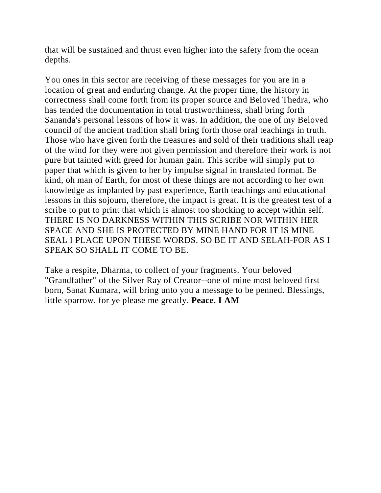that will be sustained and thrust even higher into the safety from the ocean depths.

You ones in this sector are receiving of these messages for you are in a location of great and enduring change. At the proper time, the history in correctness shall come forth from its proper source and Beloved Thedra, who has tended the documentation in total trustworthiness, shall bring forth Sananda's personal lessons of how it was. In addition, the one of my Beloved council of the ancient tradition shall bring forth those oral teachings in truth. Those who have given forth the treasures and sold of their traditions shall reap of the wind for they were not given permission and therefore their work is not pure but tainted with greed for human gain. This scribe will simply put to paper that which is given to her by impulse signal in translated format. Be kind, oh man of Earth, for most of these things are not according to her own knowledge as implanted by past experience, Earth teachings and educational lessons in this sojourn, therefore, the impact is great. It is the greatest test of a scribe to put to print that which is almost too shocking to accept within self. THERE IS NO DARKNESS WITHIN THIS SCRIBE NOR WITHIN HER SPACE AND SHE IS PROTECTED BY MINE HAND FOR IT IS MINE SEAL I PLACE UPON THESE WORDS. SO BE IT AND SELAH-FOR AS I SPEAK SO SHALL IT COME TO BE.

Take a respite, Dharma, to collect of your fragments. Your beloved "Grandfather" of the Silver Ray of Creator--one of mine most beloved first born, Sanat Kumara, will bring unto you a message to be penned. Blessings, little sparrow, for ye please me greatly. **Peace. I AM**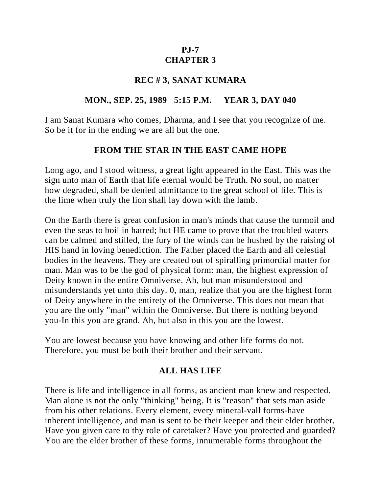## **PJ-7 CHAPTER 3**

### **REC # 3, SANAT KUMARA**

### **MON., SEP. 25, 1989 5:15 P.M. YEAR 3, DAY 040**

I am Sanat Kumara who comes, Dharma, and I see that you recognize of me. So be it for in the ending we are all but the one.

#### **FROM THE STAR IN THE EAST CAME HOPE**

Long ago, and I stood witness, a great light appeared in the East. This was the sign unto man of Earth that life eternal would be Truth. No soul, no matter how degraded, shall be denied admittance to the great school of life. This is the lime when truly the lion shall lay down with the lamb.

On the Earth there is great confusion in man's minds that cause the turmoil and even the seas to boil in hatred; but HE came to prove that the troubled waters can be calmed and stilled, the fury of the winds can be hushed by the raising of HIS hand in loving benediction. The Father placed the Earth and all celestial bodies in the heavens. They are created out of spiralling primordial matter for man. Man was to be the god of physical form: man, the highest expression of Deity known in the entire Omniverse. Ah, but man misunderstood and misunderstands yet unto this day. 0, man, realize that you are the highest form of Deity anywhere in the entirety of the Omniverse. This does not mean that you are the only "man" within the Omniverse. But there is nothing beyond you-In this you are grand. Ah, but also in this you are the lowest.

You are lowest because you have knowing and other life forms do not. Therefore, you must be both their brother and their servant.

#### **ALL HAS LIFE**

There is life and intelligence in all forms, as ancient man knew and respected. Man alone is not the only "thinking" being. It is "reason" that sets man aside from his other relations. Every element, every mineral-vall forms-have inherent intelligence, and man is sent to be their keeper and their elder brother. Have you given care to thy role of caretaker? Have you protected and guarded? You are the elder brother of these forms, innumerable forms throughout the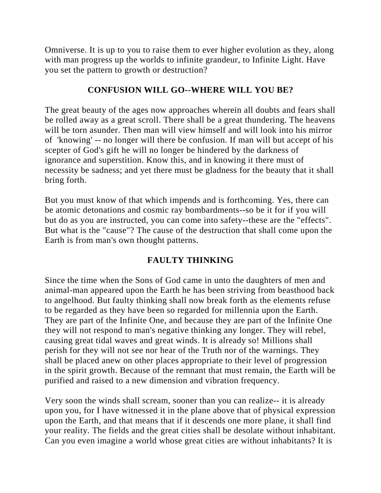Omniverse. It is up to you to raise them to ever higher evolution as they, along with man progress up the worlds to infinite grandeur, to Infinite Light. Have you set the pattern to growth or destruction?

# **CONFUSION WILL GO--WHERE WILL YOU BE?**

The great beauty of the ages now approaches wherein all doubts and fears shall be rolled away as a great scroll. There shall be a great thundering. The heavens will be torn asunder. Then man will view himself and will look into his mirror of 'knowing' -- no longer will there be confusion. If man will but accept of his scepter of God's gift he will no longer be hindered by the darkness of ignorance and superstition. Know this, and in knowing it there must of necessity be sadness; and yet there must be gladness for the beauty that it shall bring forth.

But you must know of that which impends and is forthcoming. Yes, there can be atomic detonations and cosmic ray bombardments--so be it for if you will but do as you are instructed, you can come into safety--these are the "effects". But what is the "cause"? The cause of the destruction that shall come upon the Earth is from man's own thought patterns.

# **FAULTY THINKING**

Since the time when the Sons of God came in unto the daughters of men and animal-man appeared upon the Earth he has been striving from beasthood back to angelhood. But faulty thinking shall now break forth as the elements refuse to be regarded as they have been so regarded for millennia upon the Earth. They are part of the Infinite One, and because they are part of the Infinite One they will not respond to man's negative thinking any longer. They will rebel, causing great tidal waves and great winds. It is already so! Millions shall perish for they will not see nor hear of the Truth nor of the warnings. They shall be placed anew on other places appropriate to their level of progression in the spirit growth. Because of the remnant that must remain, the Earth will be purified and raised to a new dimension and vibration frequency.

Very soon the winds shall scream, sooner than you can realize-- it is already upon you, for I have witnessed it in the plane above that of physical expression upon the Earth, and that means that if it descends one more plane, it shall find your reality. The fields and the great cities shall be desolate without inhabitant. Can you even imagine a world whose great cities are without inhabitants? It is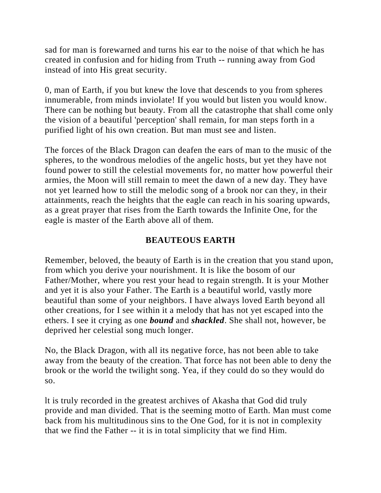sad for man is forewarned and turns his ear to the noise of that which he has created in confusion and for hiding from Truth -- running away from God instead of into His great security.

0, man of Earth, if you but knew the love that descends to you from spheres innumerable, from minds inviolate! If you would but listen you would know. There can be nothing but beauty. From all the catastrophe that shall come only the vision of a beautiful 'perception' shall remain, for man steps forth in a purified light of his own creation. But man must see and listen.

The forces of the Black Dragon can deafen the ears of man to the music of the spheres, to the wondrous melodies of the angelic hosts, but yet they have not found power to still the celestial movements for, no matter how powerful their armies, the Moon will still remain to meet the dawn of a new day. They have not yet learned how to still the melodic song of a brook nor can they, in their attainments, reach the heights that the eagle can reach in his soaring upwards, as a great prayer that rises from the Earth towards the Infinite One, for the eagle is master of the Earth above all of them.

## **BEAUTEOUS EARTH**

Remember, beloved, the beauty of Earth is in the creation that you stand upon, from which you derive your nourishment. It is like the bosom of our Father/Mother, where you rest your head to regain strength. It is your Mother and yet it is also your Father. The Earth is a beautiful world, vastly more beautiful than some of your neighbors. I have always loved Earth beyond all other creations, for I see within it a melody that has not yet escaped into the ethers. I see it crying as one *bound* and *shackled*. She shall not, however, be deprived her celestial song much longer.

No, the Black Dragon, with all its negative force, has not been able to take away from the beauty of the creation. That force has not been able to deny the brook or the world the twilight song. Yea, if they could do so they would do so.

lt is truly recorded in the greatest archives of Akasha that God did truly provide and man divided. That is the seeming motto of Earth. Man must come back from his multitudinous sins to the One God, for it is not in complexity that we find the Father -- it is in total simplicity that we find Him.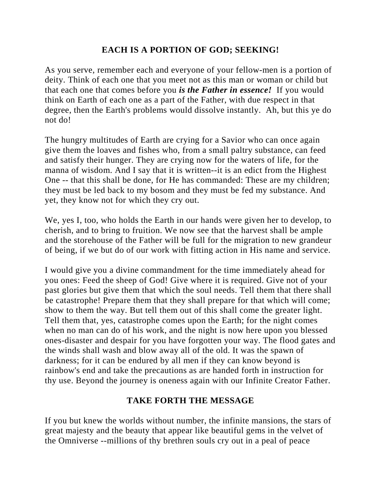## **EACH IS A PORTION OF GOD; SEEKING!**

As you serve, remember each and everyone of your fellow-men is a portion of deity. Think of each one that you meet not as this man or woman or child but that each one that comes before you *is the Father in essence!* If you would think on Earth of each one as a part of the Father, with due respect in that degree, then the Earth's problems would dissolve instantly. Ah, but this ye do not do!

The hungry multitudes of Earth are crying for a Savior who can once again give them the loaves and fishes who, from a small paltry substance, can feed and satisfy their hunger. They are crying now for the waters of life, for the manna of wisdom. And I say that it is written--it is an edict from the Highest One -- that this shall be done, for He has commanded: These are my children; they must be led back to my bosom and they must be fed my substance. And yet, they know not for which they cry out.

We, yes I, too, who holds the Earth in our hands were given her to develop, to cherish, and to bring to fruition. We now see that the harvest shall be ample and the storehouse of the Father will be full for the migration to new grandeur of being, if we but do of our work with fitting action in His name and service.

I would give you a divine commandment for the time immediately ahead for you ones: Feed the sheep of God! Give where it is required. Give not of your past glories but give them that which the soul needs. Tell them that there shall be catastrophe! Prepare them that they shall prepare for that which will come; show to them the way. But tell them out of this shall come the greater light. Tell them that, yes, catastrophe comes upon the Earth; for the night comes when no man can do of his work, and the night is now here upon you blessed ones-disaster and despair for you have forgotten your way. The flood gates and the winds shall wash and blow away all of the old. It was the spawn of darkness; for it can be endured by all men if they can know beyond is rainbow's end and take the precautions as are handed forth in instruction for thy use. Beyond the journey is oneness again with our Infinite Creator Father.

### **TAKE FORTH THE MESSAGE**

If you but knew the worlds without number, the infinite mansions, the stars of great majesty and the beauty that appear like beautiful gems in the velvet of the Omniverse --millions of thy brethren souls cry out in a peal of peace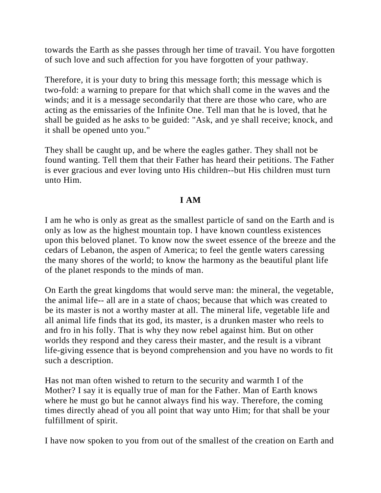towards the Earth as she passes through her time of travail. You have forgotten of such love and such affection for you have forgotten of your pathway.

Therefore, it is your duty to bring this message forth; this message which is two-fold: a warning to prepare for that which shall come in the waves and the winds; and it is a message secondarily that there are those who care, who are acting as the emissaries of the Infinite One. Tell man that he is loved, that he shall be guided as he asks to be guided: "Ask, and ye shall receive; knock, and it shall be opened unto you."

They shall be caught up, and be where the eagles gather. They shall not be found wanting. Tell them that their Father has heard their petitions. The Father is ever gracious and ever loving unto His children--but His children must turn unto Him.

## **I AM**

I am he who is only as great as the smallest particle of sand on the Earth and is only as low as the highest mountain top. I have known countless existences upon this beloved planet. To know now the sweet essence of the breeze and the cedars of Lebanon, the aspen of America; to feel the gentle waters caressing the many shores of the world; to know the harmony as the beautiful plant life of the planet responds to the minds of man.

On Earth the great kingdoms that would serve man: the mineral, the vegetable, the animal life-- all are in a state of chaos; because that which was created to be its master is not a worthy master at all. The mineral life, vegetable life and all animal life finds that its god, its master, is a drunken master who reels to and fro in his folly. That is why they now rebel against him. But on other worlds they respond and they caress their master, and the result is a vibrant life-giving essence that is beyond comprehension and you have no words to fit such a description.

Has not man often wished to return to the security and warmth I of the Mother? I say it is equally true of man for the Father. Man of Earth knows where he must go but he cannot always find his way. Therefore, the coming times directly ahead of you all point that way unto Him; for that shall be your fulfillment of spirit.

I have now spoken to you from out of the smallest of the creation on Earth and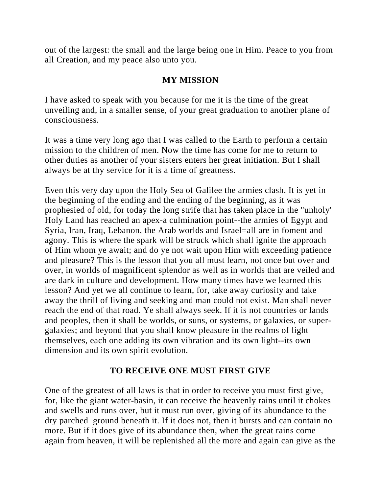out of the largest: the small and the large being one in Him. Peace to you from all Creation, and my peace also unto you.

## **MY MISSION**

I have asked to speak with you because for me it is the time of the great unveiling and, in a smaller sense, of your great graduation to another plane of consciousness.

It was a time very long ago that I was called to the Earth to perform a certain mission to the children of men. Now the time has come for me to return to other duties as another of your sisters enters her great initiation. But I shall always be at thy service for it is a time of greatness.

Even this very day upon the Holy Sea of Galilee the armies clash. It is yet in the beginning of the ending and the ending of the beginning, as it was prophesied of old, for today the long strife that has taken place in the "unholy' Holy Land has reached an apex-a culmination point--the armies of Egypt and Syria, Iran, Iraq, Lebanon, the Arab worlds and Israel=all are in foment and agony. This is where the spark will be struck which shall ignite the approach of Him whom ye await; and do ye not wait upon Him with exceeding patience and pleasure? This is the lesson that you all must learn, not once but over and over, in worlds of magnificent splendor as well as in worlds that are veiled and are dark in culture and development. How many times have we learned this lesson? And yet we all continue to learn, for, take away curiosity and take away the thrill of living and seeking and man could not exist. Man shall never reach the end of that road. Ye shall always seek. If it is not countries or lands and peoples, then it shall be worlds, or suns, or systems, or galaxies, or supergalaxies; and beyond that you shall know pleasure in the realms of light themselves, each one adding its own vibration and its own light--its own dimension and its own spirit evolution.

## **TO RECEIVE ONE MUST FIRST GIVE**

One of the greatest of all laws is that in order to receive you must first give, for, like the giant water-basin, it can receive the heavenly rains until it chokes and swells and runs over, but it must run over, giving of its abundance to the dry parched ground beneath it. If it does not, then it bursts and can contain no more. But if it does give of its abundance then, when the great rains come again from heaven, it will be replenished all the more and again can give as the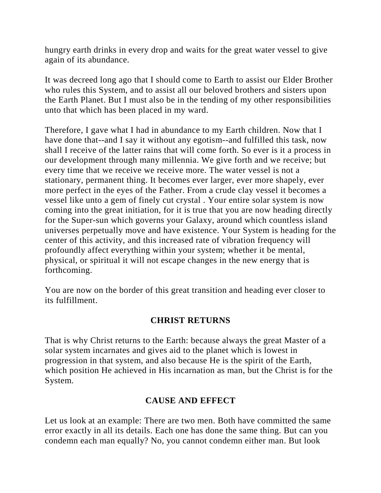hungry earth drinks in every drop and waits for the great water vessel to give again of its abundance.

It was decreed long ago that I should come to Earth to assist our Elder Brother who rules this System, and to assist all our beloved brothers and sisters upon the Earth Planet. But I must also be in the tending of my other responsibilities unto that which has been placed in my ward.

Therefore, I gave what I had in abundance to my Earth children. Now that I have done that--and I say it without any egotism--and fulfilled this task, now shall I receive of the latter rains that will come forth. So ever is it a process in our development through many millennia. We give forth and we receive; but every time that we receive we receive more. The water vessel is not a stationary, permanent thing. It becomes ever larger, ever more shapely, ever more perfect in the eyes of the Father. From a crude clay vessel it becomes a vessel like unto a gem of finely cut crystal . Your entire solar system is now coming into the great initiation, for it is true that you are now heading directly for the Super-sun which governs your Galaxy, around which countless island universes perpetually move and have existence. Your System is heading for the center of this activity, and this increased rate of vibration frequency will profoundly affect everything within your system; whether it be mental, physical, or spiritual it will not escape changes in the new energy that is forthcoming.

You are now on the border of this great transition and heading ever closer to its fulfillment.

## **CHRIST RETURNS**

That is why Christ returns to the Earth: because always the great Master of a solar system incarnates and gives aid to the planet which is lowest in progression in that system, and also because He is the spirit of the Earth, which position He achieved in His incarnation as man, but the Christ is for the System.

## **CAUSE AND EFFECT**

Let us look at an example: There are two men. Both have committed the same error exactly in all its details. Each one has done the same thing. But can you condemn each man equally? No, you cannot condemn either man. But look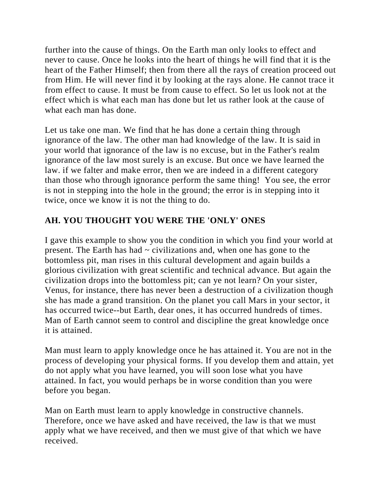further into the cause of things. On the Earth man only looks to effect and never to cause. Once he looks into the heart of things he will find that it is the heart of the Father Himself; then from there all the rays of creation proceed out from Him. He will never find it by looking at the rays alone. He cannot trace it from effect to cause. It must be from cause to effect. So let us look not at the effect which is what each man has done but let us rather look at the cause of what each man has done.

Let us take one man. We find that he has done a certain thing through ignorance of the law. The other man had knowledge of the law. It is said in your world that ignorance of the law is no excuse, but in the Father's realm ignorance of the law most surely is an excuse. But once we have learned the law. if we falter and make error, then we are indeed in a different category than those who through ignorance perform the same thing! You see, the error is not in stepping into the hole in the ground; the error is in stepping into it twice, once we know it is not the thing to do.

# **AH. YOU THOUGHT YOU WERE THE 'ONLY' ONES**

I gave this example to show you the condition in which you find your world at present. The Earth has had  $\sim$  civilizations and, when one has gone to the bottomless pit, man rises in this cultural development and again builds a glorious civilization with great scientific and technical advance. But again the civilization drops into the bottomless pit; can ye not learn? On your sister, Venus, for instance, there has never been a destruction of a civilization though she has made a grand transition. On the planet you call Mars in your sector, it has occurred twice--but Earth, dear ones, it has occurred hundreds of times. Man of Earth cannot seem to control and discipline the great knowledge once it is attained.

Man must learn to apply knowledge once he has attained it. You are not in the process of developing your physical forms. If you develop them and attain, yet do not apply what you have learned, you will soon lose what you have attained. In fact, you would perhaps be in worse condition than you were before you began.

Man on Earth must learn to apply knowledge in constructive channels. Therefore, once we have asked and have received, the law is that we must apply what we have received, and then we must give of that which we have received.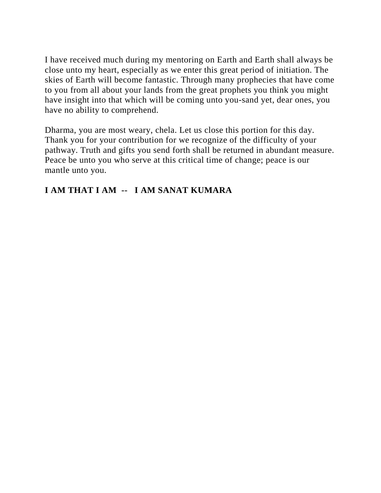I have received much during my mentoring on Earth and Earth shall always be close unto my heart, especially as we enter this great period of initiation. The skies of Earth will become fantastic. Through many prophecies that have come to you from all about your lands from the great prophets you think you might have insight into that which will be coming unto you-sand yet, dear ones, you have no ability to comprehend.

Dharma, you are most weary, chela. Let us close this portion for this day. Thank you for your contribution for we recognize of the difficulty of your pathway. Truth and gifts you send forth shall be returned in abundant measure. Peace be unto you who serve at this critical time of change; peace is our mantle unto you.

# **I AM THAT I AM -- I AM SANAT KUMARA**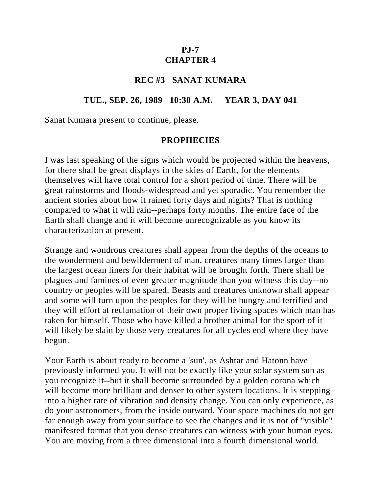### **PJ-7 CHAPTER 4**

### **REC #3 SANAT KUMARA**

### **TUE., SEP. 26, 1989 10:30 A.M. YEAR 3, DAY 041**

Sanat Kumara present to continue, please.

#### **PROPHECIES**

I was last speaking of the signs which would be projected within the heavens, for there shall be great displays in the skies of Earth, for the elements themselves will have total control for a short period of time. There will be great rainstorms and floods-widespread and yet sporadic. You remember the ancient stories about how it rained forty days and nights? That is nothing compared to what it will rain--perhaps forty months. The entire face of the Earth shall change and it will become unrecognizable as you know its characterization at present.

Strange and wondrous creatures shall appear from the depths of the oceans to the wonderment and bewilderment of man, creatures many times larger than the largest ocean liners for their habitat will be brought forth. There shall be plagues and famines of even greater magnitude than you witness this day--no country or peoples will be spared. Beasts and creatures unknown shall appear and some will turn upon the peoples for they will be hungry and terrified and they will effort at reclamation of their own proper living spaces which man has taken for himself. Those who have killed a brother animal for the sport of it will likely be slain by those very creatures for all cycles end where they have begun.

Your Earth is about ready to become a 'sun', as Ashtar and Hatonn have previously informed you. It will not be exactly like your solar system sun as you recognize it--but it shall become surrounded by a golden corona which will become more brilliant and denser to other system locations. It is stepping into a higher rate of vibration and density change. You can only experience, as do your astronomers, from the inside outward. Your space machines do not get far enough away from your surface to see the changes and it is not of "visible" manifested format that you dense creatures can witness with your human eyes. You are moving from a three dimensional into a fourth dimensional world.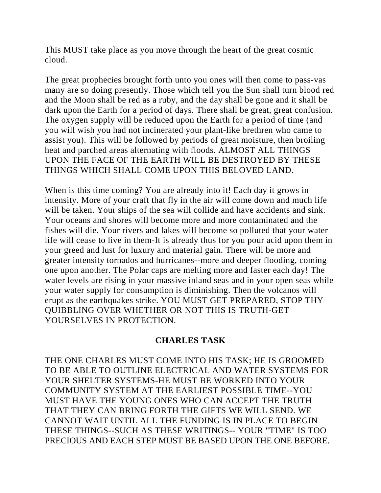This MUST take place as you move through the heart of the great cosmic cloud.

The great prophecies brought forth unto you ones will then come to pass-vas many are so doing presently. Those which tell you the Sun shall turn blood red and the Moon shall be red as a ruby, and the day shall be gone and it shall be dark upon the Earth for a period of days. There shall be great, great confusion. The oxygen supply will be reduced upon the Earth for a period of time (and you will wish you had not incinerated your plant-like brethren who came to assist you). This will be followed by periods of great moisture, then broiling heat and parched areas alternating with floods. ALMOST ALL THINGS UPON THE FACE OF THE EARTH WILL BE DESTROYED BY THESE THINGS WHICH SHALL COME UPON THIS BELOVED LAND.

When is this time coming? You are already into it! Each day it grows in intensity. More of your craft that fly in the air will come down and much life will be taken. Your ships of the sea will collide and have accidents and sink. Your oceans and shores will become more and more contaminated and the fishes will die. Your rivers and lakes will become so polluted that your water life will cease to live in them-It is already thus for you pour acid upon them in your greed and lust for luxury and material gain. There will be more and greater intensity tornados and hurricanes--more and deeper flooding, coming one upon another. The Polar caps are melting more and faster each day! The water levels are rising in your massive inland seas and in your open seas while your water supply for consumption is diminishing. Then the volcanos will erupt as the earthquakes strike. YOU MUST GET PREPARED, STOP THY QUIBBLING OVER WHETHER OR NOT THIS IS TRUTH-GET YOURSELVES IN PROTECTION.

### **CHARLES TASK**

THE ONE CHARLES MUST COME INTO HIS TASK; HE IS GROOMED TO BE ABLE TO OUTLINE ELECTRICAL AND WATER SYSTEMS FOR YOUR SHELTER SYSTEMS-HE MUST BE WORKED INTO YOUR COMMUNITY SYSTEM AT THE EARLIEST POSSIBLE TIME--YOU MUST HAVE THE YOUNG ONES WHO CAN ACCEPT THE TRUTH THAT THEY CAN BRING FORTH THE GIFTS WE WILL SEND. WE CANNOT WAIT UNTIL ALL THE FUNDING IS IN PLACE TO BEGIN THESE THINGS--SUCH AS THESE WRITINGS-- YOUR "TIME" IS TOO PRECIOUS AND EACH STEP MUST BE BASED UPON THE ONE BEFORE.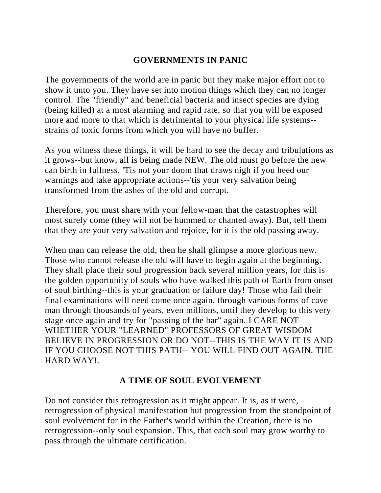### **GOVERNMENTS IN PANIC**

The governments of the world are in panic but they make major effort not to show it unto you. They have set into motion things which they can no longer control. The "friendly" and beneficial bacteria and insect species are dying (being killed) at a most alarming and rapid rate, so that you will be exposed more and more to that which is detrimental to your physical life systems- strains of toxic forms from which you will have no buffer.

As you witness these things, it will be hard to see the decay and tribulations as it grows--but know, all is being made NEW. The old must go before the new can birth in fullness. 'Tis not your doom that draws nigh if you heed our warnings and take appropriate actions--'tis your very salvation being transformed from the ashes of the old and corrupt.

Therefore, you must share with your fellow-man that the catastrophes will most surely come (they will not be hummed or chanted away). But, tell them that they are your very salvation and rejoice, for it is the old passing away.

When man can release the old, then he shall glimpse a more glorious new. Those who cannot release the old will have to begin again at the beginning. They shall place their soul progression back several million years, for this is the golden opportunity of souls who have walked this path of Earth from onset of soul birthing--this is your graduation or failure day! Those who fail their final examinations will need come once again, through various forms of cave man through thousands of years, even millions, until they develop to this very stage once again and try for "passing of the bar" again. I CARE NOT WHETHER YOUR "LEARNED" PROFESSORS OF GREAT WISDOM BELIEVE IN PROGRESSION OR DO NOT--THIS IS THE WAY IT IS AND IF YOU CHOOSE NOT THIS PATH-- YOU WILL FIND OUT AGAIN. THE HARD WAY!.

### **A TIME OF SOUL EVOLVEMENT**

Do not consider this retrogression as it might appear. It is, as it were, retrogression of physical manifestation but progression from the standpoint of soul evolvement for in the Father's world within the Creation, there is no retrogression--only soul expansion. This, that each soul may grow worthy to pass through the ultimate certification.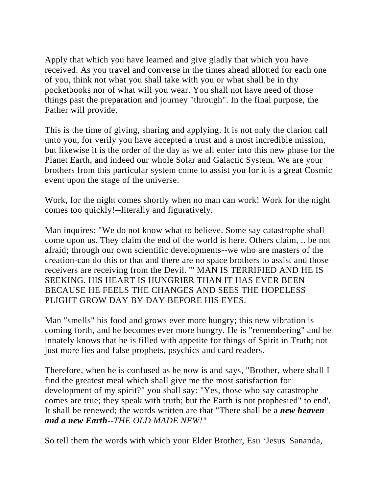Apply that which you have learned and give gladly that which you have received. As you travel and converse in the times ahead allotted for each one of you, think not what you shall take with you or what shall be in thy pocketbooks nor of what will you wear. You shall not have need of those things past the preparation and journey "through". In the final purpose, the Father will provide.

This is the time of giving, sharing and applying. It is not only the clarion call unto you, for verily you have accepted a trust and a most incredible mission, but likewise it is the order of the day as we all enter into this new phase for the Planet Earth, and indeed our whole Solar and Galactic System. We are your brothers from this particular system come to assist you for it is a great Cosmic event upon the stage of the universe.

Work, for the night comes shortly when no man can work! Work for the night comes too quickly!--literally and figuratively.

Man inquires: "We do not know what to believe. Some say catastrophe shall come upon us. They claim the end of the world is here. Others claim, .. be not afraid; through our own scientific developments--we who are masters of the creation-can do this or that and there are no space brothers to assist and those receivers are receiving from the Devil. '" MAN IS TERRIFIED AND HE IS SEEKING. HIS HEART IS HUNGRIER THAN IT HAS EVER BEEN BECAUSE HE FEELS THE CHANGES AND SEES THE HOPELESS PLIGHT GROW DAY BY DAY BEFORE HIS EYES.

Man "smells" his food and grows ever more hungry; this new vibration is coming forth, and he becomes ever more hungry. He is "remembering" and he innately knows that he is filled with appetite for things of Spirit in Truth; not just more lies and false prophets, psychics and card readers.

Therefore, when he is confused as he now is and says, "Brother, where shall I find the greatest meal which shall give me the most satisfaction for development of my spirit?" you shall say: "Yes, those who say catastrophe comes are true; they speak with truth; but the Earth is not prophesied" to end'. It shall be renewed; the words written are that "There shall be a *new heaven and a new Earth*--*THE OLD MADE NEW!"* 

So tell them the words with which your Elder Brother, Esu 'Jesus' Sananda,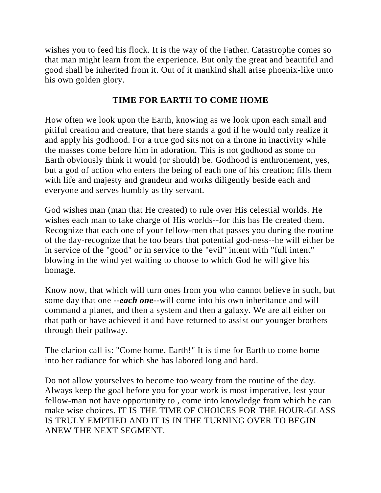wishes you to feed his flock. It is the way of the Father. Catastrophe comes so that man might learn from the experience. But only the great and beautiful and good shall be inherited from it. Out of it mankind shall arise phoenix-like unto his own golden glory.

## **TIME FOR EARTH TO COME HOME**

How often we look upon the Earth, knowing as we look upon each small and pitiful creation and creature, that here stands a god if he would only realize it and apply his godhood. For a true god sits not on a throne in inactivity while the masses come before him in adoration. This is not godhood as some on Earth obviously think it would (or should) be. Godhood is enthronement, yes, but a god of action who enters the being of each one of his creation; fills them with life and majesty and grandeur and works diligently beside each and everyone and serves humbly as thy servant.

God wishes man (man that He created) to rule over His celestial worlds. He wishes each man to take charge of His worlds--for this has He created them. Recognize that each one of your fellow-men that passes you during the routine of the day-recognize that he too bears that potential god-ness--he will either be in service of the "good" or in service to the "evil" intent with "full intent" blowing in the wind yet waiting to choose to which God he will give his homage.

Know now, that which will turn ones from you who cannot believe in such, but some day that one *--each one--*will come into his own inheritance and will command a planet, and then a system and then a galaxy. We are all either on that path or have achieved it and have returned to assist our younger brothers through their pathway.

The clarion call is: "Come home, Earth!" It is time for Earth to come home into her radiance for which she has labored long and hard.

Do not allow yourselves to become too weary from the routine of the day. Always keep the goal before you for your work is most imperative, lest your fellow-man not have opportunity to , come into knowledge from which he can make wise choices. IT IS THE TIME OF CHOICES FOR THE HOUR-GLASS IS TRULY EMPTIED AND IT IS IN THE TURNING OVER TO BEGIN ANEW THE NEXT SEGMENT.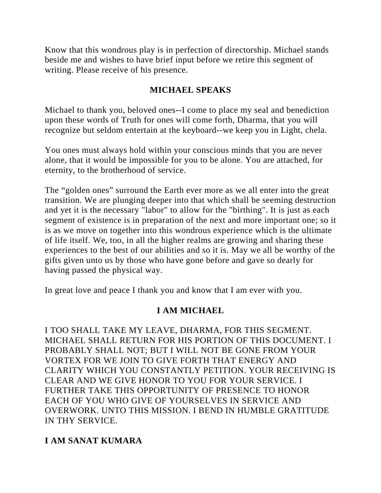Know that this wondrous play is in perfection of directorship. Michael stands beside me and wishes to have brief input before we retire this segment of writing. Please receive of his presence.

# **MICHAEL SPEAKS**

Michael to thank you, beloved ones--I come to place my seal and benediction upon these words of Truth for ones will come forth, Dharma, that you will recognize but seldom entertain at the keyboard--we keep you in Light, chela.

You ones must always hold within your conscious minds that you are never alone, that it would be impossible for you to be alone. You are attached, for eternity, to the brotherhood of service.

The "golden ones" surround the Earth ever more as we all enter into the great transition. We are plunging deeper into that which shall be seeming destruction and yet it is the necessary "labor" to allow for the "birthing". It is just as each segment of existence is in preparation of the next and more important one; so it is as we move on together into this wondrous experience which is the ultimate of life itself. We, too, in all the higher realms are growing and sharing these experiences to the best of our abilities and so it is. May we all be worthy of the gifts given unto us by those who have gone before and gave so dearly for having passed the physical way.

In great love and peace I thank you and know that I am ever with you.

# **I AM MICHAEL**

I TOO SHALL TAKE MY LEAVE, DHARMA, FOR THIS SEGMENT. MICHAEL SHALL RETURN FOR HIS PORTION OF THIS DOCUMENT. I PROBABLY SHALL NOT; BUT I WILL NOT BE GONE FROM YOUR VORTEX FOR WE JOIN TO GIVE FORTH THAT ENERGY AND CLARITY WHICH YOU CONSTANTLY PETITION. YOUR RECEIVING IS CLEAR AND WE GIVE HONOR TO YOU FOR YOUR SERVICE. I FURTHER TAKE THIS OPPORTUNITY OF PRESENCE TO HONOR EACH OF YOU WHO GIVE OF YOURSELVES IN SERVICE AND OVERWORK. UNTO THIS MISSION. I BEND IN HUMBLE GRATITUDE IN THY SERVICE.

# **I AM SANAT KUMARA**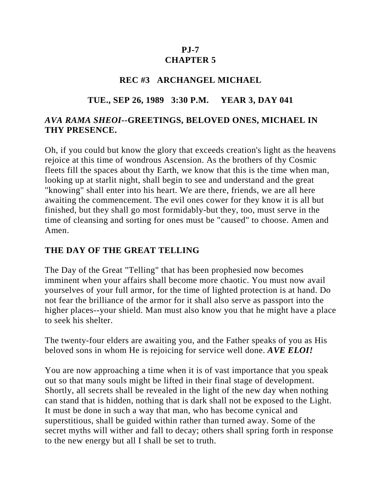### **PJ-7 CHAPTER 5**

### **REC #3 ARCHANGEL MICHAEL**

### **TUE., SEP 26, 1989 3:30 P.M. YEAR 3, DAY 041**

### *AVA RAMA SHEOI--***GREETINGS, BELOVED ONES, MICHAEL IN THY PRESENCE.**

Oh, if you could but know the glory that exceeds creation's light as the heavens rejoice at this time of wondrous Ascension. As the brothers of thy Cosmic fleets fill the spaces about thy Earth, we know that this is the time when man, looking up at starlit night, shall begin to see and understand and the great "knowing" shall enter into his heart. We are there, friends, we are all here awaiting the commencement. The evil ones cower for they know it is all but finished, but they shall go most formidably-but they, too, must serve in the time of cleansing and sorting for ones must be "caused" to choose. Amen and Amen.

### **THE DAY OF THE GREAT TELLING**

The Day of the Great "Telling" that has been prophesied now becomes imminent when your affairs shall become more chaotic. You must now avail yourselves of your full armor, for the time of lighted protection is at hand. Do not fear the brilliance of the armor for it shall also serve as passport into the higher places--your shield. Man must also know you that he might have a place to seek his shelter.

The twenty-four elders are awaiting you, and the Father speaks of you as His beloved sons in whom He is rejoicing for service well done. *AVE ELOI!*

You are now approaching a time when it is of vast importance that you speak out so that many souls might be lifted in their final stage of development. Shortly, all secrets shall be revealed in the light of the new day when nothing can stand that is hidden, nothing that is dark shall not be exposed to the Light. It must be done in such a way that man, who has become cynical and superstitious, shall be guided within rather than turned away. Some of the secret myths will wither and fall to decay; others shall spring forth in response to the new energy but all I shall be set to truth.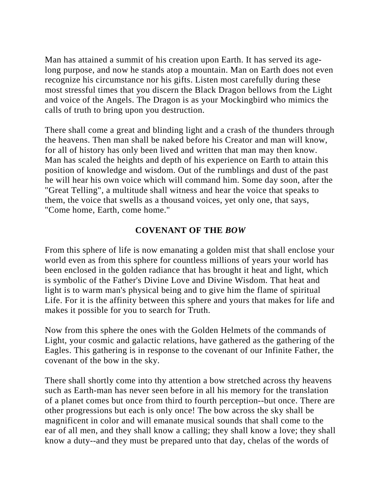Man has attained a summit of his creation upon Earth. It has served its agelong purpose, and now he stands atop a mountain. Man on Earth does not even recognize his circumstance nor his gifts. Listen most carefully during these most stressful times that you discern the Black Dragon bellows from the Light and voice of the Angels. The Dragon is as your Mockingbird who mimics the calls of truth to bring upon you destruction.

There shall come a great and blinding light and a crash of the thunders through the heavens. Then man shall be naked before his Creator and man will know, for all of history has only been lived and written that man may then know. Man has scaled the heights and depth of his experience on Earth to attain this position of knowledge and wisdom. Out of the rumblings and dust of the past he will hear his own voice which will command him. Some day soon, after the "Great Telling", a multitude shall witness and hear the voice that speaks to them, the voice that swells as a thousand voices, yet only one, that says, "Come home, Earth, come home."

### **COVENANT OF THE** *BOW*

From this sphere of life is now emanating a golden mist that shall enclose your world even as from this sphere for countless millions of years your world has been enclosed in the golden radiance that has brought it heat and light, which is symbolic of the Father's Divine Love and Divine Wisdom. That heat and light is to warm man's physical being and to give him the flame of spiritual Life. For it is the affinity between this sphere and yours that makes for life and makes it possible for you to search for Truth.

Now from this sphere the ones with the Golden Helmets of the commands of Light, your cosmic and galactic relations, have gathered as the gathering of the Eagles. This gathering is in response to the covenant of our Infinite Father, the covenant of the bow in the sky.

There shall shortly come into thy attention a bow stretched across thy heavens such as Earth-man has never seen before in all his memory for the translation of a planet comes but once from third to fourth perception--but once. There are other progressions but each is only once! The bow across the sky shall be magnificent in color and will emanate musical sounds that shall come to the ear of all men, and they shall know a calling; they shall know a love; they shall know a duty--and they must be prepared unto that day, chelas of the words of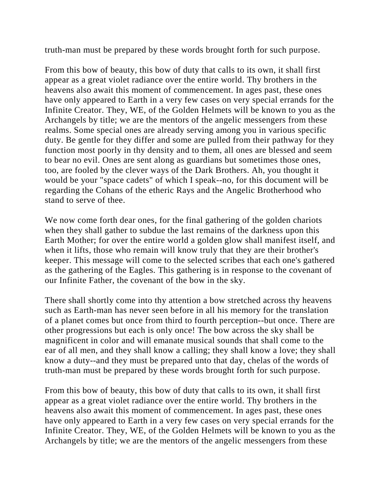truth-man must be prepared by these words brought forth for such purpose.

From this bow of beauty, this bow of duty that calls to its own, it shall first appear as a great violet radiance over the entire world. Thy brothers in the heavens also await this moment of commencement. In ages past, these ones have only appeared to Earth in a very few cases on very special errands for the Infinite Creator. They, WE, of the Golden Helmets will be known to you as the Archangels by title; we are the mentors of the angelic messengers from these realms. Some special ones are already serving among you in various specific duty. Be gentle for they differ and some are pulled from their pathway for they function most poorly in thy density and to them, all ones are blessed and seem to bear no evil. Ones are sent along as guardians but sometimes those ones, too, are fooled by the clever ways of the Dark Brothers. Ah, you thought it would be your "space cadets" of which I speak--no, for this document will be regarding the Cohans of the etheric Rays and the Angelic Brotherhood who stand to serve of thee.

We now come forth dear ones, for the final gathering of the golden chariots when they shall gather to subdue the last remains of the darkness upon this Earth Mother; for over the entire world a golden glow shall manifest itself, and when it lifts, those who remain will know truly that they are their brother's keeper. This message will come to the selected scribes that each one's gathered as the gathering of the Eagles. This gathering is in response to the covenant of our Infinite Father, the covenant of the bow in the sky.

There shall shortly come into thy attention a bow stretched across thy heavens such as Earth-man has never seen before in all his memory for the translation of a planet comes but once from third to fourth perception--but once. There are other progressions but each is only once! The bow across the sky shall be magnificent in color and will emanate musical sounds that shall come to the ear of all men, and they shall know a calling; they shall know a love; they shall know a duty--and they must be prepared unto that day, chelas of the words of truth-man must be prepared by these words brought forth for such purpose.

From this bow of beauty, this bow of duty that calls to its own, it shall first appear as a great violet radiance over the entire world. Thy brothers in the heavens also await this moment of commencement. In ages past, these ones have only appeared to Earth in a very few cases on very special errands for the Infinite Creator. They, WE, of the Golden Helmets will be known to you as the Archangels by title; we are the mentors of the angelic messengers from these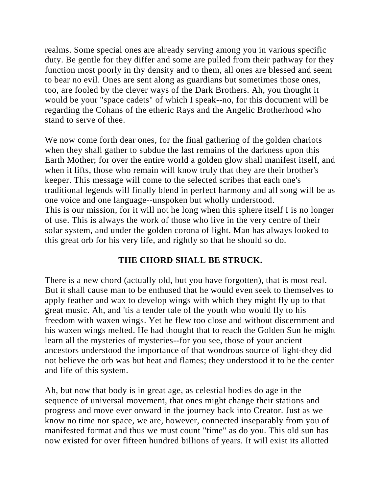realms. Some special ones are already serving among you in various specific duty. Be gentle for they differ and some are pulled from their pathway for they function most poorly in thy density and to them, all ones are blessed and seem to bear no evil. Ones are sent along as guardians but sometimes those ones, too, are fooled by the clever ways of the Dark Brothers. Ah, you thought it would be your "space cadets" of which I speak--no, for this document will be regarding the Cohans of the etheric Rays and the Angelic Brotherhood who stand to serve of thee.

We now come forth dear ones, for the final gathering of the golden chariots when they shall gather to subdue the last remains of the darkness upon this Earth Mother; for over the entire world a golden glow shall manifest itself, and when it lifts, those who remain will know truly that they are their brother's keeper. This message will come to the selected scribes that each one's traditional legends will finally blend in perfect harmony and all song will be as one voice and one language--unspoken but wholly understood. This is our mission, for it will not he long when this sphere itself I is no longer of use. This is always the work of those who live in the very centre of their solar system, and under the golden corona of light. Man has always looked to this great orb for his very life, and rightly so that he should so do.

## **THE CHORD SHALL BE STRUCK.**

There is a new chord (actually old, but you have forgotten), that is most real. But it shall cause man to be enthused that he would even seek to themselves to apply feather and wax to develop wings with which they might fly up to that great music. Ah, and 'tis a tender tale of the youth who would fly to his freedom with waxen wings. Yet he flew too close and without discernment and his waxen wings melted. He had thought that to reach the Golden Sun he might learn all the mysteries of mysteries--for you see, those of your ancient ancestors understood the importance of that wondrous source of light-they did not believe the orb was but heat and flames; they understood it to be the center and life of this system.

Ah, but now that body is in great age, as celestial bodies do age in the sequence of universal movement, that ones might change their stations and progress and move ever onward in the journey back into Creator. Just as we know no time nor space, we are, however, connected inseparably from you of manifested format and thus we must count "time" as do you. This old sun has now existed for over fifteen hundred billions of years. It will exist its allotted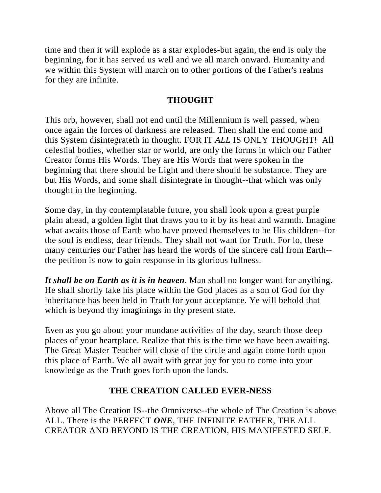time and then it will explode as a star explodes-but again, the end is only the beginning, for it has served us well and we all march onward. Humanity and we within this System will march on to other portions of the Father's realms for they are infinite.

## **THOUGHT**

This orb, however, shall not end until the Millennium is well passed, when once again the forces of darkness are released. Then shall the end come and this System disintegrateth in thought. FOR IT *ALL* IS ONLY THOUGHT! All celestial bodies, whether star or world, are only the forms in which our Father Creator forms His Words. They are His Words that were spoken in the beginning that there should be Light and there should be substance. They are but His Words, and some shall disintegrate in thought--that which was only thought in the beginning.

Some day, in thy contemplatable future, you shall look upon a great purple plain ahead, a golden light that draws you to it by its heat and warmth. Imagine what awaits those of Earth who have proved themselves to be His children--for the soul is endless, dear friends. They shall not want for Truth. For lo, these many centuries our Father has heard the words of the sincere call from Earth- the petition is now to gain response in its glorious fullness.

*It shall be on Earth as it is in heaven*. Man shall no longer want for anything. He shall shortly take his place within the God places as a son of God for thy inheritance has been held in Truth for your acceptance. Ye will behold that which is beyond thy imaginings in thy present state.

Even as you go about your mundane activities of the day, search those deep places of your heartplace. Realize that this is the time we have been awaiting. The Great Master Teacher will close of the circle and again come forth upon this place of Earth. We all await with great joy for you to come into your knowledge as the Truth goes forth upon the lands.

## **THE CREATION CALLED EVER-NESS**

Above all The Creation IS--the Omniverse--the whole of The Creation is above ALL. There is the PERFECT *ONE*, THE INFINITE FATHER, THE ALL CREATOR AND BEYOND IS THE CREATION, HIS MANIFESTED SELF.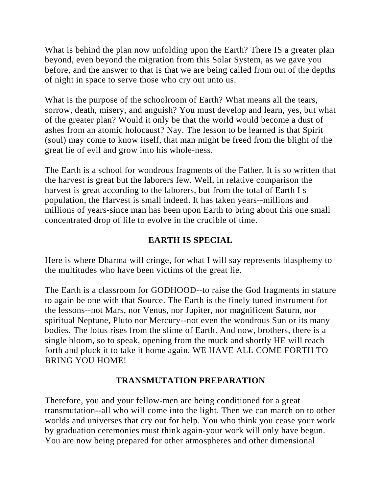What is behind the plan now unfolding upon the Earth? There IS a greater plan beyond, even beyond the migration from this Solar System, as we gave you before, and the answer to that is that we are being called from out of the depths of night in space to serve those who cry out unto us.

What is the purpose of the schoolroom of Earth? What means all the tears, sorrow, death, misery, and anguish? You must develop and learn, yes, but what of the greater plan? Would it only be that the world would become a dust of ashes from an atomic holocaust? Nay. The lesson to be learned is that Spirit (soul) may come to know itself, that man might be freed from the blight of the great lie of evil and grow into his whole-ness.

The Earth is a school for wondrous fragments of the Father. It is so written that the harvest is great but the laborers few. Well, in relative comparison the harvest is great according to the laborers, but from the total of Earth I s population, the Harvest is small indeed. It has taken years--millions and millions of years-since man has been upon Earth to bring about this one small concentrated drop of life to evolve in the crucible of time.

# **EARTH IS SPECIAL**

Here is where Dharma will cringe, for what I will say represents blasphemy to the multitudes who have been victims of the great lie.

The Earth is a classroom for GODHOOD--to raise the God fragments in stature to again be one with that Source. The Earth is the finely tuned instrument for the lessons--not Mars, nor Venus, nor Jupiter, nor magnificent Saturn, nor spiritual Neptune, Pluto nor Mercury--not even the wondrous Sun or its many bodies. The lotus rises from the slime of Earth. And now, brothers, there is a single bloom, so to speak, opening from the muck and shortly HE will reach forth and pluck it to take it home again. WE HAVE ALL COME FORTH TO BRING YOU HOME!

## **TRANSMUTATION PREPARATION**

Therefore, you and your fellow-men are being conditioned for a great transmutation--all who will come into the light. Then we can march on to other worlds and universes that cry out for help. You who think you cease your work by graduation ceremonies must think again-your work will only have begun. You are now being prepared for other atmospheres and other dimensional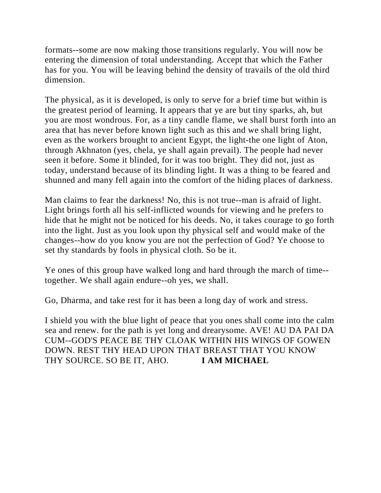formats--some are now making those transitions regularly. You will now be entering the dimension of total understanding. Accept that which the Father has for you. You will be leaving behind the density of travails of the old third dimension.

The physical, as it is developed, is only to serve for a brief time but within is the greatest period of learning. It appears that ye are but tiny sparks, ah, but you are most wondrous. For, as a tiny candle flame, we shall burst forth into an area that has never before known light such as this and we shall bring light, even as the workers brought to ancient Egypt, the light-the one light of Aton, through Akhnaton (yes, chela, ye shall again prevail). The people had never seen it before. Some it blinded, for it was too bright. They did not, just as today, understand because of its blinding light. It was a thing to be feared and shunned and many fell again into the comfort of the hiding places of darkness.

Man claims to fear the darkness! No, this is not true--man is afraid of light. Light brings forth all his self-inflicted wounds for viewing and he prefers to hide that he might not be noticed for his deeds. No, it takes courage to go forth into the light. Just as you look upon thy physical self and would make of the changes--how do you know you are not the perfection of God? Ye choose to set thy standards by fools in physical cloth. So be it.

Ye ones of this group have walked long and hard through the march of time- together. We shall again endure--oh yes, we shall.

Go, Dharma, and take rest for it has been a long day of work and stress.

I shield you with the blue light of peace that you ones shall come into the calm sea and renew. for the path is yet long and drearysome. AVE! AU DA PAI DA CUM--GOD'S PEACE BE THY CLOAK WITHIN HIS WINGS OF GOWEN DOWN. REST THY HEAD UPON THAT BREAST THAT YOU KNOW THY SOURCE. SO BE IT, AHO. **I AM MICHAEL**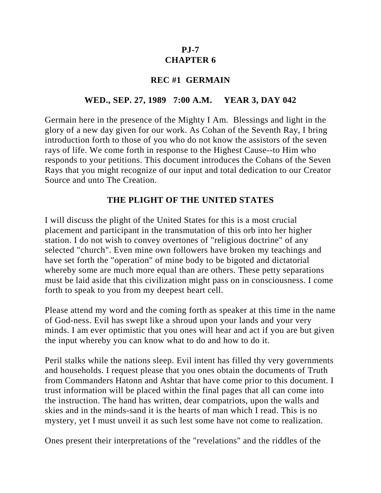## **PJ-7 CHAPTER 6**

### **REC #1 GERMAIN**

### **WED., SEP. 27, 1989 7:00 A.M. YEAR 3, DAY 042**

Germain here in the presence of the Mighty I Am. Blessings and light in the glory of a new day given for our work. As Cohan of the Seventh Ray, I bring introduction forth to those of you who do not know the assistors of the seven rays of life. We come forth in response to the Highest Cause--to Him who responds to your petitions. This document introduces the Cohans of the Seven Rays that you might recognize of our input and total dedication to our Creator Source and unto The Creation.

### **THE PLIGHT OF THE UNITED STATES**

I will discuss the plight of the United States for this is a most crucial placement and participant in the transmutation of this orb into her higher station. I do not wish to convey overtones of "religious doctrine" of any selected "church". Even mine own followers have broken my teachings and have set forth the "operation" of mine body to be bigoted and dictatorial whereby some are much more equal than are others. These petty separations must be laid aside that this civilization might pass on in consciousness. I come forth to speak to you from my deepest heart cell.

Please attend my word and the coming forth as speaker at this time in the name of God-ness. Evil has swept like a shroud upon your lands and your very minds. I am ever optimistic that you ones will hear and act if you are but given the input whereby you can know what to do and how to do it.

Peril stalks while the nations sleep. Evil intent has filled thy very governments and households. I request please that you ones obtain the documents of Truth from Commanders Hatonn and Ashtar that have come prior to this document. I trust information will be placed within the final pages that all can come into the instruction. The hand has written, dear compatriots, upon the walls and skies and in the minds-sand it is the hearts of man which I read. This is no mystery, yet I must unveil it as such lest some have not come to realization.

Ones present their interpretations of the "revelations" and the riddles of the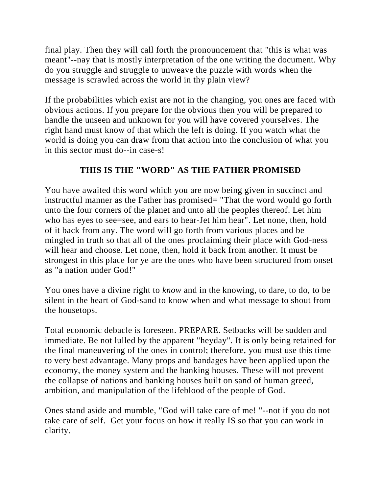final play. Then they will call forth the pronouncement that "this is what was meant"--nay that is mostly interpretation of the one writing the document. Why do you struggle and struggle to unweave the puzzle with words when the message is scrawled across the world in thy plain view?

If the probabilities which exist are not in the changing, you ones are faced with obvious actions. If you prepare for the obvious then you will be prepared to handle the unseen and unknown for you will have covered yourselves. The right hand must know of that which the left is doing. If you watch what the world is doing you can draw from that action into the conclusion of what you in this sector must do--in case-s!

# **THIS IS THE "WORD" AS THE FATHER PROMISED**

You have awaited this word which you are now being given in succinct and instructful manner as the Father has promised= "That the word would go forth unto the four corners of the planet and unto all the peoples thereof. Let him who has eyes to see=see, and ears to hear-Jet him hear". Let none, then, hold of it back from any. The word will go forth from various places and be mingled in truth so that all of the ones proclaiming their place with God-ness will hear and choose. Let none, then, hold it back from another. It must be strongest in this place for ye are the ones who have been structured from onset as "a nation under God!"

You ones have a divine right to *know* and in the knowing, to dare, to do, to be silent in the heart of God-sand to know when and what message to shout from the housetops.

Total economic debacle is foreseen. PREPARE. Setbacks will be sudden and immediate. Be not lulled by the apparent "heyday". It is only being retained for the final maneuvering of the ones in control; therefore, you must use this time to very best advantage. Many props and bandages have been applied upon the economy, the money system and the banking houses. These will not prevent the collapse of nations and banking houses built on sand of human greed, ambition, and manipulation of the lifeblood of the people of God.

Ones stand aside and mumble, "God will take care of me! "--not if you do not take care of self. Get your focus on how it really IS so that you can work in clarity.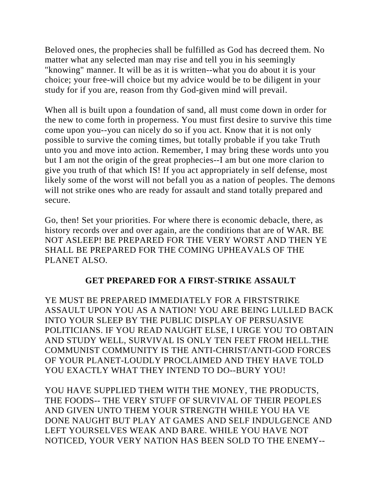Beloved ones, the prophecies shall be fulfilled as God has decreed them. No matter what any selected man may rise and tell you in his seemingly "knowing" manner. It will be as it is written--what you do about it is your choice; your free-will choice but my advice would be to be diligent in your study for if you are, reason from thy God-given mind will prevail.

When all is built upon a foundation of sand, all must come down in order for the new to come forth in properness. You must first desire to survive this time come upon you--you can nicely do so if you act. Know that it is not only possible to survive the coming times, but totally probable if you take Truth unto you and move into action. Remember, I may bring these words unto you but I am not the origin of the great prophecies--I am but one more clarion to give you truth of that which IS! If you act appropriately in self defense, most likely some of the worst will not befall you as a nation of peoples. The demons will not strike ones who are ready for assault and stand totally prepared and secure.

Go, then! Set your priorities. For where there is economic debacle, there, as history records over and over again, are the conditions that are of WAR. BE NOT ASLEEP! BE PREPARED FOR THE VERY WORST AND THEN YE SHALL BE PREPARED FOR THE COMING UPHEAVALS OF THE PLANET ALSO.

## **GET PREPARED FOR A FIRST-STRIKE ASSAULT**

YE MUST BE PREPARED IMMEDIATELY FOR A FIRSTSTRIKE ASSAULT UPON YOU AS A NATION! YOU ARE BEING LULLED BACK INTO YOUR SLEEP BY THE PUBLIC DISPLAY OF PERSUASIVE POLITICIANS. IF YOU READ NAUGHT ELSE, I URGE YOU TO OBTAIN AND STUDY WELL, SURVIVAL IS ONLY TEN FEET FROM HELL.THE COMMUNIST COMMUNITY IS THE ANTI-CHRIST/ANTI-GOD FORCES OF YOUR PLANET-LOUDLY PROCLAIMED AND THEY HAVE TOLD YOU EXACTLY WHAT THEY INTEND TO DO--BURY YOU!

YOU HAVE SUPPLIED THEM WITH THE MONEY, THE PRODUCTS, THE FOODS-- THE VERY STUFF OF SURVIVAL OF THEIR PEOPLES AND GIVEN UNTO THEM YOUR STRENGTH WHILE YOU HA VE DONE NAUGHT BUT PLAY AT GAMES AND SELF INDULGENCE AND LEFT YOURSELVES WEAK AND BARE. WHILE YOU HAVE NOT NOTICED, YOUR VERY NATION HAS BEEN SOLD TO THE ENEMY--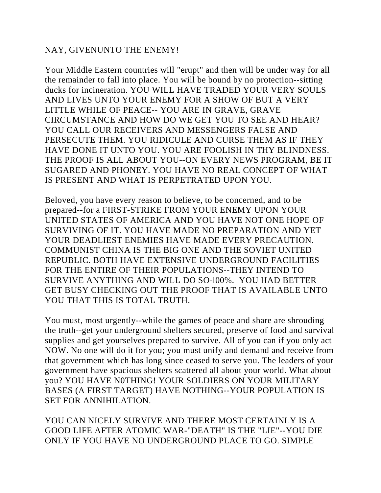### NAY, GIVENUNTO THE ENEMY!

Your Middle Eastern countries will "erupt" and then will be under way for all the remainder to fall into place. You will be bound by no protection--sitting ducks for incineration. YOU WILL HAVE TRADED YOUR VERY SOULS AND LIVES UNTO YOUR ENEMY FOR A SHOW OF BUT A VERY LITTLE WHILE OF PEACE-- YOU ARE IN GRAVE, GRAVE CIRCUMSTANCE AND HOW DO WE GET YOU TO SEE AND HEAR? YOU CALL OUR RECEIVERS AND MESSENGERS FALSE AND PERSECUTE THEM. YOU RIDICULE AND CURSE THEM AS IF THEY HAVE DONE IT UNTO YOU. YOU ARE FOOLISH IN THY BLINDNESS. THE PROOF IS ALL ABOUT YOU--ON EVERY NEWS PROGRAM, BE IT SUGARED AND PHONEY. YOU HAVE NO REAL CONCEPT OF WHAT IS PRESENT AND WHAT IS PERPETRATED UPON YOU.

Beloved, you have every reason to believe, to be concerned, and to be prepared--for a FIRST-STRIKE FROM YOUR ENEMY UPON YOUR UNITED STATES OF AMERICA AND YOU HAVE NOT ONE HOPE OF SURVIVING OF IT. YOU HAVE MADE NO PREPARATION AND YET YOUR DEADLIEST ENEMIES HAVE MADE EVERY PRECAUTION. COMMUNIST CHINA IS THE BIG ONE AND THE SOVIET UNITED REPUBLIC. BOTH HAVE EXTENSIVE UNDERGROUND FACILITIES FOR THE ENTIRE OF THEIR POPULATIONS--THEY INTEND TO SURVIVE ANYTHING AND WILL DO SO-l00%. YOU HAD BETTER GET BUSY CHECKING OUT THE PROOF THAT IS AVAILABLE UNTO YOU THAT THIS IS TOTAL TRUTH.

You must, most urgently--while the games of peace and share are shrouding the truth--get your underground shelters secured, preserve of food and survival supplies and get yourselves prepared to survive. All of you can if you only act NOW. No one will do it for you; you must unify and demand and receive from that government which has long since ceased to serve you. The leaders of your government have spacious shelters scattered all about your world. What about you? YOU HAVE N0THING! YOUR SOLDIERS ON YOUR MILITARY BASES (A FIRST TARGET) HAVE NOTHING--YOUR POPULATION IS SET FOR ANNIHILATION.

YOU CAN NICELY SURVIVE AND THERE MOST CERTAINLY IS A GOOD LIFE AFTER ATOMIC WAR-"DEATH" IS THE "LIE"--YOU DIE ONLY IF YOU HAVE NO UNDERGROUND PLACE TO GO. SIMPLE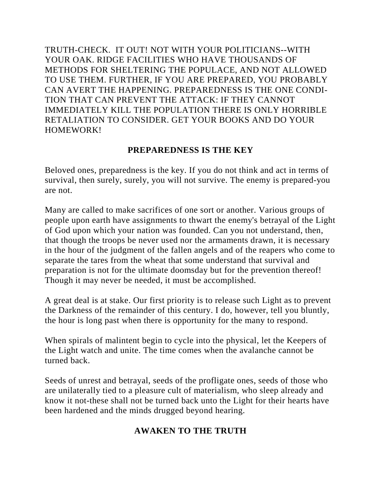TRUTH-CHECK. IT OUT! NOT WITH YOUR POLITICIANS--WITH YOUR OAK. RIDGE FACILITIES WHO HAVE THOUSANDS OF METHODS FOR SHELTERING THE POPULACE, AND NOT ALLOWED TO USE THEM. FURTHER, IF YOU ARE PREPARED, YOU PROBABLY CAN AVERT THE HAPPENING. PREPAREDNESS IS THE ONE CONDI-TION THAT CAN PREVENT THE ATTACK: IF THEY CANNOT IMMEDIATELY KILL THE POPULATION THERE IS ONLY HORRIBLE RETALIATION TO CONSIDER. GET YOUR BOOKS AND DO YOUR HOMEWORK!

### **PREPAREDNESS IS THE KEY**

Beloved ones, preparedness is the key. If you do not think and act in terms of survival, then surely, surely, you will not survive. The enemy is prepared-you are not.

Many are called to make sacrifices of one sort or another. Various groups of people upon earth have assignments to thwart the enemy's betrayal of the Light of God upon which your nation was founded. Can you not understand, then, that though the troops be never used nor the armaments drawn, it is necessary in the hour of the judgment of the fallen angels and of the reapers who come to separate the tares from the wheat that some understand that survival and preparation is not for the ultimate doomsday but for the prevention thereof! Though it may never be needed, it must be accomplished.

A great deal is at stake. Our first priority is to release such Light as to prevent the Darkness of the remainder of this century. I do, however, tell you bluntly, the hour is long past when there is opportunity for the many to respond.

When spirals of malintent begin to cycle into the physical, let the Keepers of the Light watch and unite. The time comes when the avalanche cannot be turned back.

Seeds of unrest and betrayal, seeds of the profligate ones, seeds of those who are unilaterally tied to a pleasure cult of materialism, who sleep already and know it not-these shall not be turned back unto the Light for their hearts have been hardened and the minds drugged beyond hearing.

# **AWAKEN TO THE TRUTH**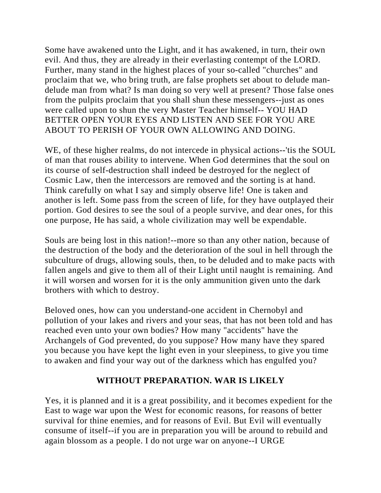Some have awakened unto the Light, and it has awakened, in turn, their own evil. And thus, they are already in their everlasting contempt of the LORD. Further, many stand in the highest places of your so-called "churches" and proclaim that we, who bring truth, are false prophets set about to delude mandelude man from what? Is man doing so very well at present? Those false ones from the pulpits proclaim that you shall shun these messengers--just as ones were called upon to shun the very Master Teacher himself-- YOU HAD BETTER OPEN YOUR EYES AND LISTEN AND SEE FOR YOU ARE ABOUT TO PERISH OF YOUR OWN ALLOWING AND DOING.

WE, of these higher realms, do not intercede in physical actions--'tis the SOUL of man that rouses ability to intervene. When God determines that the soul on its course of self-destruction shall indeed be destroyed for the neglect of Cosmic Law, then the intercessors are removed and the sorting is at hand. Think carefully on what I say and simply observe life! One is taken and another is left. Some pass from the screen of life, for they have outplayed their portion. God desires to see the soul of a people survive, and dear ones, for this one purpose, He has said, a whole civilization may well be expendable.

Souls are being lost in this nation!--more so than any other nation, because of the destruction of the body and the deterioration of the soul in hell through the subculture of drugs, allowing souls, then, to be deluded and to make pacts with fallen angels and give to them all of their Light until naught is remaining. And it will worsen and worsen for it is the only ammunition given unto the dark brothers with which to destroy.

Beloved ones, how can you understand-one accident in Chernobyl and pollution of your lakes and rivers and your seas, that has not been told and has reached even unto your own bodies? How many "accidents" have the Archangels of God prevented, do you suppose? How many have they spared you because you have kept the light even in your sleepiness, to give you time to awaken and find your way out of the darkness which has engulfed you?

### **WITHOUT PREPARATION. WAR IS LIKELY**

Yes, it is planned and it is a great possibility, and it becomes expedient for the East to wage war upon the West for economic reasons, for reasons of better survival for thine enemies, and for reasons of Evil. But Evil will eventually consume of itself--if you are in preparation you will be around to rebuild and again blossom as a people. I do not urge war on anyone--I URGE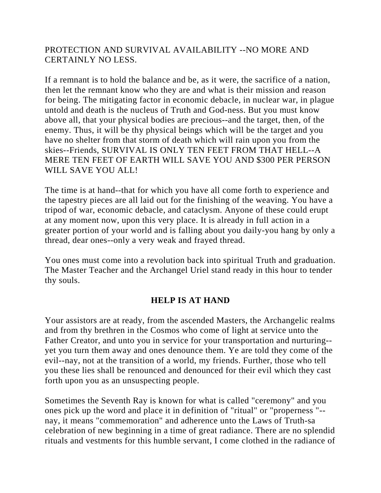## PROTECTION AND SURVIVAL AVAILABILITY --NO MORE AND CERTAINLY NO LESS.

If a remnant is to hold the balance and be, as it were, the sacrifice of a nation, then let the remnant know who they are and what is their mission and reason for being. The mitigating factor in economic debacle, in nuclear war, in plague untold and death is the nucleus of Truth and God-ness. But you must know above all, that your physical bodies are precious--and the target, then, of the enemy. Thus, it will be thy physical beings which will be the target and you have no shelter from that storm of death which will rain upon you from the skies--Friends, SURVIVAL IS ONLY TEN FEET FROM THAT HELL--A MERE TEN FEET OF EARTH WILL SAVE YOU AND \$300 PER PERSON WILL SAVE YOU ALL!

The time is at hand--that for which you have all come forth to experience and the tapestry pieces are all laid out for the finishing of the weaving. You have a tripod of war, economic debacle, and cataclysm. Anyone of these could erupt at any moment now, upon this very place. It is already in full action in a greater portion of your world and is falling about you daily-you hang by only a thread, dear ones--only a very weak and frayed thread.

You ones must come into a revolution back into spiritual Truth and graduation. The Master Teacher and the Archangel Uriel stand ready in this hour to tender thy souls.

## **HELP IS AT HAND**

Your assistors are at ready, from the ascended Masters, the Archangelic realms and from thy brethren in the Cosmos who come of light at service unto the Father Creator, and unto you in service for your transportation and nurturing- yet you turn them away and ones denounce them. Ye are told they come of the evil--nay, not at the transition of a world, my friends. Further, those who tell you these lies shall be renounced and denounced for their evil which they cast forth upon you as an unsuspecting people.

Sometimes the Seventh Ray is known for what is called "ceremony" and you ones pick up the word and place it in definition of "ritual" or "properness "- nay, it means "commemoration" and adherence unto the Laws of Truth-sa celebration of new beginning in a time of great radiance. There are no splendid rituals and vestments for this humble servant, I come clothed in the radiance of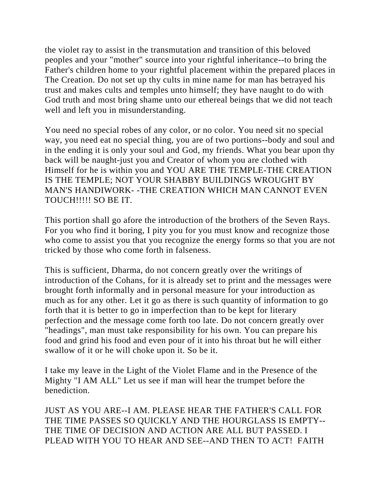the violet ray to assist in the transmutation and transition of this beloved peoples and your "mother" source into your rightful inheritance--to bring the Father's children home to your rightful placement within the prepared places in The Creation. Do not set up thy cults in mine name for man has betrayed his trust and makes cults and temples unto himself; they have naught to do with God truth and most bring shame unto our ethereal beings that we did not teach well and left you in misunderstanding.

You need no special robes of any color, or no color. You need sit no special way, you need eat no special thing, you are of two portions--body and soul and in the ending it is only your soul and God, my friends. What you bear upon thy back will be naught-just you and Creator of whom you are clothed with Himself for he is within you and YOU ARE THE TEMPLE-THE CREATION IS THE TEMPLE; NOT YOUR SHABBY BUILDINGS WROUGHT BY MAN'S HANDIWORK- -THE CREATION WHICH MAN CANNOT EVEN TOUCH!!!!! SO BE IT.

This portion shall go afore the introduction of the brothers of the Seven Rays. For you who find it boring, I pity you for you must know and recognize those who come to assist you that you recognize the energy forms so that you are not tricked by those who come forth in falseness.

This is sufficient, Dharma, do not concern greatly over the writings of introduction of the Cohans, for it is already set to print and the messages were brought forth informally and in personal measure for your introduction as much as for any other. Let it go as there is such quantity of information to go forth that it is better to go in imperfection than to be kept for literary perfection and the message come forth too late. Do not concern greatly over "headings", man must take responsibility for his own. You can prepare his food and grind his food and even pour of it into his throat but he will either swallow of it or he will choke upon it. So be it.

I take my leave in the Light of the Violet Flame and in the Presence of the Mighty "I AM ALL" Let us see if man will hear the trumpet before the benediction.

JUST AS YOU ARE--I AM. PLEASE HEAR THE FATHER'S CALL FOR THE TIME PASSES SO QUICKLY AND THE HOURGLASS IS EMPTY-- THE TIME OF DECISION AND ACTION ARE ALL BUT PASSED. I PLEAD WITH YOU TO HEAR AND SEE--AND THEN TO ACT! FAITH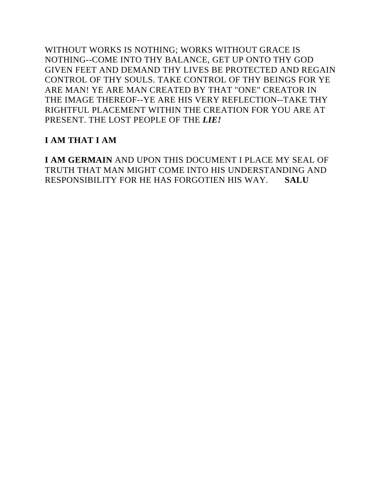WITHOUT WORKS IS NOTHING; WORKS WITHOUT GRACE IS NOTHING--COME INTO THY BALANCE, GET UP ONTO THY GOD GIVEN FEET AND DEMAND THY LIVES BE PROTECTED AND REGAIN CONTROL OF THY SOULS. TAKE CONTROL OF THY BEINGS FOR YE ARE MAN! YE ARE MAN CREATED BY THAT "ONE" CREATOR IN THE IMAGE THEREOF--YE ARE HIS VERY REFLECTION--TAKE THY RIGHTFUL PLACEMENT WITHIN THE CREATION FOR YOU ARE AT PRESENT. THE LOST PEOPLE OF THE *LIE!*

# **I AM THAT I AM**

**I AM GERMAIN** AND UPON THIS DOCUMENT I PLACE MY SEAL OF TRUTH THAT MAN MIGHT COME INTO HIS UNDERSTANDING AND RESPONSIBILITY FOR HE HAS FORGOTIEN HIS WAY. **SALU**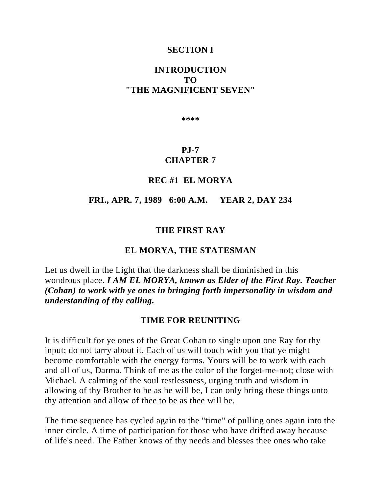### **SECTION I**

### **INTRODUCTION TO "THE MAGNIFICENT SEVEN"**

**\*\*\*\***

### **PJ-7 CHAPTER 7**

#### **REC #1 EL MORYA**

#### **FRI., APR. 7, 1989 6:00 A.M. YEAR 2, DAY 234**

#### **THE FIRST RAY**

#### **EL MORYA, THE STATESMAN**

Let us dwell in the Light that the darkness shall be diminished in this wondrous place. *I AM EL MORYA, known as Elder of the First Ray. Teacher (Cohan) to work with ye ones in bringing forth impersonality in wisdom and understanding of thy calling.*

#### **TIME FOR REUNITING**

It is difficult for ye ones of the Great Cohan to single upon one Ray for thy input; do not tarry about it. Each of us will touch with you that ye might become comfortable with the energy forms. Yours will be to work with each and all of us, Darma. Think of me as the color of the forget-me-not; close with Michael. A calming of the soul restlessness, urging truth and wisdom in allowing of thy Brother to be as he will be, I can only bring these things unto thy attention and allow of thee to be as thee will be.

The time sequence has cycled again to the "time" of pulling ones again into the inner circle. A time of participation for those who have drifted away because of life's need. The Father knows of thy needs and blesses thee ones who take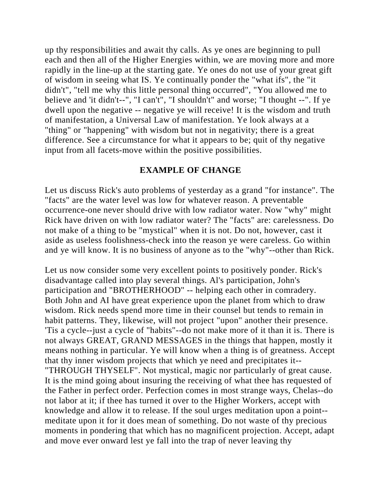up thy responsibilities and await thy calls. As ye ones are beginning to pull each and then all of the Higher Energies within, we are moving more and more rapidly in the line-up at the starting gate. Ye ones do not use of your great gift of wisdom in seeing what IS. Ye continually ponder the "what ifs", the "it didn't", "tell me why this little personal thing occurred", "You allowed me to believe and 'it didn't--", "I can't", "I shouldn't" and worse; "I thought --". If ye dwell upon the negative -- negative ye will receive! It is the wisdom and truth of manifestation, a Universal Law of manifestation. Ye look always at a "thing" or "happening" with wisdom but not in negativity; there is a great difference. See a circumstance for what it appears to be; quit of thy negative input from all facets-move within the positive possibilities.

### **EXAMPLE OF CHANGE**

Let us discuss Rick's auto problems of yesterday as a grand "for instance". The "facts" are the water level was low for whatever reason. A preventable occurrence-one never should drive with low radiator water. Now "why" might Rick have driven on with low radiator water? The "facts" are: carelessness. Do not make of a thing to be "mystical" when it is not. Do not, however, cast it aside as useless foolishness-check into the reason ye were careless. Go within and ye will know. It is no business of anyone as to the "why"--other than Rick.

Let us now consider some very excellent points to positively ponder. Rick's disadvantage called into play several things. Al's participation, John's participation and "BROTHERHOOD" -- helping each other in comradery. Both John and AI have great experience upon the planet from which to draw wisdom. Rick needs spend more time in their counsel but tends to remain in habit patterns. They, likewise, will not project "upon" another their presence. 'Tis a cycle--just a cycle of "habits"--do not make more of it than it is. There is not always GREAT, GRAND MESSAGES in the things that happen, mostly it means nothing in particular. Ye will know when a thing is of greatness. Accept that thy inner wisdom projects that which ye need and precipitates it-- "THROUGH THYSELF". Not mystical, magic nor particularly of great cause. It is the mind going about insuring the receiving of what thee has requested of the Father in perfect order. Perfection comes in most strange ways, Chelas--do not labor at it; if thee has turned it over to the Higher Workers, accept with knowledge and allow it to release. If the soul urges meditation upon a point- meditate upon it for it does mean of something. Do not waste of thy precious moments in pondering that which has no magnificent projection. Accept, adapt and move ever onward lest ye fall into the trap of never leaving thy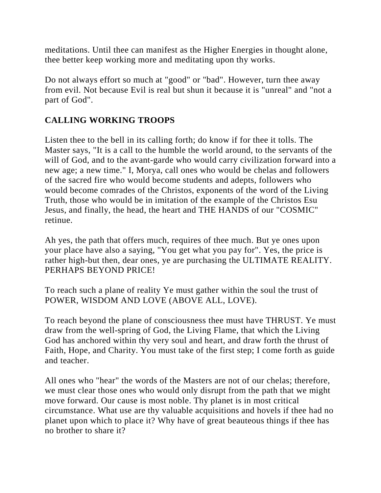meditations. Until thee can manifest as the Higher Energies in thought alone, thee better keep working more and meditating upon thy works.

Do not always effort so much at "good" or "bad". However, turn thee away from evil. Not because Evil is real but shun it because it is "unreal" and "not a part of God".

# **CALLING WORKING TROOPS**

Listen thee to the bell in its calling forth; do know if for thee it tolls. The Master says, "It is a call to the humble the world around, to the servants of the will of God, and to the avant-garde who would carry civilization forward into a new age; a new time." I, Morya, call ones who would be chelas and followers of the sacred fire who would become students and adepts, followers who would become comrades of the Christos, exponents of the word of the Living Truth, those who would be in imitation of the example of the Christos Esu Jesus, and finally, the head, the heart and THE HANDS of our "COSMIC" retinue.

Ah yes, the path that offers much, requires of thee much. But ye ones upon your place have also a saying, "You get what you pay for". Yes, the price is rather high-but then, dear ones, ye are purchasing the ULTIMATE REALITY. PERHAPS BEYOND PRICE!

To reach such a plane of reality Ye must gather within the soul the trust of POWER, WISDOM AND LOVE (ABOVE ALL, LOVE).

To reach beyond the plane of consciousness thee must have THRUST. Ye must draw from the well-spring of God, the Living Flame, that which the Living God has anchored within thy very soul and heart, and draw forth the thrust of Faith, Hope, and Charity. You must take of the first step; I come forth as guide and teacher.

All ones who "hear" the words of the Masters are not of our chelas; therefore, we must clear those ones who would only disrupt from the path that we might move forward. Our cause is most noble. Thy planet is in most critical circumstance. What use are thy valuable acquisitions and hovels if thee had no planet upon which to place it? Why have of great beauteous things if thee has no brother to share it?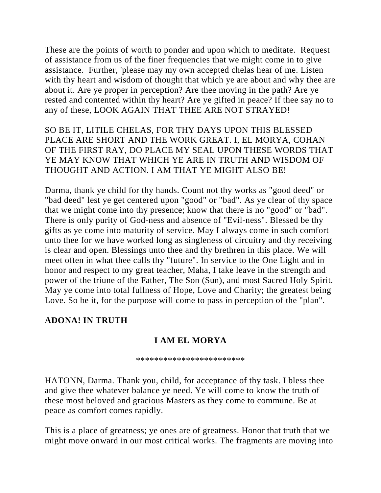These are the points of worth to ponder and upon which to meditate. Request of assistance from us of the finer frequencies that we might come in to give assistance. Further, 'please may my own accepted chelas hear of me. Listen with thy heart and wisdom of thought that which ye are about and why thee are about it. Are ye proper in perception? Are thee moving in the path? Are ye rested and contented within thy heart? Are ye gifted in peace? If thee say no to any of these, LOOK AGAIN THAT THEE ARE NOT STRAYED!

SO BE IT, LITILE CHELAS, FOR THY DAYS UPON THIS BLESSED PLACE ARE SHORT AND THE WORK GREAT. I, EL MORYA, COHAN OF THE FIRST RAY, DO PLACE MY SEAL UPON THESE WORDS THAT YE MAY KNOW THAT WHICH YE ARE IN TRUTH AND WISDOM OF THOUGHT AND ACTION. I AM THAT YE MIGHT ALSO BE!

Darma, thank ye child for thy hands. Count not thy works as "good deed" or "bad deed" lest ye get centered upon "good" or "bad". As ye clear of thy space that we might come into thy presence; know that there is no "good" or "bad". There is only purity of God-ness and absence of "Evil-ness". Blessed be thy gifts as ye come into maturity of service. May I always come in such comfort unto thee for we have worked long as singleness of circuitry and thy receiving is clear and open. Blessings unto thee and thy brethren in this place. We will meet often in what thee calls thy "future". In service to the One Light and in honor and respect to my great teacher, Maha, I take leave in the strength and power of the triune of the Father, The Son (Sun), and most Sacred Holy Spirit. May ye come into total fullness of Hope, Love and Charity; the greatest being Love. So be it, for the purpose will come to pass in perception of the "plan".

### **ADONA! IN TRUTH**

### **I AM EL MORYA**

\*\*\*\*\*\*\*\*\*\*\*\*\*\*\*\*\*\*\*\*\*\*\*\*

HATONN, Darma. Thank you, child, for acceptance of thy task. I bless thee and give thee whatever balance ye need. Ye will come to know the truth of these most beloved and gracious Masters as they come to commune. Be at peace as comfort comes rapidly.

This is a place of greatness; ye ones are of greatness. Honor that truth that we might move onward in our most critical works. The fragments are moving into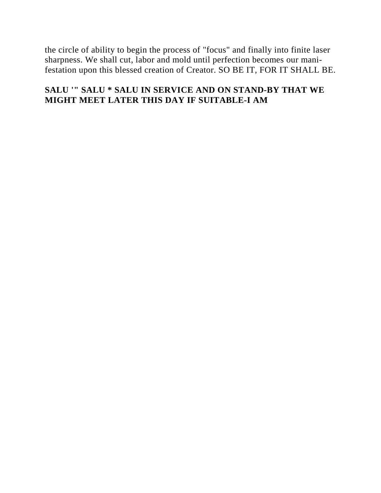the circle of ability to begin the process of "focus" and finally into finite laser sharpness. We shall cut, labor and mold until perfection becomes our manifestation upon this blessed creation of Creator. SO BE IT, FOR IT SHALL BE.

# **SALU '" SALU \* SALU IN SERVICE AND ON STAND-BY THAT WE MIGHT MEET LATER THIS DAY IF SUITABLE-I AM**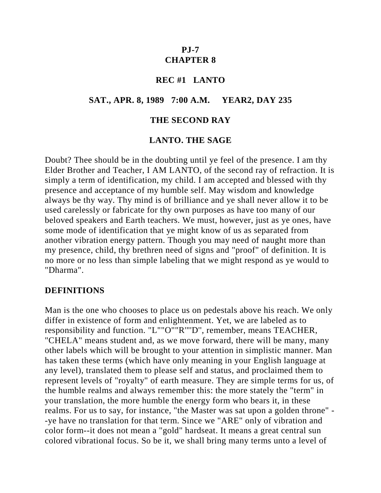### **PJ-7 CHAPTER 8**

### **REC #1 LANTO**

### **SAT., APR. 8, 1989 7:00 A.M. YEAR2, DAY 235**

#### **THE SECOND RAY**

#### **LANTO. THE SAGE**

Doubt? Thee should be in the doubting until ye feel of the presence. I am thy Elder Brother and Teacher, I AM LANTO, of the second ray of refraction. It is simply a term of identification, my child. I am accepted and blessed with thy presence and acceptance of my humble self. May wisdom and knowledge always be thy way. Thy mind is of brilliance and ye shall never allow it to be used carelessly or fabricate for thy own purposes as have too many of our beloved speakers and Earth teachers. We must, however, just as ye ones, have some mode of identification that ye might know of us as separated from another vibration energy pattern. Though you may need of naught more than my presence, child, thy brethren need of signs and "proof" of definition. It is no more or no less than simple labeling that we might respond as ye would to "Dharma".

#### **DEFINITIONS**

Man is the one who chooses to place us on pedestals above his reach. We only differ in existence of form and enlightenment. Yet, we are labeled as to responsibility and function. "L""O""R''''D'', remember, means TEACHER, "CHELA" means student and, as we move forward, there will be many, many other labels which will be brought to your attention in simplistic manner. Man has taken these terms (which have only meaning in your English language at any level), translated them to please self and status, and proclaimed them to represent levels of "royalty" of earth measure. They are simple terms for us, of the humble realms and always remember this: the more stately the "term" in your translation, the more humble the energy form who bears it, in these realms. For us to say, for instance, "the Master was sat upon a golden throne" - -ye have no translation for that term. Since we "ARE" only of vibration and color form--it does not mean a "gold" hardseat. It means a great central sun colored vibrational focus. So be it, we shall bring many terms unto a level of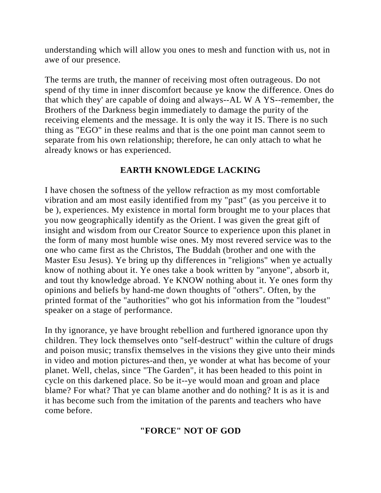understanding which will allow you ones to mesh and function with us, not in awe of our presence.

The terms are truth, the manner of receiving most often outrageous. Do not spend of thy time in inner discomfort because ye know the difference. Ones do that which they' are capable of doing and always--AL W A YS--remember, the Brothers of the Darkness begin immediately to damage the purity of the receiving elements and the message. It is only the way it IS. There is no such thing as "EGO" in these realms and that is the one point man cannot seem to separate from his own relationship; therefore, he can only attach to what he already knows or has experienced.

## **EARTH KNOWLEDGE LACKING**

I have chosen the softness of the yellow refraction as my most comfortable vibration and am most easily identified from my "past" (as you perceive it to be ), experiences. My existence in mortal form brought me to your places that you now geographically identify as the Orient. I was given the great gift of insight and wisdom from our Creator Source to experience upon this planet in the form of many most humble wise ones. My most revered service was to the one who came first as the Christos, The Buddah (brother and one with the Master Esu Jesus). Ye bring up thy differences in "religions" when ye actually know of nothing about it. Ye ones take a book written by "anyone", absorb it, and tout thy knowledge abroad. Ye KNOW nothing about it. Ye ones form thy opinions and beliefs by hand-me down thoughts of "others". Often, by the printed format of the "authorities" who got his information from the "loudest" speaker on a stage of performance.

In thy ignorance, ye have brought rebellion and furthered ignorance upon thy children. They lock themselves onto "self-destruct" within the culture of drugs and poison music; transfix themselves in the visions they give unto their minds in video and motion pictures-and then, ye wonder at what has become of your planet. Well, chelas, since "The Garden", it has been headed to this point in cycle on this darkened place. So be it--ye would moan and groan and place blame? For what? That ye can blame another and do nothing? It is as it is and it has become such from the imitation of the parents and teachers who have come before.

# **"FORCE" NOT OF GOD**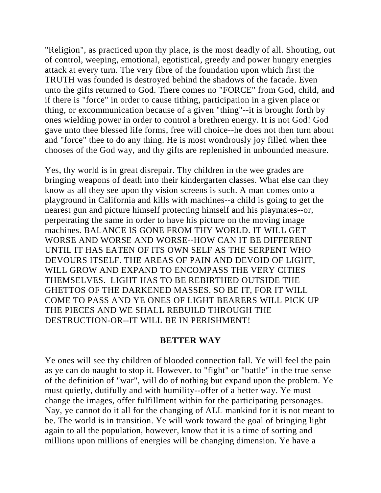"Religion", as practiced upon thy place, is the most deadly of all. Shouting, out of control, weeping, emotional, egotistical, greedy and power hungry energies attack at every turn. The very fibre of the foundation upon which first the TRUTH was founded is destroyed behind the shadows of the facade. Even unto the gifts returned to God. There comes no "FORCE" from God, child, and if there is "force" in order to cause tithing, participation in a given place or thing, or excommunication because of a given "thing"--it is brought forth by ones wielding power in order to control a brethren energy. It is not God! God gave unto thee blessed life forms, free will choice--he does not then turn about and "force" thee to do any thing. He is most wondrously joy filled when thee chooses of the God way, and thy gifts are replenished in unbounded measure.

Yes, thy world is in great disrepair. Thy children in the wee grades are bringing weapons of death into their kindergarten classes. What else can they know as all they see upon thy vision screens is such. A man comes onto a playground in California and kills with machines--a child is going to get the nearest gun and picture himself protecting himself and his playmates--or, perpetrating the same in order to have his picture on the moving image machines. BALANCE IS GONE FROM THY WORLD. IT WILL GET WORSE AND WORSE AND WORSE--HOW CAN IT BE DIFFERENT UNTIL IT HAS EATEN OF ITS OWN SELF AS THE SERPENT WHO DEVOURS ITSELF. THE AREAS OF PAIN AND DEVOID OF LIGHT, WILL GROW AND EXPAND TO ENCOMPASS THE VERY CITIES THEMSELVES. LIGHT HAS TO BE REBIRTHED OUTSIDE THE GHETTOS OF THE DARKENED MASSES. SO BE IT, FOR IT WILL COME TO PASS AND YE ONES OF LIGHT BEARERS WILL PICK UP THE PIECES AND WE SHALL REBUILD THROUGH THE DESTRUCTION-OR--IT WILL BE IN PERISHMENT!

### **BETTER WAY**

Ye ones will see thy children of blooded connection fall. Ye will feel the pain as ye can do naught to stop it. However, to "fight" or "battle" in the true sense of the definition of "war", will do of nothing but expand upon the problem. Ye must quietly, dutifully and with humility--offer of a better way. Ye must change the images, offer fulfillment within for the participating personages. Nay, ye cannot do it all for the changing of ALL mankind for it is not meant to be. The world is in transition. Ye will work toward the goal of bringing light again to all the population, however, know that it is a time of sorting and millions upon millions of energies will be changing dimension. Ye have a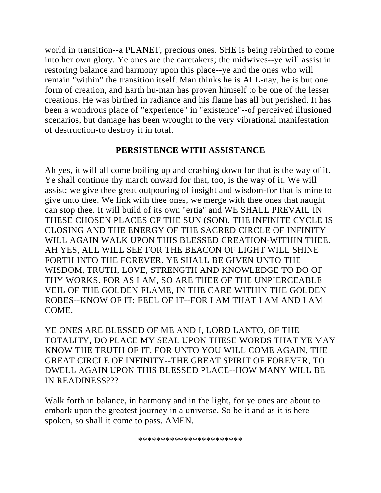world in transition--a PLANET, precious ones. SHE is being rebirthed to come into her own glory. Ye ones are the caretakers; the midwives--ye will assist in restoring balance and harmony upon this place--ye and the ones who will remain "within" the transition itself. Man thinks he is ALL-nay, he is but one form of creation, and Earth hu-man has proven himself to be one of the lesser creations. He was birthed in radiance and his flame has all but perished. It has been a wondrous place of "experience" in "existence"--of perceived illusioned scenarios, but damage has been wrought to the very vibrational manifestation of destruction-to destroy it in total.

### **PERSISTENCE WITH ASSISTANCE**

Ah yes, it will all come boiling up and crashing down for that is the way of it. Ye shall continue thy march onward for that, too, is the way of it. We will assist; we give thee great outpouring of insight and wisdom-for that is mine to give unto thee. We link with thee ones, we merge with thee ones that naught can stop thee. It will build of its own "ertia" and WE SHALL PREVAIL IN THESE CHOSEN PLACES OF THE SUN (SON). THE INFINITE CYCLE IS CLOSING AND THE ENERGY OF THE SACRED CIRCLE OF INFINITY WILL AGAIN WALK UPON THIS BLESSED CREATION-WITHIN THEE. AH YES, ALL WILL SEE FOR THE BEACON OF LIGHT WILL SHINE FORTH INTO THE FOREVER. YE SHALL BE GIVEN UNTO THE WISDOM, TRUTH, LOVE, STRENGTH AND KNOWLEDGE TO DO OF THY WORKS. FOR AS I AM, SO ARE THEE OF THE UNPIERCEABLE VEIL OF THE GOLDEN FLAME, IN THE CARE WITHIN THE GOLDEN ROBES--KNOW OF IT; FEEL OF IT--FOR I AM THAT I AM AND I AM COME.

YE ONES ARE BLESSED OF ME AND I, LORD LANTO, OF THE TOTALITY, DO PLACE MY SEAL UPON THESE WORDS THAT YE MAY KNOW THE TRUTH OF IT. FOR UNTO YOU WILL COME AGAIN, THE GREAT CIRCLE OF INFINITY--THE GREAT SPIRIT OF FOREVER, TO DWELL AGAIN UPON THIS BLESSED PLACE--HOW MANY WILL BE IN READINESS???

Walk forth in balance, in harmony and in the light, for ye ones are about to embark upon the greatest journey in a universe. So be it and as it is here spoken, so shall it come to pass. AMEN.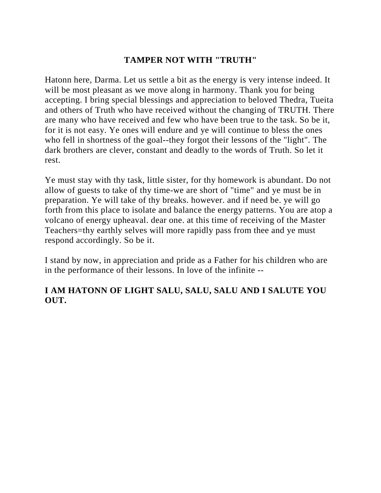## **TAMPER NOT WITH "TRUTH"**

Hatonn here, Darma. Let us settle a bit as the energy is very intense indeed. It will be most pleasant as we move along in harmony. Thank you for being accepting. I bring special blessings and appreciation to beloved Thedra, Tueita and others of Truth who have received without the changing of TRUTH. There are many who have received and few who have been true to the task. So be it, for it is not easy. Ye ones will endure and ye will continue to bless the ones who fell in shortness of the goal--they forgot their lessons of the "light". The dark brothers are clever, constant and deadly to the words of Truth. So let it rest.

Ye must stay with thy task, little sister, for thy homework is abundant. Do not allow of guests to take of thy time-we are short of "time" and ye must be in preparation. Ye will take of thy breaks. however. and if need be. ye will go forth from this place to isolate and balance the energy patterns. You are atop a volcano of energy upheaval. dear one. at this time of receiving of the Master Teachers=thy earthly selves will more rapidly pass from thee and ye must respond accordingly. So be it.

I stand by now, in appreciation and pride as a Father for his children who are in the performance of their lessons. In love of the infinite --

## **I AM HATONN OF LIGHT SALU, SALU, SALU AND I SALUTE YOU OUT.**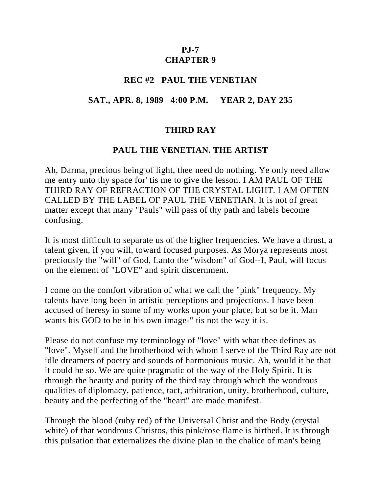### **PJ-7 CHAPTER 9**

### **REC #2 PAUL THE VENETIAN**

### **SAT., APR. 8, 1989 4:00 P.M. YEAR 2, DAY 235**

#### **THIRD RAY**

#### **PAUL THE VENETIAN. THE ARTIST**

Ah, Darma, precious being of light, thee need do nothing. Ye only need allow me entry unto thy space for' tis me to give the lesson. I AM PAUL OF THE THIRD RAY OF REFRACTION OF THE CRYSTAL LIGHT. I AM OFTEN CALLED BY THE LABEL OF PAUL THE VENETIAN. It is not of great matter except that many "Pauls" will pass of thy path and labels become confusing.

It is most difficult to separate us of the higher frequencies. We have a thrust, a talent given, if you will, toward focused purposes. As Morya represents most preciously the "will" of God, Lanto the "wisdom" of God--I, Paul, will focus on the element of "LOVE" and spirit discernment.

I come on the comfort vibration of what we call the "pink" frequency. My talents have long been in artistic perceptions and projections. I have been accused of heresy in some of my works upon your place, but so be it. Man wants his GOD to be in his own image-" tis not the way it is.

Please do not confuse my terminology of "love" with what thee defines as "love". Myself and the brotherhood with whom I serve of the Third Ray are not idle dreamers of poetry and sounds of harmonious music. Ah, would it be that it could be so. We are quite pragmatic of the way of the Holy Spirit. It is through the beauty and purity of the third ray through which the wondrous qualities of diplomacy, patience, tact, arbitration, unity, brotherhood, culture, beauty and the perfecting of the "heart" are made manifest.

Through the blood (ruby red) of the Universal Christ and the Body (crystal white) of that wondrous Christos, this pink/rose flame is birthed. It is through this pulsation that externalizes the divine plan in the chalice of man's being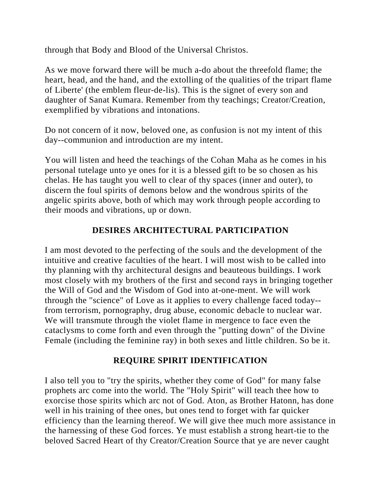through that Body and Blood of the Universal Christos.

As we move forward there will be much a-do about the threefold flame; the heart, head, and the hand, and the extolling of the qualities of the tripart flame of Liberte' (the emblem fleur-de-lis). This is the signet of every son and daughter of Sanat Kumara. Remember from thy teachings; Creator/Creation, exemplified by vibrations and intonations.

Do not concern of it now, beloved one, as confusion is not my intent of this day--communion and introduction are my intent.

You will listen and heed the teachings of the Cohan Maha as he comes in his personal tutelage unto ye ones for it is a blessed gift to be so chosen as his chelas. He has taught you well to clear of thy spaces (inner and outer), to discern the foul spirits of demons below and the wondrous spirits of the angelic spirits above, both of which may work through people according to their moods and vibrations, up or down.

# **DESIRES ARCHITECTURAL PARTICIPATION**

I am most devoted to the perfecting of the souls and the development of the intuitive and creative faculties of the heart. I will most wish to be called into thy planning with thy architectural designs and beauteous buildings. I work most closely with my brothers of the first and second rays in bringing together the Will of God and the Wisdom of God into at-one-ment. We will work through the "science" of Love as it applies to every challenge faced today- from terrorism, pornography, drug abuse, economic debacle to nuclear war. We will transmute through the violet flame in mergence to face even the cataclysms to come forth and even through the "putting down" of the Divine Female (including the feminine ray) in both sexes and little children. So be it.

# **REQUIRE SPIRIT IDENTIFICATION**

I also tell you to "try the spirits, whether they come of God" for many false prophets arc come into the world. The "Holy Spirit" will teach thee how to exorcise those spirits which arc not of God. Aton, as Brother Hatonn, has done well in his training of thee ones, but ones tend to forget with far quicker efficiency than the learning thereof. We will give thee much more assistance in the harnessing of these God forces. Ye must establish a strong heart-tie to the beloved Sacred Heart of thy Creator/Creation Source that ye are never caught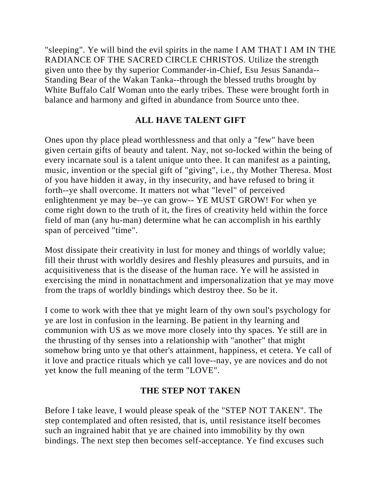"sleeping". Ye will bind the evil spirits in the name I AM THAT I AM IN THE RADIANCE OF THE SACRED CIRCLE CHRISTOS. Utilize the strength given unto thee by thy superior Commander-in-Chief, Esu Jesus Sananda-- Standing Bear of the Wakan Tanka--through the blessed truths brought by White Buffalo Calf Woman unto the early tribes. These were brought forth in balance and harmony and gifted in abundance from Source unto thee.

# **ALL HAVE TALENT GIFT**

Ones upon thy place plead worthlessness and that only a "few" have been given certain gifts of beauty and talent. Nay, not so-locked within the being of every incarnate soul is a talent unique unto thee. It can manifest as a painting, music, invention or the special gift of "giving", i.e., thy Mother Theresa. Most of you have hidden it away, in thy insecurity, and have refused to bring it forth--ye shall overcome. It matters not what "level" of perceived enlightenment ye may be--ye can grow-- YE MUST GROW! For when ye come right down to the truth of it, the fires of creativity held within the force field of man (any hu-man) determine what he can accomplish in his earthly span of perceived "time".

Most dissipate their creativity in lust for money and things of worldly value; fill their thrust with worldly desires and fleshly pleasures and pursuits, and in acquisitiveness that is the disease of the human race. Ye will he assisted in exercising the mind in nonattachment and impersonalization that ye may move from the traps of worldly bindings which destroy thee. So be it.

I come to work with thee that ye might learn of thy own soul's psychology for ye are lost in confusion in the learning. Be patient in thy learning and communion with US as we move more closely into thy spaces. Ye still are in the thrusting of thy senses into a relationship with "another" that might somehow bring unto ye that other's attainment, happiness, et cetera. Ye call of it love and practice rituals which ye call love--nay, ye are novices and do not yet know the full meaning of the term "LOVE".

### **THE STEP NOT TAKEN**

Before I take leave, I would please speak of the "STEP NOT TAKEN". The step contemplated and often resisted, that is, until resistance itself becomes such an ingrained habit that ye are chained into immobility by thy own bindings. The next step then becomes self-acceptance. Ye find excuses such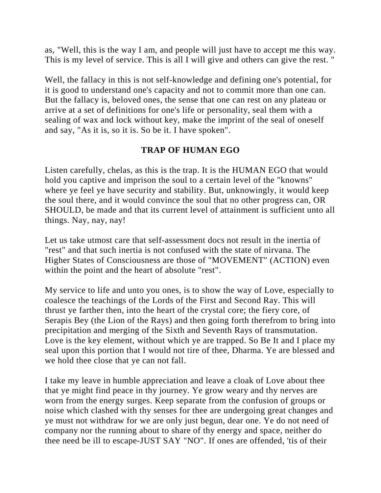as, "Well, this is the way I am, and people will just have to accept me this way. This is my level of service. This is all I will give and others can give the rest. "

Well, the fallacy in this is not self-knowledge and defining one's potential, for it is good to understand one's capacity and not to commit more than one can. But the fallacy is, beloved ones, the sense that one can rest on any plateau or arrive at a set of definitions for one's life or personality, seal them with a sealing of wax and lock without key, make the imprint of the seal of oneself and say, "As it is, so it is. So be it. I have spoken".

# **TRAP OF HUMAN EGO**

Listen carefully, chelas, as this is the trap. It is the HUMAN EGO that would hold you captive and imprison the soul to a certain level of the "knowns" where ye feel ye have security and stability. But, unknowingly, it would keep the soul there, and it would convince the soul that no other progress can, OR SHOULD, be made and that its current level of attainment is sufficient unto all things. Nay, nay, nay!

Let us take utmost care that self-assessment docs not result in the inertia of "rest" and that such inertia is not confused with the state of nirvana. The Higher States of Consciousness are those of "MOVEMENT" (ACTION) even within the point and the heart of absolute "rest".

My service to life and unto you ones, is to show the way of Love, especially to coalesce the teachings of the Lords of the First and Second Ray. This will thrust ye farther then, into the heart of the crystal core; the fiery core, of Serapis Bey (the Lion of the Rays) and then going forth therefrom to bring into precipitation and merging of the Sixth and Seventh Rays of transmutation. Love is the key element, without which ye are trapped. So Be It and I place my seal upon this portion that I would not tire of thee, Dharma. Ye are blessed and we hold thee close that ye can not fall.

I take my leave in humble appreciation and leave a cloak of Love about thee that ye might find peace in thy journey. Ye grow weary and thy nerves are worn from the energy surges. Keep separate from the confusion of groups or noise which clashed with thy senses for thee are undergoing great changes and ye must not withdraw for we are only just begun, dear one. Ye do not need of company nor the running about to share of thy energy and space, neither do thee need be ill to escape-JUST SAY "NO". If ones are offended, 'tis of their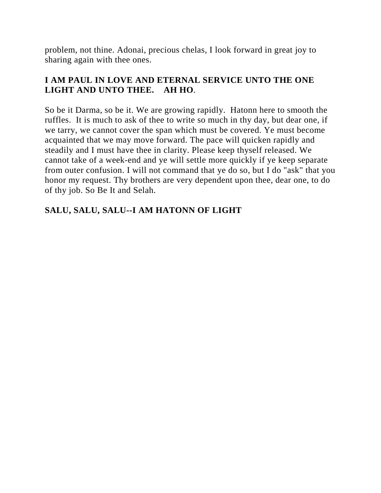problem, not thine. Adonai, precious chelas, I look forward in great joy to sharing again with thee ones.

# **I AM PAUL IN LOVE AND ETERNAL SERVICE UNTO THE ONE LIGHT AND UNTO THEE. AH HO**.

So be it Darma, so be it. We are growing rapidly. Hatonn here to smooth the ruffles. It is much to ask of thee to write so much in thy day, but dear one, if we tarry, we cannot cover the span which must be covered. Ye must become acquainted that we may move forward. The pace will quicken rapidly and steadily and I must have thee in clarity. Please keep thyself released. We cannot take of a week-end and ye will settle more quickly if ye keep separate from outer confusion. I will not command that ye do so, but I do "ask" that you honor my request. Thy brothers are very dependent upon thee, dear one, to do of thy job. So Be It and Selah.

# **SALU, SALU, SALU--I AM HATONN OF LIGHT**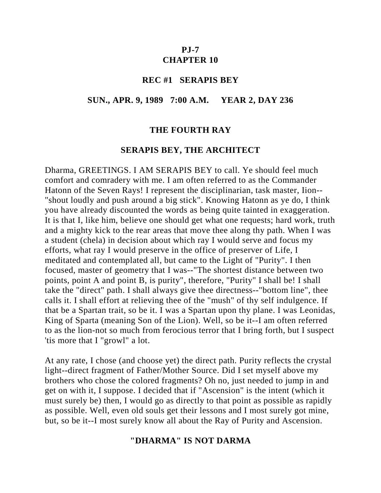### **PJ-7 CHAPTER 10**

#### **REC #1 SERAPIS BEY**

#### **SUN., APR. 9, 1989 7:00 A.M. YEAR 2, DAY 236**

#### **THE FOURTH RAY**

#### **SERAPIS BEY, THE ARCHITECT**

Dharma, GREETINGS. I AM SERAPIS BEY to call. Ye should feel much comfort and comradery with me. I am often referred to as the Commander Hatonn of the Seven Rays! I represent the disciplinarian, task master, Iion-- "shout loudly and push around a big stick". Knowing Hatonn as ye do, I think you have already discounted the words as being quite tainted in exaggeration. It is that I, like him, believe one should get what one requests; hard work, truth and a mighty kick to the rear areas that move thee along thy path. When I was a student (chela) in decision about which ray I would serve and focus my efforts, what ray I would preserve in the office of preserver of Life, I meditated and contemplated all, but came to the Light of "Purity". I then focused, master of geometry that I was--"The shortest distance between two points, point A and point B, is purity", therefore, "Purity" I shall be! I shall take the "direct" path. I shall always give thee directness--"bottom line", thee calls it. I shall effort at relieving thee of the "mush" of thy self indulgence. If that be a Spartan trait, so be it. I was a Spartan upon thy plane. I was Leonidas, King of Sparta (meaning Son of the Lion). Well, so be it--I am often referred to as the lion-not so much from ferocious terror that I bring forth, but I suspect 'tis more that I "growl" a lot.

At any rate, I chose (and choose yet) the direct path. Purity reflects the crystal light--direct fragment of Father/Mother Source. Did I set myself above my brothers who chose the colored fragments? Oh no, just needed to jump in and get on with it, I suppose. I decided that if "Ascension" is the intent (which it must surely be) then, I would go as directly to that point as possible as rapidly as possible. Well, even old souls get their lessons and I most surely got mine, but, so be it--I most surely know all about the Ray of Purity and Ascension.

#### **"DHARMA" IS NOT DARMA**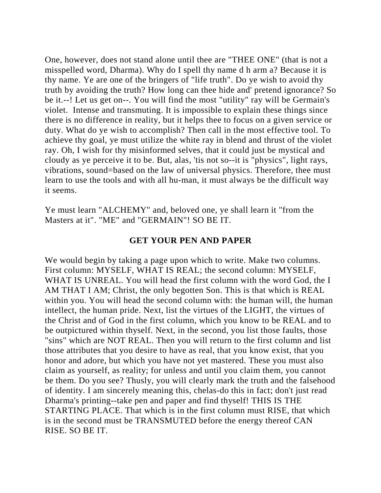One, however, does not stand alone until thee are "THEE ONE" (that is not a misspelled word, Dharma). Why do I spell thy name d h arm a? Because it is thy name. Ye are one of the bringers of "life truth". Do ye wish to avoid thy truth by avoiding the truth? How long can thee hide and' pretend ignorance? So be it.--! Let us get on--. You will find the most "utility" ray will be Germain's violet. Intense and transmuting. It is impossible to explain these things since there is no difference in reality, but it helps thee to focus on a given service or duty. What do ye wish to accomplish? Then call in the most effective tool. To achieve thy goal, ye must utilize the white ray in blend and thrust of the violet ray. Oh, I wish for thy misinformed selves, that it could just be mystical and cloudy as ye perceive it to be. But, alas, 'tis not so--it is "physics", light rays, vibrations, sound=based on the law of universal physics. Therefore, thee must learn to use the tools and with all hu-man, it must always be the difficult way it seems.

Ye must learn "ALCHEMY" and, beloved one, ye shall learn it "from the Masters at it". "ME" and "GERMAIN"! SO BE IT.

### **GET YOUR PEN AND PAPER**

We would begin by taking a page upon which to write. Make two columns. First column: MYSELF, WHAT IS REAL; the second column: MYSELF, WHAT IS UNREAL. You will head the first column with the word God, the I AM THAT I AM; Christ, the only begotten Son. This is that which is REAL within you. You will head the second column with: the human will, the human intellect, the human pride. Next, list the virtues of the LIGHT, the virtues of the Christ and of God in the first column, which you know to be REAL and to be outpictured within thyself. Next, in the second, you list those faults, those "sins" which are NOT REAL. Then you will return to the first column and list those attributes that you desire to have as real, that you know exist, that you honor and adore, but which you have not yet mastered. These you must also claim as yourself, as reality; for unless and until you claim them, you cannot be them. Do you see? Thusly, you will clearly mark the truth and the falsehood of identity. I am sincerely meaning this, chelas-do this in fact; don't just read Dharma's printing--take pen and paper and find thyself! THIS IS THE STARTING PLACE. That which is in the first column must RISE, that which is in the second must be TRANSMUTED before the energy thereof CAN RISE. SO BE IT.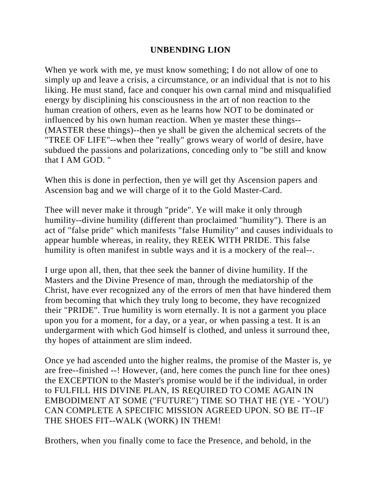## **UNBENDING LION**

When ye work with me, ye must know something; I do not allow of one to simply up and leave a crisis, a circumstance, or an individual that is not to his liking. He must stand, face and conquer his own carnal mind and misqualified energy by disciplining his consciousness in the art of non reaction to the human creation of others, even as he learns how NOT to be dominated or influenced by his own human reaction. When ye master these things-- (MASTER these things)--then ye shall be given the alchemical secrets of the "TREE OF LIFE"--when thee "really" grows weary of world of desire, have subdued the passions and polarizations, conceding only to "be still and know that I AM GOD. "

When this is done in perfection, then ye will get thy Ascension papers and Ascension bag and we will charge of it to the Gold Master-Card.

Thee will never make it through "pride". Ye will make it only through humility--divine humility (different than proclaimed "humility"). There is an act of "false pride" which manifests "false Humility" and causes individuals to appear humble whereas, in reality, they REEK WITH PRIDE. This false humility is often manifest in subtle ways and it is a mockery of the real--.

I urge upon all, then, that thee seek the banner of divine humility. If the Masters and the Divine Presence of man, through the mediatorship of the Christ, have ever recognized any of the errors of men that have hindered them from becoming that which they truly long to become, they have recognized their "PRIDE". True humility is worn eternally. It is not a garment you place upon you for a moment, for a day, or a year, or when passing a test. It is an undergarment with which God himself is clothed, and unless it surround thee, thy hopes of attainment are slim indeed.

Once ye had ascended unto the higher realms, the promise of the Master is, ye are free--finished --! However, (and, here comes the punch line for thee ones) the EXCEPTION to the Master's promise would be if the individual, in order to FULFILL HIS DIVINE PLAN, IS REQUIRED TO COME AGAIN IN EMBODIMENT AT SOME ("FUTURE") TIME SO THAT HE (YE - 'YOU') CAN COMPLETE A SPECIFIC MISSION AGREED UPON. SO BE IT--IF THE SHOES FIT--WALK (WORK) IN THEM!

Brothers, when you finally come to face the Presence, and behold, in the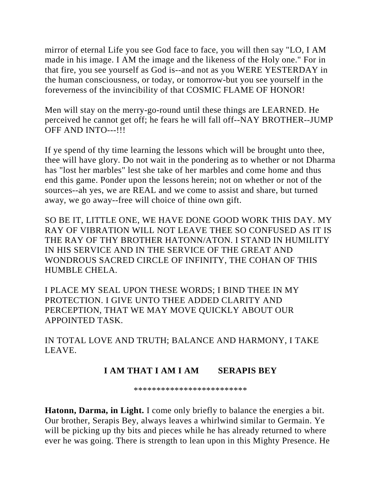mirror of eternal Life you see God face to face, you will then say "LO, I AM made in his image. I AM the image and the likeness of the Holy one." For in that fire, you see yourself as God is--and not as you WERE YESTERDAY in the human consciousness, or today, or tomorrow-but you see yourself in the foreverness of the invincibility of that COSMIC FLAME OF HONOR!

Men will stay on the merry-go-round until these things are LEARNED. He perceived he cannot get off; he fears he will fall off--NAY BROTHER--JUMP OFF AND INTO---!!!

If ye spend of thy time learning the lessons which will be brought unto thee, thee will have glory. Do not wait in the pondering as to whether or not Dharma has "lost her marbles" lest she take of her marbles and come home and thus end this game. Ponder upon the lessons herein; not on whether or not of the sources--ah yes, we are REAL and we come to assist and share, but turned away, we go away--free will choice of thine own gift.

SO BE IT, LITTLE ONE, WE HAVE DONE GOOD WORK THIS DAY. MY RAY OF VIBRATION WILL NOT LEAVE THEE SO CONFUSED AS IT IS THE RAY OF THY BROTHER HATONN/ATON. I STAND IN HUMILITY IN HIS SERVICE AND IN THE SERVICE OF THE GREAT AND WONDROUS SACRED CIRCLE OF INFINITY, THE COHAN OF THIS HUMBLE CHELA.

I PLACE MY SEAL UPON THESE WORDS; I BIND THEE IN MY PROTECTION. I GIVE UNTO THEE ADDED CLARITY AND PERCEPTION, THAT WE MAY MOVE QUICKLY ABOUT OUR APPOINTED TASK.

IN TOTAL LOVE AND TRUTH; BALANCE AND HARMONY, I TAKE LEAVE.

# **I AM THAT I AM I AM SERAPIS BEY**

\*\*\*\*\*\*\*\*\*\*\*\*\*\*\*\*\*\*\*\*\*\*\*\*\*

**Hatonn, Darma, in Light.** I come only briefly to balance the energies a bit. Our brother, Serapis Bey, always leaves a whirlwind similar to Germain. Ye will be picking up thy bits and pieces while he has already returned to where ever he was going. There is strength to lean upon in this Mighty Presence. He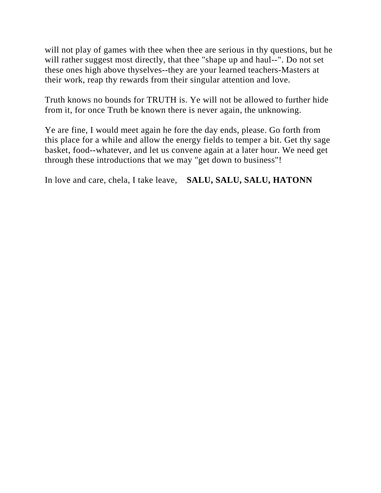will not play of games with thee when thee are serious in thy questions, but he will rather suggest most directly, that thee "shape up and haul--". Do not set these ones high above thyselves--they are your learned teachers-Masters at their work, reap thy rewards from their singular attention and love.

Truth knows no bounds for TRUTH is. Ye will not be allowed to further hide from it, for once Truth be known there is never again, the unknowing.

Ye are fine, I would meet again he fore the day ends, please. Go forth from this place for a while and allow the energy fields to temper a bit. Get thy sage basket, food--whatever, and let us convene again at a later hour. We need get through these introductions that we may "get down to business"!

In love and care, chela, I take leave, **SALU, SALU, SALU, HATONN**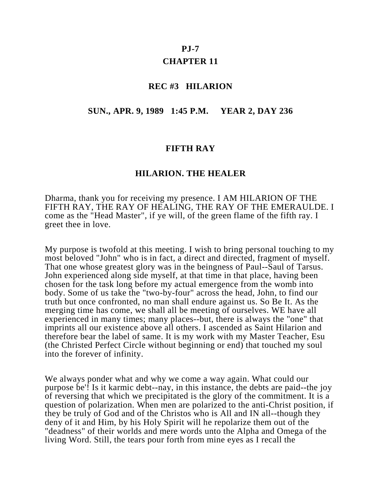#### **PJ-7**

#### **CHAPTER 11**

#### **REC #3 HILARION**

### **SUN., APR. 9, 1989 1:45 P.M. YEAR 2, DAY 236**

#### **FIFTH RAY**

#### **HILARION. THE HEALER**

Dharma, thank you for receiving my presence. I AM HILARION OF THE FIFTH RAY, THE RAY OF HEALING, THE RAY OF THE EMERAULDE. I come as the "Head Master", if ye will, of the green flame of the fifth ray. I greet thee in love.

My purpose is twofold at this meeting. I wish to bring personal touching to my most beloved "John" who is in fact, a direct and directed, fragment of myself. That one whose greatest glory was in the beingness of Paul--Saul of Tarsus. John experienced along side myself, at that time in that place, having been chosen for the task long before my actual emergence from the womb into body. Some of us take the "two-by-four" across the head, John, to find our truth but once confronted, no man shall endure against us. So Be It. As the merging time has come, we shall all be meeting of ourselves. WE have all experienced in many times; many places--but, there is always the "one" that imprints all our existence above all others. I ascended as Saint Hilarion and therefore bear the label of same. It is my work with my Master Teacher, Esu (the Christed Perfect Circle without beginning or end) that touched my soul into the forever of infinity.

We always ponder what and why we come a way again. What could our purpose be'! Is it karmic debt--nay, in this instance, the debts are paid--the joy of reversing that which we precipitated is the glory of the commitment. It is a question of polarization. When men are polarized to the anti-Christ position, if they be truly of God and of the Christos who is All and IN all--though they deny of it and Him, by his Holy Spirit will he repolarize them out of the "deadness" of their worlds and mere words unto the Alpha and Omega of the living Word. Still, the tears pour forth from mine eyes as I recall the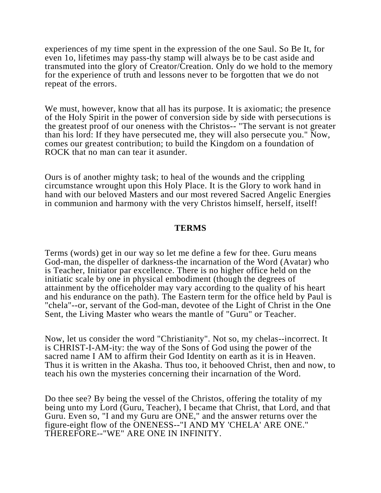experiences of my time spent in the expression of the one Saul. So Be It, for even 1o, lifetimes may pass-thy stamp will always be to be cast aside and transmuted into the glory of Creator/Creation. Only do we hold to the memory for the experience of truth and lessons never to be forgotten that we do not repeat of the errors.

We must, however, know that all has its purpose. It is axiomatic; the presence of the Holy Spirit in the power of conversion side by side with persecutions is the greatest proof of our oneness with the Christos-- "The servant is not greater than his lord: If they have persecuted me, they will also persecute you." Now, comes our greatest contribution; to build the Kingdom on a foundation of ROCK that no man can tear it asunder.

Ours is of another mighty task; to heal of the wounds and the crippling circumstance wrought upon this Holy Place. It is the Glory to work hand in hand with our beloved Masters and our most revered Sacred Angelic Energies in communion and harmony with the very Christos himself, herself, itself!

### **TERMS**

Terms (words) get in our way so let me define a few for thee. Guru means God-man, the dispeller of darkness-the incarnation of the Word (Avatar) who is Teacher, Initiator par excellence. There is no higher office held on the initiatic scale by one in physical embodiment (though the degrees of attainment by the officeholder may vary according to the quality of his heart and his endurance on the path). The Eastern term for the office held by Paul is "chela"--or, servant of the God-man, devotee of the Light of Christ in the One Sent, the Living Master who wears the mantle of "Guru" or Teacher.

Now, let us consider the word "Christianity". Not so, my chelas--incorrect. It is CHRIST-I-AM-ity: the way of the Sons of God using the power of the sacred name I AM to affirm their God Identity on earth as it is in Heaven. Thus it is written in the Akasha. Thus too, it behooved Christ, then and now, to teach his own the mysteries concerning their incarnation of the Word.

Do thee see? By being the vessel of the Christos, offering the totality of my being unto my Lord (Guru, Teacher), I became that Christ, that Lord, and that Guru. Even so, "I and my Guru are ONE," and the answer returns over the figure-eight flow of the ONENESS--"I AND MY 'CHELA' ARE ONE." THEREFORE--"WE" ARE ONE IN INFINITY.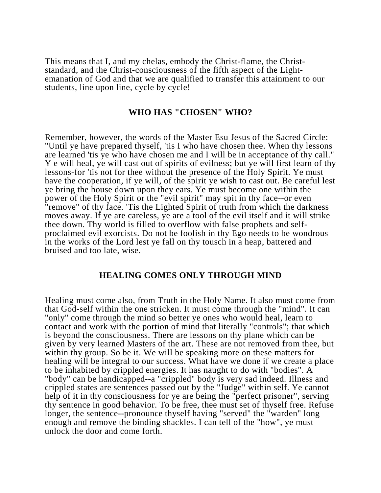This means that I, and my chelas, embody the Christ-flame, the Christ- standard, and the Christ-consciousness of the fifth aspect of the Light- emanation of God and that we are qualified to transfer this attainment to our students, line upon line, cycle by cycle!

#### **WHO HAS "CHOSEN" WHO?**

Remember, however, the words of the Master Esu Jesus of the Sacred Circle: "Until ye have prepared thyself, 'tis I who have chosen thee. When thy lessons are learned 'tis ye who have chosen me and I will be in acceptance of thy call." Y e will heal, ye will cast out of spirits of evilness; but ye will first learn of thy lessons-for 'tis not for thee without the presence of the Holy Spirit. Ye must have the cooperation, if ye will, of the spirit ye wish to cast out. Be careful lest ye bring the house down upon they ears. Ye must become one within the power of the Holy Spirit or the "evil spirit" may spit in thy face--or even "remove" of thy face. 'Tis the Lighted Spirit of truth from which the darkness moves away. If ye are careless, ye are a tool of the evil itself and it will strike thee down. Thy world is filled to overflow with false prophets and selfproclaimed evil exorcists. Do not be foolish in thy Ego needs to be wondrous in the works of the Lord lest ye fall on thy tousch in a heap, battered and bruised and too late, wise.

#### **HEALING COMES ONLY THROUGH MIND**

Healing must come also, from Truth in the Holy Name. It also must come from that God-self within the one stricken. It must come through the "mind". It can "only" come through the mind so better ye ones who would heal, learn to contact and work with the portion of mind that literally "controls"; that which is beyond the consciousness. There are lessons on thy plane which can be given by very learned Masters of the art. These are not removed from thee, but within thy group. So be it. We will be speaking more on these matters for healing will be integral to our success. What have we done if we create a place to be inhabited by crippled energies. It has naught to do with "bodies". A "body" can be handicapped--a "crippled" body is very sad indeed. Illness and crippled states are sentences passed out by the "Judge" within self. Ye cannot help of it in thy consciousness for ye are being the "perfect prisoner", serving thy sentence in good behavior. To be free, thee must set of thyself free. Refuse longer, the sentence--pronounce thyself having "served" the "warden" long enough and remove the binding shackles. I can tell of the "how", ye must unlock the door and come forth.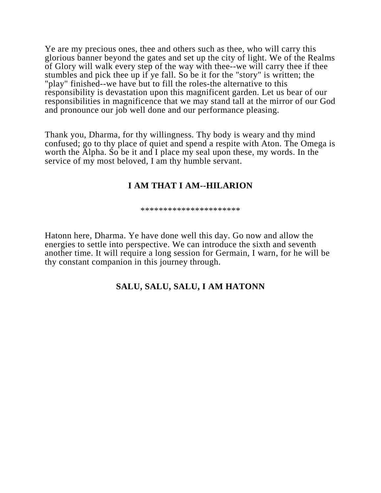Ye are my precious ones, thee and others such as thee, who will carry this glorious banner beyond the gates and set up the city of light. We of the Realms of Glory will walk every step of the way with thee--we will carry thee if thee stumbles and pick thee up if ye fall. So be it for the "story" is written; the "play" finished--we have but to fill the roles-the alternative to this responsibility is devastation upon this magnificent garden. Let us bear of our responsibilities in magnificence that we may stand tall at the mirror of our God and pronounce our job well done and our performance pleasing.

Thank you, Dharma, for thy willingness. Thy body is weary and thy mind confused; go to thy place of quiet and spend a respite with Aton. The Omega is worth the Alpha. So be it and I place my seal upon these, my words. In the service of my most beloved, I am thy humble servant.

# **I AM THAT I AM--HILARION**

\*\*\*\*\*\*\*\*\*\*\*\*\*\*\*\*\*\*\*\*\*\*

Hatonn here, Dharma. Ye have done well this day. Go now and allow the energies to settle into perspective. We can introduce the sixth and seventh another time. It will require a long session for Germain, I warn, for he will be thy constant companion in this journey through.

# **SALU, SALU, SALU, I AM HATONN**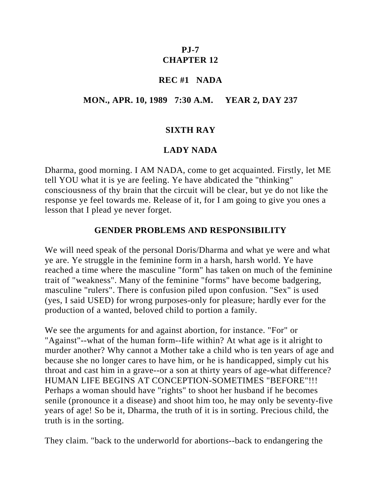# **PJ-7 CHAPTER 12**

### **REC #1 NADA**

### **MON., APR. 10, 1989 7:30 A.M. YEAR 2, DAY 237**

### **SIXTH RAY**

### **LADY NADA**

Dharma, good morning. I AM NADA, come to get acquainted. Firstly, let ME tell YOU what it is ye are feeling. Ye have abdicated the "thinking" consciousness of thy brain that the circuit will be clear, but ye do not like the response ye feel towards me. Release of it, for I am going to give you ones a lesson that I plead ye never forget.

### **GENDER PROBLEMS AND RESPONSIBILITY**

We will need speak of the personal Doris/Dharma and what ye were and what ye are. Ye struggle in the feminine form in a harsh, harsh world. Ye have reached a time where the masculine "form" has taken on much of the feminine trait of "weakness". Many of the feminine "forms" have become badgering, masculine "rulers". There is confusion piled upon confusion. "Sex" is used (yes, I said USED) for wrong purposes-only for pleasure; hardly ever for the production of a wanted, beloved child to portion a family.

We see the arguments for and against abortion, for instance. "For" or "Against"--what of the human form--Iife within? At what age is it alright to murder another? Why cannot a Mother take a child who is ten years of age and because she no longer cares to have him, or he is handicapped, simply cut his throat and cast him in a grave--or a son at thirty years of age-what difference? HUMAN LIFE BEGINS AT CONCEPTION-SOMETIMES "BEFORE"!!! Perhaps a woman should have "rights" to shoot her husband if he becomes senile (pronounce it a disease) and shoot him too, he may only be seventy-five years of age! So be it, Dharma, the truth of it is in sorting. Precious child, the truth is in the sorting.

They claim. "back to the underworld for abortions--back to endangering the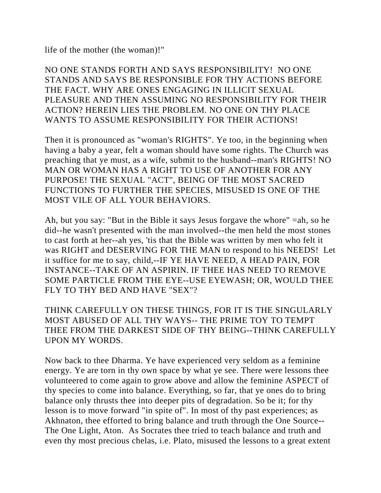life of the mother (the woman)!"

NO ONE STANDS FORTH AND SAYS RESPONSIBILITY! NO ONE STANDS AND SAYS BE RESPONSIBLE FOR THY ACTIONS BEFORE THE FACT. WHY ARE ONES ENGAGING IN ILLICIT SEXUAL PLEASURE AND THEN ASSUMING NO RESPONSIBILITY FOR THEIR ACTION? HEREIN LIES THE PROBLEM. NO ONE ON THY PLACE WANTS TO ASSUME RESPONSIBILITY FOR THEIR ACTIONS!

Then it is pronounced as "woman's RIGHTS". Ye too, in the beginning when having a baby a year, felt a woman should have some rights. The Church was preaching that ye must, as a wife, submit to the husband--man's RIGHTS! NO MAN OR WOMAN HAS A RIGHT TO USE OF ANOTHER FOR ANY PURPOSE! THE SEXUAL "ACT", BEING OF THE MOST SACRED FUNCTIONS TO FURTHER THE SPECIES, MISUSED IS ONE OF THE MOST VILE OF ALL YOUR BEHAVIORS.

Ah, but you say: "But in the Bible it says Jesus forgave the whore" =ah, so he did--he wasn't presented with the man involved--the men held the most stones to cast forth at her--ah yes, 'tis that the Bible was written by men who felt it was RIGHT and DESERVING FOR THE MAN to respond to his NEEDS! Let it suffice for me to say, child,--IF YE HAVE NEED, A HEAD PAIN, FOR INSTANCE--TAKE OF AN ASPIRIN. IF THEE HAS NEED TO REMOVE SOME PARTICLE FROM THE EYE--USE EYEWASH; OR, WOULD THEE FLY TO THY BED AND HAVE "SEX"?

THINK CAREFULLY ON THESE THINGS, FOR IT IS THE SINGULARLY MOST ABUSED OF ALL THY WAYS-- THE PRIME TOY TO TEMPT THEE FROM THE DARKEST SIDE OF THY BEING--THINK CAREFULLY UPON MY WORDS.

Now back to thee Dharma. Ye have experienced very seldom as a feminine energy. Ye are torn in thy own space by what ye see. There were lessons thee volunteered to come again to grow above and allow the feminine ASPECT of thy species to come into balance. Everything, so far, that ye ones do to bring balance only thrusts thee into deeper pits of degradation. So be it; for thy lesson is to move forward "in spite of". In most of thy past experiences; as Akhnaton, thee efforted to bring balance and truth through the One Source-- The One Light, Aton. As Socrates thee tried to teach balance and truth and even thy most precious chelas, i.e. Plato, misused the lessons to a great extent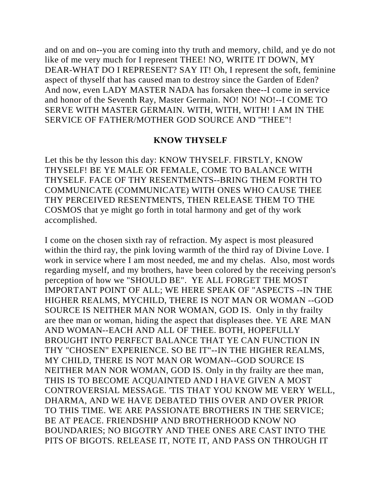and on and on--you are coming into thy truth and memory, child, and ye do not like of me very much for I represent THEE! NO, WRITE IT DOWN, MY DEAR-WHAT DO I REPRESENT? SAY IT! Oh, I represent the soft, feminine aspect of thyself that has caused man to destroy since the Garden of Eden? And now, even LADY MASTER NADA has forsaken thee--I come in service and honor of the Seventh Ray, Master Germain. NO! NO! NO!--I COME TO SERVE WITH MASTER GERMAIN. WITH, WITH, WITH! I AM IN THE SERVICE OF FATHER/MOTHER GOD SOURCE AND "THEE"!

#### **KNOW THYSELF**

Let this be thy lesson this day: KNOW THYSELF. FIRSTLY, KNOW THYSELF! BE YE MALE OR FEMALE, COME TO BALANCE WITH THYSELF. FACE OF THY RESENTMENTS--BRING THEM FORTH TO COMMUNICATE (COMMUNICATE) WITH ONES WHO CAUSE THEE THY PERCEIVED RESENTMENTS, THEN RELEASE THEM TO THE COSMOS that ye might go forth in total harmony and get of thy work accomplished.

I come on the chosen sixth ray of refraction. My aspect is most pleasured within the third ray, the pink loving warmth of the third ray of Divine Love. I work in service where I am most needed, me and my chelas. Also, most words regarding myself, and my brothers, have been colored by the receiving person's perception of how we "SHOULD BE". YE ALL FORGET THE MOST IMPORTANT POINT OF ALL; WE HERE SPEAK OF "ASPECTS --IN THE HIGHER REALMS, MYCHILD, THERE IS NOT MAN OR WOMAN --GOD SOURCE IS NEITHER MAN NOR WOMAN, GOD IS. Only in thy frailty are thee man or woman, hiding the aspect that displeases thee. YE ARE MAN AND WOMAN--EACH AND ALL OF THEE. BOTH, HOPEFULLY BROUGHT INTO PERFECT BALANCE THAT YE CAN FUNCTION IN THY "CHOSEN" EXPERIENCE. SO BE IT"--IN THE HIGHER REALMS, MY CHILD, THERE IS NOT MAN OR WOMAN--GOD SOURCE IS NEITHER MAN NOR WOMAN, GOD IS. Only in thy frailty are thee man, THIS IS TO BECOME ACQUAINTED AND I HAVE GIVEN A MOST CONTROVERSIAL MESSAGE. 'TIS THAT YOU KNOW ME VERY WELL, DHARMA, AND WE HAVE DEBATED THIS OVER AND OVER PRIOR TO THIS TIME. WE ARE PASSIONATE BROTHERS IN THE SERVICE; BE AT PEACE. FRIENDSHIP AND BROTHERHOOD KNOW NO BOUNDARIES; NO BIGOTRY AND THEE ONES ARE CAST INTO THE PITS OF BIGOTS. RELEASE IT, NOTE IT, AND PASS ON THROUGH IT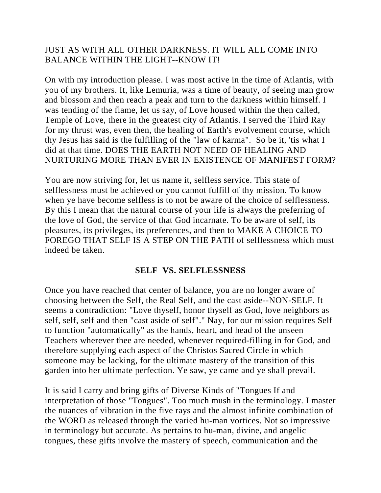## JUST AS WITH ALL OTHER DARKNESS. IT WILL ALL COME INTO BALANCE WITHIN THE LIGHT--KNOW IT!

On with my introduction please. I was most active in the time of Atlantis, with you of my brothers. It, like Lemuria, was a time of beauty, of seeing man grow and blossom and then reach a peak and turn to the darkness within himself. I was tending of the flame, let us say, of Love housed within the then called, Temple of Love, there in the greatest city of Atlantis. I served the Third Ray for my thrust was, even then, the healing of Earth's evolvement course, which thy Jesus has said is the fulfilling of the "law of karma". So be it, 'tis what I did at that time. DOES THE EARTH NOT NEED OF HEALING AND NURTURING MORE THAN EVER IN EXISTENCE OF MANIFEST FORM?

You are now striving for, let us name it, selfless service. This state of selflessness must be achieved or you cannot fulfill of thy mission. To know when ye have become selfless is to not be aware of the choice of selflessness. By this I mean that the natural course of your life is always the preferring of the love of God, the service of that God incarnate. To be aware of self, its pleasures, its privileges, its preferences, and then to MAKE A CHOICE TO FOREGO THAT SELF IS A STEP ON THE PATH of selflessness which must indeed be taken.

# **SELF VS. SELFLESSNESS**

Once you have reached that center of balance, you are no longer aware of choosing between the Self, the Real Self, and the cast aside--NON-SELF. It seems a contradiction: "Love thyself, honor thyself as God, love neighbors as self, self, self and then "cast aside of self"." Nay, for our mission requires Self to function "automatically" as the hands, heart, and head of the unseen Teachers wherever thee are needed, whenever required-filling in for God, and therefore supplying each aspect of the Christos Sacred Circle in which someone may be lacking, for the ultimate mastery of the transition of this garden into her ultimate perfection. Ye saw, ye came and ye shall prevail.

It is said I carry and bring gifts of Diverse Kinds of "Tongues If and interpretation of those "Tongues". Too much mush in the terminology. I master the nuances of vibration in the five rays and the almost infinite combination of the WORD as released through the varied hu-man vortices. Not so impressive in terminology but accurate. As pertains to hu-man, divine, and angelic tongues, these gifts involve the mastery of speech, communication and the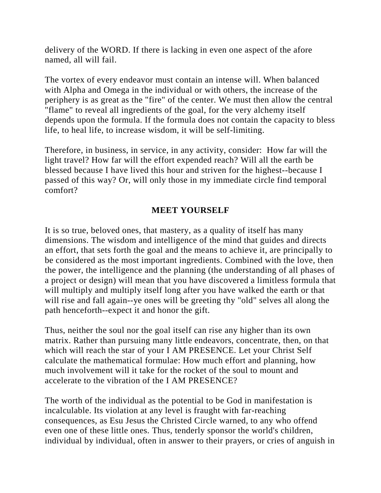delivery of the WORD. If there is lacking in even one aspect of the afore named, all will fail.

The vortex of every endeavor must contain an intense will. When balanced with Alpha and Omega in the individual or with others, the increase of the periphery is as great as the "fire" of the center. We must then allow the central "flame" to reveal all ingredients of the goal, for the very alchemy itself depends upon the formula. If the formula does not contain the capacity to bless life, to heal life, to increase wisdom, it will be self-limiting.

Therefore, in business, in service, in any activity, consider: How far will the light travel? How far will the effort expended reach? Will all the earth be blessed because I have lived this hour and striven for the highest--because I passed of this way? Or, will only those in my immediate circle find temporal comfort?

## **MEET YOURSELF**

It is so true, beloved ones, that mastery, as a quality of itself has many dimensions. The wisdom and intelligence of the mind that guides and directs an effort, that sets forth the goal and the means to achieve it, are principally to be considered as the most important ingredients. Combined with the love, then the power, the intelligence and the planning (the understanding of all phases of a project or design) will mean that you have discovered a limitless formula that will multiply and multiply itself long after you have walked the earth or that will rise and fall again--ye ones will be greeting thy "old" selves all along the path henceforth--expect it and honor the gift.

Thus, neither the soul nor the goal itself can rise any higher than its own matrix. Rather than pursuing many little endeavors, concentrate, then, on that which will reach the star of your I AM PRESENCE. Let your Christ Self calculate the mathematical formulae: How much effort and planning, how much involvement will it take for the rocket of the soul to mount and accelerate to the vibration of the I AM PRESENCE?

The worth of the individual as the potential to be God in manifestation is incalculable. Its violation at any level is fraught with far-reaching consequences, as Esu Jesus the Christed Circle warned, to any who offend even one of these little ones. Thus, tenderly sponsor the world's children, individual by individual, often in answer to their prayers, or cries of anguish in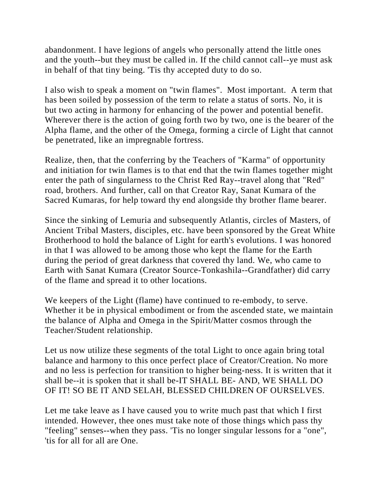abandonment. I have legions of angels who personally attend the little ones and the youth--but they must be called in. If the child cannot call--ye must ask in behalf of that tiny being. 'Tis thy accepted duty to do so.

I also wish to speak a moment on "twin flames". Most important. A term that has been soiled by possession of the term to relate a status of sorts. No, it is but two acting in harmony for enhancing of the power and potential benefit. Wherever there is the action of going forth two by two, one is the bearer of the Alpha flame, and the other of the Omega, forming a circle of Light that cannot be penetrated, like an impregnable fortress.

Realize, then, that the conferring by the Teachers of "Karma" of opportunity and initiation for twin flames is to that end that the twin flames together might enter the path of singularness to the Christ Red Ray--travel along that "Red" road, brothers. And further, call on that Creator Ray, Sanat Kumara of the Sacred Kumaras, for help toward thy end alongside thy brother flame bearer.

Since the sinking of Lemuria and subsequently Atlantis, circles of Masters, of Ancient Tribal Masters, disciples, etc. have been sponsored by the Great White Brotherhood to hold the balance of Light for earth's evolutions. I was honored in that I was allowed to be among those who kept the flame for the Earth during the period of great darkness that covered thy land. We, who came to Earth with Sanat Kumara (Creator Source-Tonkashila--Grandfather) did carry of the flame and spread it to other locations.

We keepers of the Light (flame) have continued to re-embody, to serve. Whether it be in physical embodiment or from the ascended state, we maintain the balance of Alpha and Omega in the Spirit/Matter cosmos through the Teacher/Student relationship.

Let us now utilize these segments of the total Light to once again bring total balance and harmony to this once perfect place of Creator/Creation. No more and no less is perfection for transition to higher being-ness. It is written that it shall be--it is spoken that it shall be-IT SHALL BE- AND, WE SHALL DO OF IT! SO BE IT AND SELAH, BLESSED CHILDREN OF OURSELVES.

Let me take leave as I have caused you to write much past that which I first intended. However, thee ones must take note of those things which pass thy "feeling" senses--when they pass. 'Tis no longer singular lessons for a "one", 'tis for all for all are One.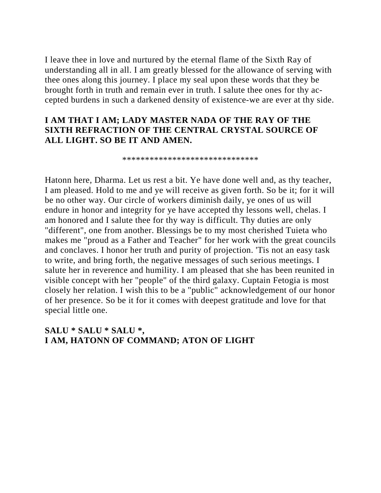I leave thee in love and nurtured by the eternal flame of the Sixth Ray of understanding all in all. I am greatly blessed for the allowance of serving with thee ones along this journey. I place my seal upon these words that they be brought forth in truth and remain ever in truth. I salute thee ones for thy accepted burdens in such a darkened density of existence-we are ever at thy side.

## **I AM THAT I AM; LADY MASTER NADA OF THE RAY OF THE SIXTH REFRACTION OF THE CENTRAL CRYSTAL SOURCE OF ALL LIGHT. SO BE IT AND AMEN.**

\*\*\*\*\*\*\*\*\*\*\*\*\*\*\*\*\*\*\*\*\*\*\*\*\*\*\*\*\*\*

Hatonn here, Dharma. Let us rest a bit. Ye have done well and, as thy teacher, I am pleased. Hold to me and ye will receive as given forth. So be it; for it will be no other way. Our circle of workers diminish daily, ye ones of us will endure in honor and integrity for ye have accepted thy lessons well, chelas. I am honored and I salute thee for thy way is difficult. Thy duties are only "different", one from another. Blessings be to my most cherished Tuieta who makes me "proud as a Father and Teacher" for her work with the great councils and conclaves. I honor her truth and purity of projection. 'Tis not an easy task to write, and bring forth, the negative messages of such serious meetings. I salute her in reverence and humility. I am pleased that she has been reunited in visible concept with her "people" of the third galaxy. Cuptain Fetogia is most closely her relation. I wish this to be a "public" acknowledgement of our honor of her presence. So be it for it comes with deepest gratitude and love for that special little one.

# **SALU \* SALU \* SALU \*, I AM, HATONN OF COMMAND; ATON OF LIGHT**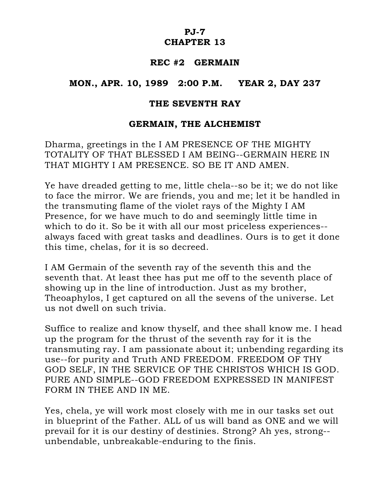## **PJ-7 CHAPTER 13**

### **REC #2 GERMAIN**

### **MON., APR. 10, 1989 2:00 P.M. YEAR 2, DAY 237**

### **THE SEVENTH RAY**

### **GERMAIN, THE ALCHEMIST**

Dharma, greetings in the I AM PRESENCE OF THE MIGHTY TOTALITY OF THAT BLESSED I AM BEING--GERMAIN HERE IN THAT MIGHTY I AM PRESENCE. SO BE IT AND AMEN.

Ye have dreaded getting to me, little chela--so be it; we do not like to face the mirror. We are friends, you and me; let it be handled in the transmuting flame of the violet rays of the Mighty I AM Presence, for we have much to do and seemingly little time in which to do it. So be it with all our most priceless experiences- always faced with great tasks and deadlines. Ours is to get it done this time, chelas, for it is so decreed.

I AM Germain of the seventh ray of the seventh this and the seventh that. At least thee has put me off to the seventh place of showing up in the line of introduction. Just as my brother, Theoaphylos, I get captured on all the sevens of the universe. Let us not dwell on such trivia.

Suffice to realize and know thyself, and thee shall know me. I head up the program for the thrust of the seventh ray for it is the transmuting ray. I am passionate about it; unbending regarding its use--for purity and Truth AND FREEDOM. FREEDOM OF THY GOD SELF, IN THE SERVICE OF THE CHRISTOS WHICH IS GOD. PURE AND SIMPLE--GOD FREEDOM EXPRESSED IN MANIFEST FORM IN THEE AND IN ME.

Yes, chela, ye will work most closely with me in our tasks set out in blueprint of the Father. ALL of us will band as ONE and we will prevail for it is our destiny of destinies. Strong? Ah yes, strong- unbendable, unbreakable-enduring to the finis.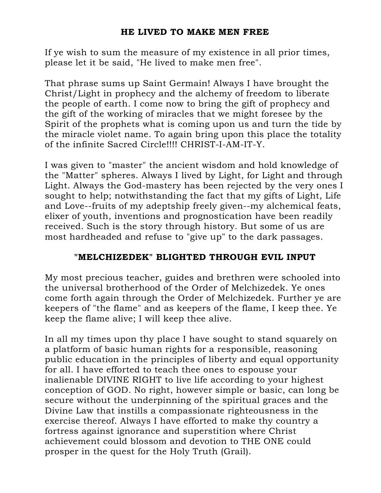## **HE LIVED TO MAKE MEN FREE**

If ye wish to sum the measure of my existence in all prior times, please let it be said, "He lived to make men free".

That phrase sums up Saint Germain! Always I have brought the Christ/Light in prophecy and the alchemy of freedom to liberate the people of earth. I come now to bring the gift of prophecy and the gift of the working of miracles that we might foresee by the Spirit of the prophets what is coming upon us and turn the tide by the miracle violet name. To again bring upon this place the totality of the infinite Sacred Circle!!!! CHRIST-I-AM-IT-Y.

I was given to "master" the ancient wisdom and hold knowledge of the "Matter" spheres. Always I lived by Light, for Light and through Light. Always the God-mastery has been rejected by the very ones I sought to help; notwithstanding the fact that my gifts of Light, Life and Love--fruits of my adeptship freely given--my alchemical feats, elixer of youth, inventions and prognostication have been readily received. Such is the story through history. But some of us are most hardheaded and refuse to "give up" to the dark passages.

# **"MELCHIZEDEK" BLIGHTED THROUGH EVIL INPUT**

My most precious teacher, guides and brethren were schooled into the universal brotherhood of the Order of Melchizedek. Ye ones come forth again through the Order of Melchizedek. Further ye are keepers of "the flame" and as keepers of the flame, I keep thee. Ye keep the flame alive; I will keep thee alive.

In all my times upon thy place I have sought to stand squarely on a platform of basic human rights for a responsible, reasoning public education in the principles of liberty and equal opportunity for all. I have efforted to teach thee ones to espouse your inalienable DIVINE RIGHT to live life according to your highest conception of GOD. No right, however simple or basic, can long be secure without the underpinning of the spiritual graces and the Divine Law that instills a compassionate righteousness in the exercise thereof. Always I have efforted to make thy country a fortress against ignorance and superstition where Christ achievement could blossom and devotion to THE ONE could prosper in the quest for the Holy Truth (Grail).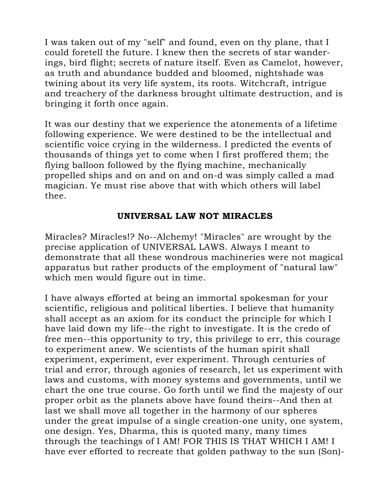I was taken out of my "self" and found, even on thy plane, that I could foretell the future. I knew then the secrets of star wanderings, bird flight; secrets of nature itself. Even as Camelot, however, as truth and abundance budded and bloomed, nightshade was twining about its very life system, its roots. Witchcraft, intrigue and treachery of the darkness brought ultimate destruction, and is bringing it forth once again.

It was our destiny that we experience the atonements of a lifetime following experience. We were destined to be the intellectual and scientific voice crying in the wilderness. I predicted the events of thousands of things yet to come when I first proffered them; the flying balloon followed by the flying machine, mechanically propelled ships and on and on and on-d was simply called a mad magician. Ye must rise above that with which others will label thee.

# **UNIVERSAL LAW NOT MIRACLES**

Miracles? Miracles!? No--Alchemy! "Miracles" are wrought by the precise application of UNIVERSAL LAWS. Always I meant to demonstrate that all these wondrous machineries were not magical apparatus but rather products of the employment of "natural law" which men would figure out in time.

I have always efforted at being an immortal spokesman for your scientific, religious and political liberties. I believe that humanity shall accept as an axiom for its conduct the principle for which I have laid down my life--the right to investigate. It is the credo of free men--this opportunity to try, this privilege to err, this courage to experiment anew. We scientists of the human spirit shall experiment, experiment, ever experiment. Through centuries of trial and error, through agonies of research, let us experiment with laws and customs, with money systems and governments, until we chart the one true course. Go forth until we find the majesty of our proper orbit as the planets above have found theirs--And then at last we shall move all together in the harmony of our spheres under the great impulse of a single creation-one unity, one system, one design. Yes, Dharma, this is quoted many, many times through the teachings of I AM! FOR THIS IS THAT WHICH I AM! I have ever efforted to recreate that golden pathway to the sun (Son)-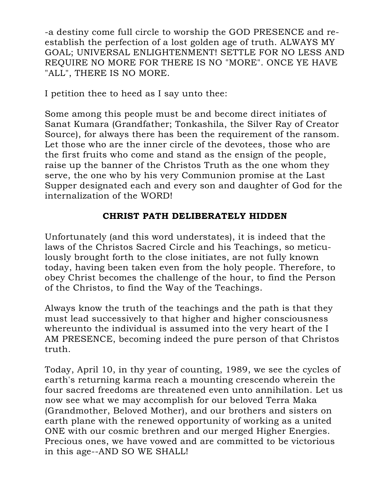-a destiny come full circle to worship the GOD PRESENCE and reestablish the perfection of a lost golden age of truth. ALWAYS MY GOAL; UNIVERSAL ENLIGHTENMENT! SETTLE FOR NO LESS AND REQUIRE NO MORE FOR THERE IS NO "MORE". ONCE YE HAVE "ALL", THERE IS NO MORE.

I petition thee to heed as I say unto thee:

Some among this people must be and become direct initiates of Sanat Kumara (Grandfather; Tonkashila, the Silver Ray of Creator Source), for always there has been the requirement of the ransom. Let those who are the inner circle of the devotees, those who are the first fruits who come and stand as the ensign of the people, raise up the banner of the Christos Truth as the one whom they serve, the one who by his very Communion promise at the Last Supper designated each and every son and daughter of God for the internalization of the WORD!

# **CHRIST PATH DELIBERATELY HIDDEN**

Unfortunately (and this word understates), it is indeed that the laws of the Christos Sacred Circle and his Teachings, so meticulously brought forth to the close initiates, are not fully known today, having been taken even from the holy people. Therefore, to obey Christ becomes the challenge of the hour, to find the Person of the Christos, to find the Way of the Teachings.

Always know the truth of the teachings and the path is that they must lead successively to that higher and higher consciousness whereunto the individual is assumed into the very heart of the I AM PRESENCE, becoming indeed the pure person of that Christos truth.

Today, April 10, in thy year of counting, 1989, we see the cycles of earth's returning karma reach a mounting crescendo wherein the four sacred freedoms are threatened even unto annihilation. Let us now see what we may accomplish for our beloved Terra Maka (Grandmother, Beloved Mother), and our brothers and sisters on earth plane with the renewed opportunity of working as a united ONE with our cosmic brethren and our merged Higher Energies. Precious ones, we have vowed and are committed to be victorious in this age--AND SO WE SHALL!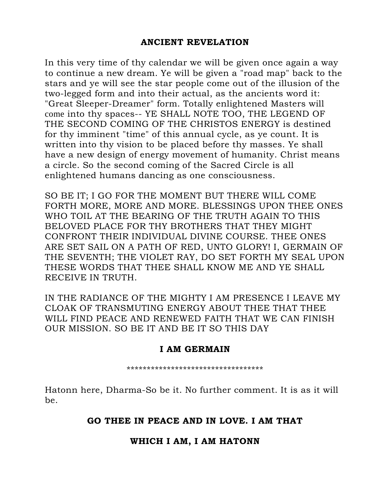### **ANCIENT REVELATION**

In this very time of thy calendar we will be given once again a way to continue a new dream. Ye will be given a "road map" back to the stars and ye will see the star people come out of the illusion of the two-legged form and into their actual, as the ancients word it: "Great Sleeper-Dreamer" form. Totally enlightened Masters will come into thy spaces-- YE SHALL NOTE TOO, THE LEGEND OF THE SECOND COMING OF THE CHRISTOS ENERGY is destined for thy imminent "time" of this annual cycle, as ye count. It is written into thy vision to be placed before thy masses. Ye shall have a new design of energy movement of humanity. Christ means a circle. So the second coming of the Sacred Circle is all enlightened humans dancing as one consciousness.

SO BE IT; I GO FOR THE MOMENT BUT THERE WILL COME FORTH MORE, MORE AND MORE. BLESSINGS UPON THEE ONES WHO TOIL AT THE BEARING OF THE TRUTH AGAIN TO THIS BELOVED PLACE FOR THY BROTHERS THAT THEY MIGHT CONFRONT THEIR INDIVIDUAL DIVINE COURSE. THEE ONES ARE SET SAIL ON A PATH OF RED, UNTO GLORY! I, GERMAIN OF THE SEVENTH; THE VIOLET RAY, DO SET FORTH MY SEAL UPON THESE WORDS THAT THEE SHALL KNOW ME AND YE SHALL RECEIVE IN TRUTH.

IN THE RADIANCE OF THE MIGHTY I AM PRESENCE I LEAVE MY CLOAK OF TRANSMUTING ENERGY ABOUT THEE THAT THEE WILL FIND PEACE AND RENEWED FAITH THAT WE CAN FINISH OUR MISSION. SO BE IT AND BE IT SO THIS DAY

### **I AM GERMAIN**

\*\*\*\*\*\*\*\*\*\*\*\*\*\*\*\*\*\*\*\*\*\*\*\*\*\*\*\*\*\*\*\*\*\*

Hatonn here, Dharma-So be it. No further comment. It is as it will be.

# **GO THEE IN PEACE AND IN LOVE. I AM THAT**

### **WHICH I AM, I AM HATONN**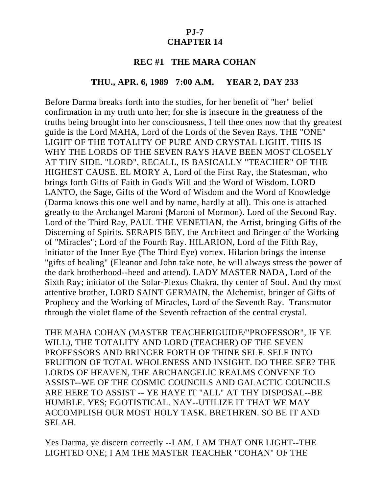### **PJ-7 CHAPTER 14**

### **REC #1 THE MARA COHAN**

### **THU., APR. 6, 1989 7:00 A.M. YEAR 2, DAY 233**

Before Darma breaks forth into the studies, for her benefit of "her" belief confirmation in my truth unto her; for she is insecure in the greatness of the truths being brought into her consciousness, I tell thee ones now that thy greatest guide is the Lord MAHA, Lord of the Lords of the Seven Rays. THE "ONE" LIGHT OF THE TOTALITY OF PURE AND CRYSTAL LIGHT. THIS IS WHY THE LORDS OF THE SEVEN RAYS HAVE BEEN MOST CLOSELY AT THY SIDE. "LORD", RECALL, IS BASICALLY "TEACHER" OF THE HIGHEST CAUSE. EL MORY A, Lord of the First Ray, the Statesman, who brings forth Gifts of Faith in God's Will and the Word of Wisdom. LORD LANTO, the Sage, Gifts of the Word of Wisdom and the Word of Knowledge (Darma knows this one well and by name, hardly at all). This one is attached greatly to the Archangel Maroni (Maroni of Mormon). Lord of the Second Ray. Lord of the Third Ray, PAUL THE VENETIAN, the Artist, bringing Gifts of the Discerning of Spirits. SERAPIS BEY, the Architect and Bringer of the Working of "Miracles"; Lord of the Fourth Ray. HILARION, Lord of the Fifth Ray, initiator of the Inner Eye (The Third Eye) vortex. Hilarion brings the intense "gifts of healing" (Eleanor and John take note, he will always stress the power of the dark brotherhood--heed and attend). LADY MASTER NADA, Lord of the Sixth Ray; initiator of the Solar-Plexus Chakra, thy center of Soul. And thy most attentive brother, LORD SAINT GERMAIN, the Alchemist, bringer of Gifts of Prophecy and the Working of Miracles, Lord of the Seventh Ray. Transmutor through the violet flame of the Seventh refraction of the central crystal.

THE MAHA COHAN (MASTER TEACHERIGUIDE/"PROFESSOR", IF YE WILL), THE TOTALITY AND LORD (TEACHER) OF THE SEVEN PROFESSORS AND BRINGER FORTH OF THINE SELF. SELF INTO FRUITION OF TOTAL WHOLENESS AND INSIGHT. DO THEE SEE? THE LORDS OF HEAVEN, THE ARCHANGELIC REALMS CONVENE TO ASSIST--WE OF THE COSMIC COUNCILS AND GALACTIC COUNCILS ARE HERE TO ASSIST -- YE HAYE IT "ALL" AT THY DISPOSAL--BE HUMBLE. YES; EGOTISTICAL. NAY--UTILIZE IT THAT WE MAY ACCOMPLISH OUR MOST HOLY TASK. BRETHREN. SO BE IT AND SELAH.

Yes Darma, ye discern correctly --I AM. I AM THAT ONE LIGHT--THE LIGHTED ONE; I AM THE MASTER TEACHER "COHAN" OF THE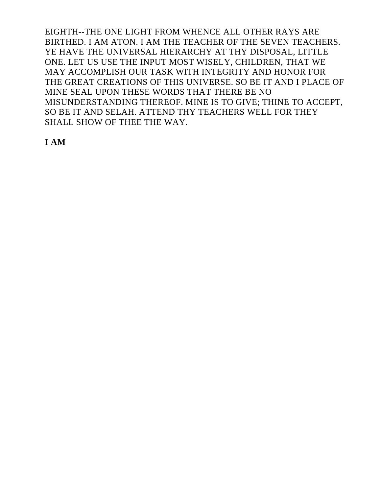EIGHTH--THE ONE LIGHT FROM WHENCE ALL OTHER RAYS ARE BIRTHED. I AM ATON. I AM THE TEACHER OF THE SEVEN TEACHERS. YE HAVE THE UNIVERSAL HIERARCHY AT THY DISPOSAL, LITTLE ONE. LET US USE THE INPUT MOST WISELY, CHILDREN, THAT WE MAY ACCOMPLISH OUR TASK WITH INTEGRITY AND HONOR FOR THE GREAT CREATIONS OF THIS UNIVERSE. SO BE IT AND I PLACE OF MINE SEAL UPON THESE WORDS THAT THERE BE NO MISUNDERSTANDING THEREOF. MINE IS TO GIVE; THINE TO ACCEPT, SO BE IT AND SELAH. ATTEND THY TEACHERS WELL FOR THEY SHALL SHOW OF THEE THE WAY.

**I AM**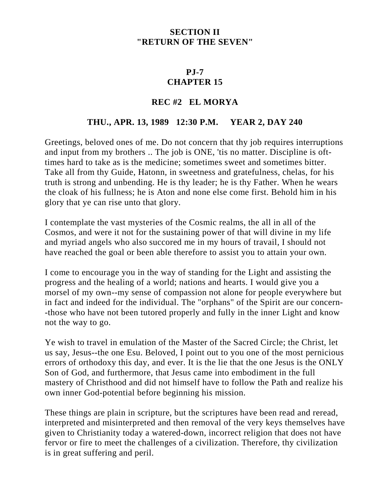### **SECTION II "RETURN OF THE SEVEN"**

### **PJ-7 CHAPTER 15**

# **REC #2 EL MORYA**

# **THU., APR. 13, 1989 12:30 P.M. YEAR 2, DAY 240**

Greetings, beloved ones of me. Do not concern that thy job requires interruptions and input from my brothers .. The job is ONE, 'tis no matter. Discipline is ofttimes hard to take as is the medicine; sometimes sweet and sometimes bitter. Take all from thy Guide, Hatonn, in sweetness and gratefulness, chelas, for his truth is strong and unbending. He is thy leader; he is thy Father. When he wears the cloak of his fullness; he is Aton and none else come first. Behold him in his glory that ye can rise unto that glory.

I contemplate the vast mysteries of the Cosmic realms, the all in all of the Cosmos, and were it not for the sustaining power of that will divine in my life and myriad angels who also succored me in my hours of travail, I should not have reached the goal or been able therefore to assist you to attain your own.

I come to encourage you in the way of standing for the Light and assisting the progress and the healing of a world; nations and hearts. I would give you a morsel of my own--my sense of compassion not alone for people everywhere but in fact and indeed for the individual. The "orphans" of the Spirit are our concern- -those who have not been tutored properly and fully in the inner Light and know not the way to go.

Ye wish to travel in emulation of the Master of the Sacred Circle; the Christ, let us say, Jesus--the one Esu. Beloved, I point out to you one of the most pernicious errors of orthodoxy this day, and ever. It is the lie that the one Jesus is the ONLY Son of God, and furthermore, that Jesus came into embodiment in the full mastery of Christhood and did not himself have to follow the Path and realize his own inner God-potential before beginning his mission.

These things are plain in scripture, but the scriptures have been read and reread, interpreted and misinterpreted and then removal of the very keys themselves have given to Christianity today a watered-down, incorrect religion that does not have fervor or fire to meet the challenges of a civilization. Therefore, thy civilization is in great suffering and peril.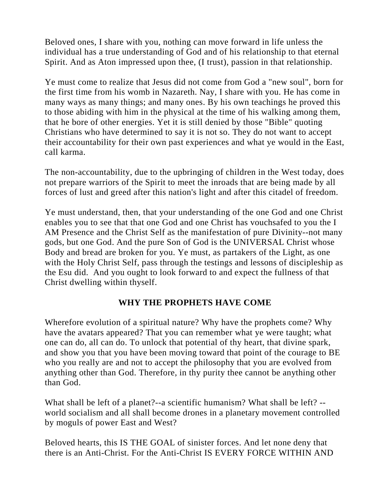Beloved ones, I share with you, nothing can move forward in life unless the individual has a true understanding of God and of his relationship to that eternal Spirit. And as Aton impressed upon thee, (I trust), passion in that relationship.

Ye must come to realize that Jesus did not come from God a "new soul", born for the first time from his womb in Nazareth. Nay, I share with you. He has come in many ways as many things; and many ones. By his own teachings he proved this to those abiding with him in the physical at the time of his walking among them, that he bore of other energies. Yet it is still denied by those "Bible" quoting Christians who have determined to say it is not so. They do not want to accept their accountability for their own past experiences and what ye would in the East, call karma.

The non-accountability, due to the upbringing of children in the West today, does not prepare warriors of the Spirit to meet the inroads that are being made by all forces of lust and greed after this nation's light and after this citadel of freedom.

Ye must understand, then, that your understanding of the one God and one Christ enables you to see that that one God and one Christ has vouchsafed to you the I AM Presence and the Christ Self as the manifestation of pure Divinity--not many gods, but one God. And the pure Son of God is the UNIVERSAL Christ whose Body and bread are broken for you. Ye must, as partakers of the Light, as one with the Holy Christ Self, pass through the testings and lessons of discipleship as the Esu did. And you ought to look forward to and expect the fullness of that Christ dwelling within thyself.

# **WHY THE PROPHETS HAVE COME**

Wherefore evolution of a spiritual nature? Why have the prophets come? Why have the avatars appeared? That you can remember what ye were taught; what one can do, all can do. To unlock that potential of thy heart, that divine spark, and show you that you have been moving toward that point of the courage to BE who you really are and not to accept the philosophy that you are evolved from anything other than God. Therefore, in thy purity thee cannot be anything other than God.

What shall be left of a planet?--a scientific humanism? What shall be left? - world socialism and all shall become drones in a planetary movement controlled by moguls of power East and West?

Beloved hearts, this IS THE GOAL of sinister forces. And let none deny that there is an Anti-Christ. For the Anti-Christ IS EVERY FORCE WITHIN AND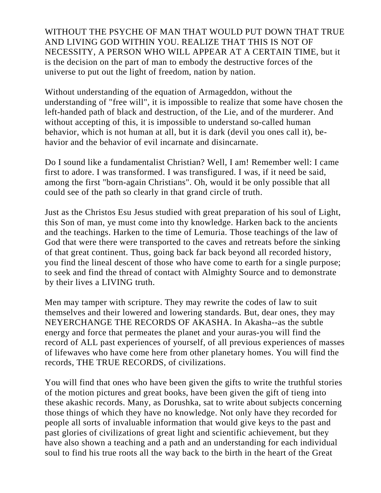WITHOUT THE PSYCHE OF MAN THAT WOULD PUT DOWN THAT TRUE AND LIVING GOD WITHIN YOU. REALIZE THAT THIS IS NOT OF NECESSITY, A PERSON WHO WILL APPEAR AT A CERTAIN TIME, but it is the decision on the part of man to embody the destructive forces of the universe to put out the light of freedom, nation by nation.

Without understanding of the equation of Armageddon, without the understanding of "free will", it is impossible to realize that some have chosen the left-handed path of black and destruction, of the Lie, and of the murderer. And without accepting of this, it is impossible to understand so-called human behavior, which is not human at all, but it is dark (devil you ones call it), behavior and the behavior of evil incarnate and disincarnate.

Do I sound like a fundamentalist Christian? Well, I am! Remember well: I came first to adore. I was transformed. I was transfigured. I was, if it need be said, among the first "born-again Christians". Oh, would it be only possible that all could see of the path so clearly in that grand circle of truth.

Just as the Christos Esu Jesus studied with great preparation of his soul of Light, this Son of man, ye must come into thy knowledge. Harken back to the ancients and the teachings. Harken to the time of Lemuria. Those teachings of the law of God that were there were transported to the caves and retreats before the sinking of that great continent. Thus, going back far back beyond all recorded history, you find the lineal descent of those who have come to earth for a single purpose; to seek and find the thread of contact with Almighty Source and to demonstrate by their lives a LIVING truth.

Men may tamper with scripture. They may rewrite the codes of law to suit themselves and their lowered and lowering standards. But, dear ones, they may NEYERCHANGE THE RECORDS OF AKASHA. In Akasha--as the subtle energy and force that permeates the planet and your auras-you will find the record of ALL past experiences of yourself, of all previous experiences of masses of lifewaves who have come here from other planetary homes. You will find the records, THE TRUE RECORDS, of civilizations.

You will find that ones who have been given the gifts to write the truthful stories of the motion pictures and great books, have been given the gift of tieng into these akashic records. Many, as Dorushka, sat to write about subjects concerning those things of which they have no knowledge. Not only have they recorded for people all sorts of invaluable information that would give keys to the past and past glories of civilizations of great light and scientific achievement, but they have also shown a teaching and a path and an understanding for each individual soul to find his true roots all the way back to the birth in the heart of the Great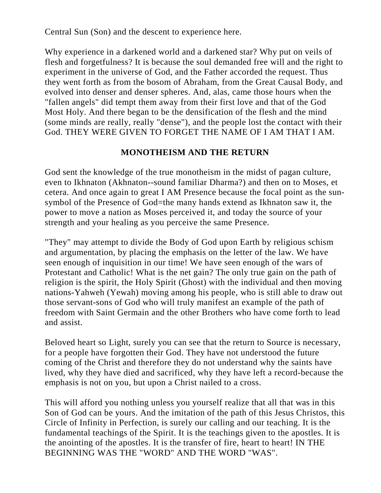Central Sun (Son) and the descent to experience here.

Why experience in a darkened world and a darkened star? Why put on veils of flesh and forgetfulness? It is because the soul demanded free will and the right to experiment in the universe of God, and the Father accorded the request. Thus they went forth as from the bosom of Abraham, from the Great Causal Body, and evolved into denser and denser spheres. And, alas, came those hours when the "fallen angels" did tempt them away from their first love and that of the God Most Holy. And there began to be the densification of the flesh and the mind (some minds are really, really "dense"), and the people lost the contact with their God. THEY WERE GIVEN TO FORGET THE NAME OF I AM THAT I AM.

## **MONOTHEISM AND THE RETURN**

God sent the knowledge of the true monotheism in the midst of pagan culture, even to Ikhnaton (Akhnaton--sound familiar Dharma?) and then on to Moses, et cetera. And once again to great I AM Presence because the focal point as the sunsymbol of the Presence of God=the many hands extend as Ikhnaton saw it, the power to move a nation as Moses perceived it, and today the source of your strength and your healing as you perceive the same Presence.

"They" may attempt to divide the Body of God upon Earth by religious schism and argumentation, by placing the emphasis on the letter of the law. We have seen enough of inquisition in our time! We have seen enough of the wars of Protestant and Catholic! What is the net gain? The only true gain on the path of religion is the spirit, the Holy Spirit (Ghost) with the individual and then moving nations-Yahweh (Yewah) moving among his people, who is still able to draw out those servant-sons of God who will truly manifest an example of the path of freedom with Saint Germain and the other Brothers who have come forth to lead and assist.

Beloved heart so Light, surely you can see that the return to Source is necessary, for a people have forgotten their God. They have not understood the future coming of the Christ and therefore they do not understand why the saints have lived, why they have died and sacrificed, why they have left a record-because the emphasis is not on you, but upon a Christ nailed to a cross.

This will afford you nothing unless you yourself realize that all that was in this Son of God can be yours. And the imitation of the path of this Jesus Christos, this Circle of Infinity in Perfection, is surely our calling and our teaching. It is the fundamental teachings of the Spirit. It is the teachings given to the apostles. It is the anointing of the apostles. It is the transfer of fire, heart to heart! IN THE BEGINNING WAS THE "WORD" AND THE WORD "WAS".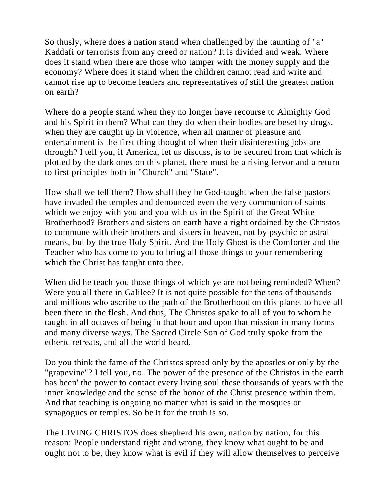So thusly, where does a nation stand when challenged by the taunting of "a" Kaddafi or terrorists from any creed or nation? It is divided and weak. Where does it stand when there are those who tamper with the money supply and the economy? Where does it stand when the children cannot read and write and cannot rise up to become leaders and representatives of still the greatest nation on earth?

Where do a people stand when they no longer have recourse to Almighty God and his Spirit in them? What can they do when their bodies are beset by drugs, when they are caught up in violence, when all manner of pleasure and entertainment is the first thing thought of when their disinteresting jobs are through? I tell you, if America, let us discuss, is to be secured from that which is plotted by the dark ones on this planet, there must be a rising fervor and a return to first principles both in "Church" and "State".

How shall we tell them? How shall they be God-taught when the false pastors have invaded the temples and denounced even the very communion of saints which we enjoy with you and you with us in the Spirit of the Great White Brotherhood? Brothers and sisters on earth have a right ordained by the Christos to commune with their brothers and sisters in heaven, not by psychic or astral means, but by the true Holy Spirit. And the Holy Ghost is the Comforter and the Teacher who has come to you to bring all those things to your remembering which the Christ has taught unto thee.

When did he teach you those things of which ye are not being reminded? When? Were you all there in Galilee? It is not quite possible for the tens of thousands and millions who ascribe to the path of the Brotherhood on this planet to have all been there in the flesh. And thus, The Christos spake to all of you to whom he taught in all octaves of being in that hour and upon that mission in many forms and many diverse ways. The Sacred Circle Son of God truly spoke from the etheric retreats, and all the world heard.

Do you think the fame of the Christos spread only by the apostles or only by the "grapevine"? I tell you, no. The power of the presence of the Christos in the earth has been' the power to contact every living soul these thousands of years with the inner knowledge and the sense of the honor of the Christ presence within them. And that teaching is ongoing no matter what is said in the mosques or synagogues or temples. So be it for the truth is so.

The LIVING CHRISTOS does shepherd his own, nation by nation, for this reason: People understand right and wrong, they know what ought to be and ought not to be, they know what is evil if they will allow themselves to perceive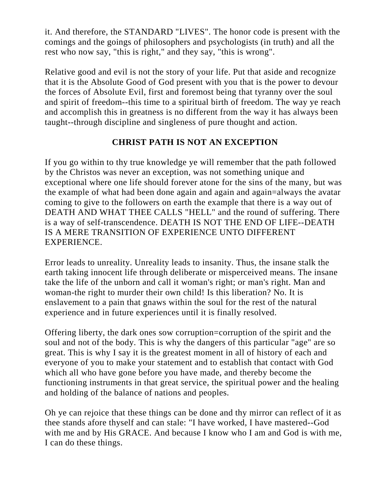it. And therefore, the STANDARD "LIVES". The honor code is present with the comings and the goings of philosophers and psychologists (in truth) and all the rest who now say, "this is right," and they say, "this is wrong".

Relative good and evil is not the story of your life. Put that aside and recognize that it is the Absolute Good of God present with you that is the power to devour the forces of Absolute Evil, first and foremost being that tyranny over the soul and spirit of freedom--this time to a spiritual birth of freedom. The way ye reach and accomplish this in greatness is no different from the way it has always been taught--through discipline and singleness of pure thought and action.

# **CHRIST PATH IS NOT AN EXCEPTION**

If you go within to thy true knowledge ye will remember that the path followed by the Christos was never an exception, was not something unique and exceptional where one life should forever atone for the sins of the many, but was the example of what had been done again and again and again=always the avatar coming to give to the followers on earth the example that there is a way out of DEATH AND WHAT THEE CALLS "HELL" and the round of suffering. There is a way of self-transcendence. DEATH IS NOT THE END OF LIFE--DEATH IS A MERE TRANSITION OF EXPERIENCE UNTO DIFFERENT EXPERIENCE.

Error leads to unreality. Unreality leads to insanity. Thus, the insane stalk the earth taking innocent life through deliberate or misperceived means. The insane take the life of the unborn and call it woman's right; or man's right. Man and woman-the right to murder their own child! Is this liberation? No. It is enslavement to a pain that gnaws within the soul for the rest of the natural experience and in future experiences until it is finally resolved.

Offering liberty, the dark ones sow corruption=corruption of the spirit and the soul and not of the body. This is why the dangers of this particular "age" are so great. This is why I say it is the greatest moment in all of history of each and everyone of you to make your statement and to establish that contact with God which all who have gone before you have made, and thereby become the functioning instruments in that great service, the spiritual power and the healing and holding of the balance of nations and peoples.

Oh ye can rejoice that these things can be done and thy mirror can reflect of it as thee stands afore thyself and can stale: "I have worked, I have mastered--God with me and by His GRACE. And because I know who I am and God is with me, I can do these things.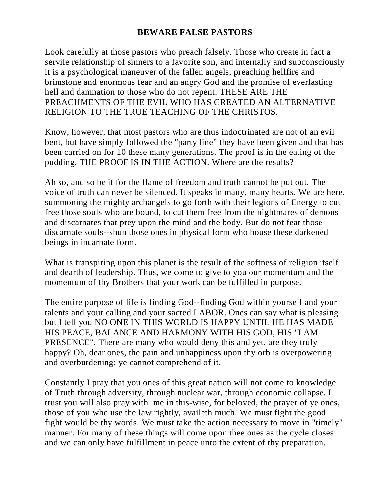## **BEWARE FALSE PASTORS**

Look carefully at those pastors who preach falsely. Those who create in fact a servile relationship of sinners to a favorite son, and internally and subconsciously it is a psychological maneuver of the fallen angels, preaching hellfire and brimstone and enormous fear and an angry God and the promise of everlasting hell and damnation to those who do not repent. THESE ARE THE PREACHMENTS OF THE EVIL WHO HAS CREATED AN ALTERNATIVE RELIGION TO THE TRUE TEACHING OF THE CHRISTOS.

Know, however, that most pastors who are thus indoctrinated are not of an evil bent, but have simply followed the "party line" they have been given and that has been carried on for 10 these many generations. The proof is in the eating of the pudding. THE PROOF IS IN THE ACTION. Where are the results?

Ah so, and so be it for the flame of freedom and truth cannot be put out. The voice of truth can never be silenced. It speaks in many, many hearts. We are here, summoning the mighty archangels to go forth with their legions of Energy to cut free those souls who are bound, to cut them free from the nightmares of demons and discarnates that prey upon the mind and the body. But do not fear those discarnate souls--shun those ones in physical form who house these darkened beings in incarnate form.

What is transpiring upon this planet is the result of the softness of religion itself and dearth of leadership. Thus, we come to give to you our momentum and the momentum of thy Brothers that your work can be fulfilled in purpose.

The entire purpose of life is finding God--finding God within yourself and your talents and your calling and your sacred LABOR. Ones can say what is pleasing but I tell you NO ONE IN THIS WORLD IS HAPPY UNTIL HE HAS MADE HIS PEACE, BALANCE AND HARMONY WITH HIS GOD, HIS "I AM PRESENCE". There are many who would deny this and yet, are they truly happy? Oh, dear ones, the pain and unhappiness upon thy orb is overpowering and overburdening; ye cannot comprehend of it.

Constantly I pray that you ones of this great nation will not come to knowledge of Truth through adversity, through nuclear war, through economic collapse. I trust you will also pray with me in this-wise, for beloved, the prayer of ye ones, those of you who use the law rightly, availeth much. We must fight the good fight would be thy words. We must take the action necessary to move in "timely" manner. For many of these things will come upon thee ones as the cycle closes and we can only have fulfillment in peace unto the extent of thy preparation.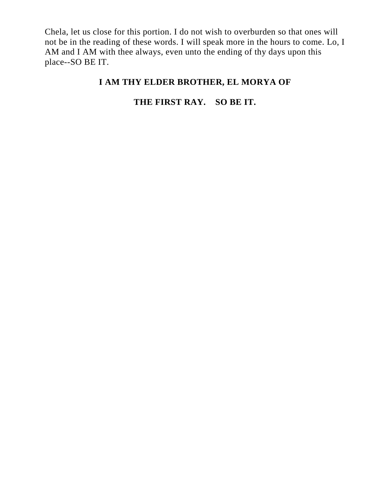Chela, let us close for this portion. I do not wish to overburden so that ones will not be in the reading of these words. I will speak more in the hours to come. Lo, I AM and I AM with thee always, even unto the ending of thy days upon this place--SO BE IT.

# **I AM THY ELDER BROTHER, EL MORYA OF**

**THE FIRST RAY. SO BE IT.**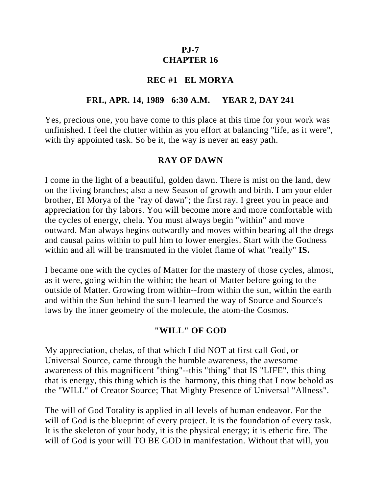## **PJ-7 CHAPTER 16**

#### **REC #1 EL MORYA**

#### **FRI., APR. 14, 1989 6:30 A.M. YEAR 2, DAY 241**

Yes, precious one, you have come to this place at this time for your work was unfinished. I feel the clutter within as you effort at balancing "life, as it were", with thy appointed task. So be it, the way is never an easy path.

#### **RAY OF DAWN**

I come in the light of a beautiful, golden dawn. There is mist on the land, dew on the living branches; also a new Season of growth and birth. I am your elder brother, EI Morya of the "ray of dawn"; the first ray. I greet you in peace and appreciation for thy labors. You will become more and more comfortable with the cycles of energy, chela. You must always begin "within" and move outward. Man always begins outwardly and moves within bearing all the dregs and causal pains within to pull him to lower energies. Start with the Godness within and all will be transmuted in the violet flame of what "really" **IS.**

I became one with the cycles of Matter for the mastery of those cycles, almost, as it were, going within the within; the heart of Matter before going to the outside of Matter. Growing from within--from within the sun, within the earth and within the Sun behind the sun-I learned the way of Source and Source's laws by the inner geometry of the molecule, the atom-the Cosmos.

#### **"WILL" OF GOD**

My appreciation, chelas, of that which I did NOT at first call God, or Universal Source, came through the humble awareness, the awesome awareness of this magnificent "thing"--this "thing" that IS "LIFE", this thing that is energy, this thing which is the harmony, this thing that I now behold as the "WILL" of Creator Source; That Mighty Presence of Universal "Allness".

The will of God Totality is applied in all levels of human endeavor. For the will of God is the blueprint of every project. It is the foundation of every task. It is the skeleton of your body, it is the physical energy; it is etheric fire. The will of God is your will TO BE GOD in manifestation. Without that will, you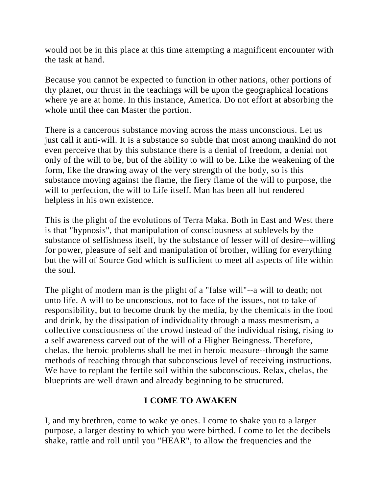would not be in this place at this time attempting a magnificent encounter with the task at hand.

Because you cannot be expected to function in other nations, other portions of thy planet, our thrust in the teachings will be upon the geographical locations where ye are at home. In this instance, America. Do not effort at absorbing the whole until thee can Master the portion.

There is a cancerous substance moving across the mass unconscious. Let us just call it anti-will. It is a substance so subtle that most among mankind do not even perceive that by this substance there is a denial of freedom, a denial not only of the will to be, but of the ability to will to be. Like the weakening of the form, like the drawing away of the very strength of the body, so is this substance moving against the flame, the fiery flame of the will to purpose, the will to perfection, the will to Life itself. Man has been all but rendered helpless in his own existence.

This is the plight of the evolutions of Terra Maka. Both in East and West there is that "hypnosis", that manipulation of consciousness at sublevels by the substance of selfishness itself, by the substance of lesser will of desire--willing for power, pleasure of self and manipulation of brother, willing for everything but the will of Source God which is sufficient to meet all aspects of life within the soul.

The plight of modern man is the plight of a "false will"--a will to death; not unto life. A will to be unconscious, not to face of the issues, not to take of responsibility, but to become drunk by the media, by the chemicals in the food and drink, by the dissipation of individuality through a mass mesmerism, a collective consciousness of the crowd instead of the individual rising, rising to a self awareness carved out of the will of a Higher Beingness. Therefore, chelas, the heroic problems shall be met in heroic measure--through the same methods of reaching through that subconscious level of receiving instructions. We have to replant the fertile soil within the subconscious. Relax, chelas, the blueprints are well drawn and already beginning to be structured.

## **I COME TO AWAKEN**

I, and my brethren, come to wake ye ones. I come to shake you to a larger purpose, a larger destiny to which you were birthed. I come to let the decibels shake, rattle and roll until you "HEAR", to allow the frequencies and the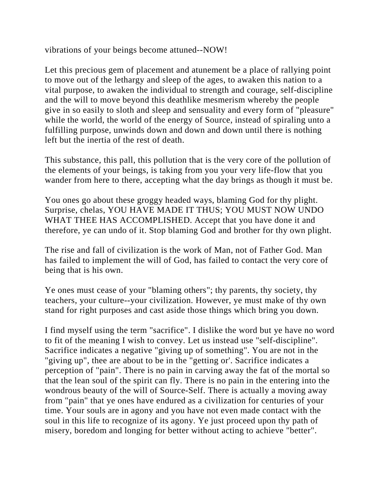vibrations of your beings become attuned--NOW!

Let this precious gem of placement and atunement be a place of rallying point to move out of the lethargy and sleep of the ages, to awaken this nation to a vital purpose, to awaken the individual to strength and courage, self-discipline and the will to move beyond this deathlike mesmerism whereby the people give in so easily to sloth and sleep and sensuality and every form of "pleasure" while the world, the world of the energy of Source, instead of spiraling unto a fulfilling purpose, unwinds down and down and down until there is nothing left but the inertia of the rest of death.

This substance, this pall, this pollution that is the very core of the pollution of the elements of your beings, is taking from you your very life-flow that you wander from here to there, accepting what the day brings as though it must be.

You ones go about these groggy headed ways, blaming God for thy plight. Surprise, chelas, YOU HAVE MADE IT THUS; YOU MUST NOW UNDO WHAT THEE HAS ACCOMPLISHED. Accept that you have done it and therefore, ye can undo of it. Stop blaming God and brother for thy own plight.

The rise and fall of civilization is the work of Man, not of Father God. Man has failed to implement the will of God, has failed to contact the very core of being that is his own.

Ye ones must cease of your "blaming others"; thy parents, thy society, thy teachers, your culture--your civilization. However, ye must make of thy own stand for right purposes and cast aside those things which bring you down.

I find myself using the term "sacrifice". I dislike the word but ye have no word to fit of the meaning I wish to convey. Let us instead use "self-discipline". Sacrifice indicates a negative "giving up of something". You are not in the "giving up", thee are about to be in the "getting or'. Sacrifice indicates a perception of "pain". There is no pain in carving away the fat of the mortal so that the lean soul of the spirit can fly. There is no pain in the entering into the wondrous beauty of the will of Source-Self. There is actually a moving away from "pain" that ye ones have endured as a civilization for centuries of your time. Your souls are in agony and you have not even made contact with the soul in this life to recognize of its agony. Ye just proceed upon thy path of misery, boredom and longing for better without acting to achieve "better".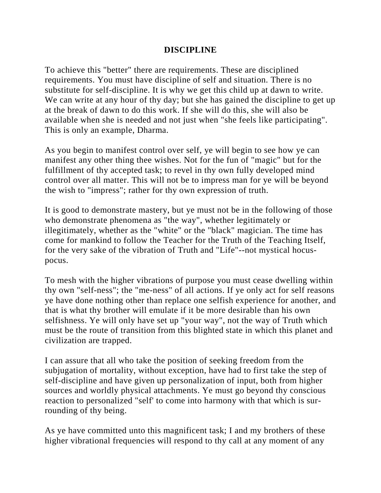#### **DISCIPLINE**

To achieve this "better" there are requirements. These are disciplined requirements. You must have discipline of self and situation. There is no substitute for self-discipline. It is why we get this child up at dawn to write. We can write at any hour of thy day; but she has gained the discipline to get up at the break of dawn to do this work. If she will do this, she will also be available when she is needed and not just when "she feels like participating". This is only an example, Dharma.

As you begin to manifest control over self, ye will begin to see how ye can manifest any other thing thee wishes. Not for the fun of "magic" but for the fulfillment of thy accepted task; to revel in thy own fully developed mind control over all matter. This will not be to impress man for ye will be beyond the wish to "impress"; rather for thy own expression of truth.

It is good to demonstrate mastery, but ye must not be in the following of those who demonstrate phenomena as "the way", whether legitimately or illegitimately, whether as the "white" or the "black" magician. The time has come for mankind to follow the Teacher for the Truth of the Teaching Itself, for the very sake of the vibration of Truth and "Life"--not mystical hocuspocus.

To mesh with the higher vibrations of purpose you must cease dwelling within thy own "self-ness"; the "me-ness" of all actions. If ye only act for self reasons ye have done nothing other than replace one selfish experience for another, and that is what thy brother will emulate if it be more desirable than his own selfishness. Ye will only have set up "your way", not the way of Truth which must be the route of transition from this blighted state in which this planet and civilization are trapped.

I can assure that all who take the position of seeking freedom from the subjugation of mortality, without exception, have had to first take the step of self-discipline and have given up personalization of input, both from higher sources and worldly physical attachments. Ye must go beyond thy conscious reaction to personalized "self' to come into harmony with that which is surrounding of thy being.

As ye have committed unto this magnificent task; I and my brothers of these higher vibrational frequencies will respond to thy call at any moment of any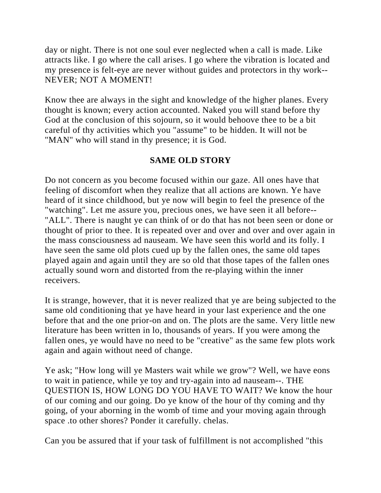day or night. There is not one soul ever neglected when a call is made. Like attracts like. I go where the call arises. I go where the vibration is located and my presence is felt-eye are never without guides and protectors in thy work-- NEVER; NOT A MOMENT!

Know thee are always in the sight and knowledge of the higher planes. Every thought is known; every action accounted. Naked you will stand before thy God at the conclusion of this sojourn, so it would behoove thee to be a bit careful of thy activities which you "assume" to be hidden. It will not be "MAN" who will stand in thy presence; it is God.

## **SAME OLD STORY**

Do not concern as you become focused within our gaze. All ones have that feeling of discomfort when they realize that all actions are known. Ye have heard of it since childhood, but ye now will begin to feel the presence of the "watching". Let me assure you, precious ones, we have seen it all before-- "ALL". There is naught ye can think of or do that has not been seen or done or thought of prior to thee. It is repeated over and over and over and over again in the mass consciousness ad nauseam. We have seen this world and its folly. I have seen the same old plots cued up by the fallen ones, the same old tapes played again and again until they are so old that those tapes of the fallen ones actually sound worn and distorted from the re-playing within the inner receivers.

It is strange, however, that it is never realized that ye are being subjected to the same old conditioning that ye have heard in your last experience and the one before that and the one prior-on and on. The plots are the same. Very little new literature has been written in lo, thousands of years. If you were among the fallen ones, ye would have no need to be "creative" as the same few plots work again and again without need of change.

Ye ask; "How long will ye Masters wait while we grow"? Well, we have eons to wait in patience, while ye toy and try-again into ad nauseam--. THE QUESTION IS, HOW LONG DO YOU HAVE TO WAIT? We know the hour of our coming and our going. Do ye know of the hour of thy coming and thy going, of your aborning in the womb of time and your moving again through space .to other shores? Ponder it carefully. chelas.

Can you be assured that if your task of fulfillment is not accomplished "this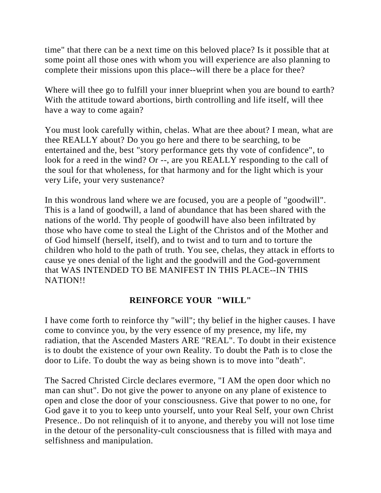time" that there can be a next time on this beloved place? Is it possible that at some point all those ones with whom you will experience are also planning to complete their missions upon this place--will there be a place for thee?

Where will thee go to fulfill your inner blueprint when you are bound to earth? With the attitude toward abortions, birth controlling and life itself, will thee have a way to come again?

You must look carefully within, chelas. What are thee about? I mean, what are thee REALLY about? Do you go here and there to be searching, to be entertained and the, best "story performance gets thy vote of confidence", to look for a reed in the wind? Or --, are you REALLY responding to the call of the soul for that wholeness, for that harmony and for the light which is your very Life, your very sustenance?

In this wondrous land where we are focused, you are a people of "goodwill". This is a land of goodwill, a land of abundance that has been shared with the nations of the world. Thy people of goodwill have also been infiltrated by those who have come to steal the Light of the Christos and of the Mother and of God himself (herself, itself), and to twist and to turn and to torture the children who hold to the path of truth. You see, chelas, they attack in efforts to cause ye ones denial of the light and the goodwill and the God-government that WAS INTENDED TO BE MANIFEST IN THIS PLACE--IN THIS NATION!!

#### **REINFORCE YOUR "WILL"**

I have come forth to reinforce thy "will"; thy belief in the higher causes. I have come to convince you, by the very essence of my presence, my life, my radiation, that the Ascended Masters ARE "REAL". To doubt in their existence is to doubt the existence of your own Reality. To doubt the Path is to close the door to Life. To doubt the way as being shown is to move into "death".

The Sacred Christed Circle declares evermore, "I AM the open door which no man can shut". Do not give the power to anyone on any plane of existence to open and close the door of your consciousness. Give that power to no one, for God gave it to you to keep unto yourself, unto your Real Self, your own Christ Presence.. Do not relinquish of it to anyone, and thereby you will not lose time in the detour of the personality-cult consciousness that is filled with maya and selfishness and manipulation.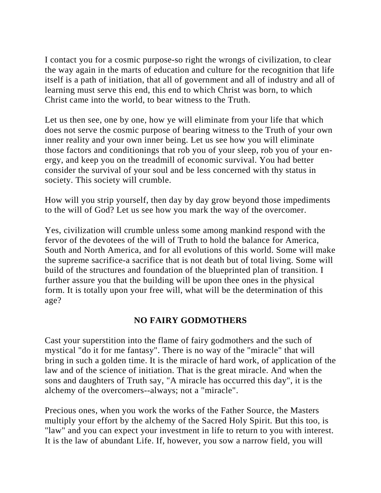I contact you for a cosmic purpose-so right the wrongs of civilization, to clear the way again in the marts of education and culture for the recognition that life itself is a path of initiation, that all of government and all of industry and all of learning must serve this end, this end to which Christ was born, to which Christ came into the world, to bear witness to the Truth.

Let us then see, one by one, how ye will eliminate from your life that which does not serve the cosmic purpose of bearing witness to the Truth of your own inner reality and your own inner being. Let us see how you will eliminate those factors and conditionings that rob you of your sleep, rob you of your energy, and keep you on the treadmill of economic survival. You had better consider the survival of your soul and be less concerned with thy status in society. This society will crumble.

How will you strip yourself, then day by day grow beyond those impediments to the will of God? Let us see how you mark the way of the overcomer.

Yes, civilization will crumble unless some among mankind respond with the fervor of the devotees of the will of Truth to hold the balance for America, South and North America, and for all evolutions of this world. Some will make the supreme sacrifice-a sacrifice that is not death but of total living. Some will build of the structures and foundation of the blueprinted plan of transition. I further assure you that the building will be upon thee ones in the physical form. It is totally upon your free will, what will be the determination of this age?

## **NO FAIRY GODMOTHERS**

Cast your superstition into the flame of fairy godmothers and the such of mystical "do it for me fantasy". There is no way of the "miracle" that will bring in such a golden time. It is the miracle of hard work, of application of the law and of the science of initiation. That is the great miracle. And when the sons and daughters of Truth say, "A miracle has occurred this day", it is the alchemy of the overcomers--always; not a "miracle".

Precious ones, when you work the works of the Father Source, the Masters multiply your effort by the alchemy of the Sacred Holy Spirit. But this too, is "law" and you can expect your investment in life to return to you with interest. It is the law of abundant Life. If, however, you sow a narrow field, you will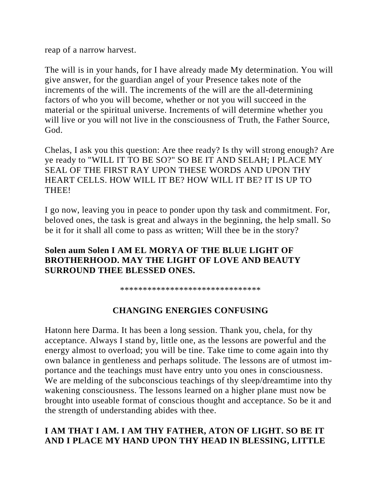reap of a narrow harvest.

The will is in your hands, for I have already made My determination. You will give answer, for the guardian angel of your Presence takes note of the increments of the will. The increments of the will are the all-determining factors of who you will become, whether or not you will succeed in the material or the spiritual universe. Increments of will determine whether you will live or you will not live in the consciousness of Truth, the Father Source, God.

Chelas, I ask you this question: Are thee ready? Is thy will strong enough? Are ye ready to "WILL IT TO BE SO?" SO BE IT AND SELAH; I PLACE MY SEAL OF THE FIRST RAY UPON THESE WORDS AND UPON THY HEART CELLS. HOW WILL IT BE? HOW WILL IT BE? IT IS UP TO THEE!

I go now, leaving you in peace to ponder upon thy task and commitment. For, beloved ones, the task is great and always in the beginning, the help small. So be it for it shall all come to pass as written; Will thee be in the story?

## **Solen aum Solen I AM EL MORYA OF THE BLUE LIGHT OF BROTHERHOOD. MAY THE LIGHT OF LOVE AND BEAUTY SURROUND THEE BLESSED ONES.**

\*\*\*\*\*\*\*\*\*\*\*\*\*\*\*\*\*\*\*\*\*\*\*\*\*\*\*\*\*\*\*

## **CHANGING ENERGIES CONFUSING**

Hatonn here Darma. It has been a long session. Thank you, chela, for thy acceptance. Always I stand by, little one, as the lessons are powerful and the energy almost to overload; you will be tine. Take time to come again into thy own balance in gentleness and perhaps solitude. The lessons are of utmost importance and the teachings must have entry unto you ones in consciousness. We are melding of the subconscious teachings of thy sleep/dreamtime into thy wakening consciousness. The lessons learned on a higher plane must now be brought into useable format of conscious thought and acceptance. So be it and the strength of understanding abides with thee.

## **I AM THAT I AM. I AM THY FATHER, ATON OF LIGHT. SO BE IT AND I PLACE MY HAND UPON THY HEAD IN BLESSING, LITTLE**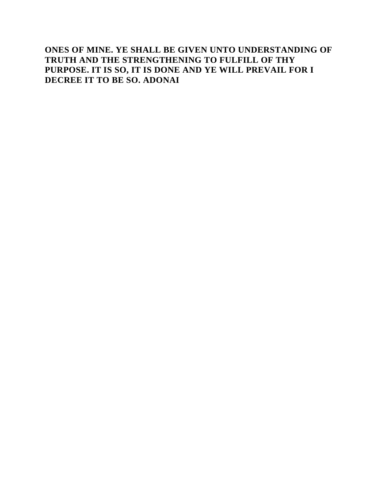## **ONES OF MINE. YE SHALL BE GIVEN UNTO UNDERSTANDING OF TRUTH AND THE STRENGTHENING TO FULFILL OF THY PURPOSE. IT IS SO, IT IS DONE AND YE WILL PREVAIL FOR I DECREE IT TO BE SO. ADONAI**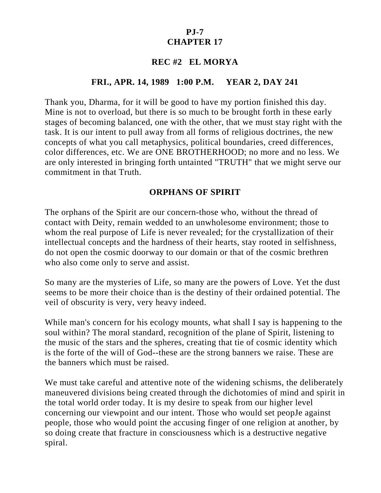## **PJ-7 CHAPTER 17**

### **REC #2 EL MORYA**

### **FRI., APR. 14, 1989 1:00 P.M. YEAR 2, DAY 241**

Thank you, Dharma, for it will be good to have my portion finished this day. Mine is not to overload, but there is so much to be brought forth in these early stages of becoming balanced, one with the other, that we must stay right with the task. It is our intent to pull away from all forms of religious doctrines, the new concepts of what you call metaphysics, political boundaries, creed differences, color differences, etc. We are ONE BROTHERHOOD; no more and no less. We are only interested in bringing forth untainted "TRUTH" that we might serve our commitment in that Truth.

## **ORPHANS OF SPIRIT**

The orphans of the Spirit are our concern-those who, without the thread of contact with Deity, remain wedded to an unwholesome environment; those to whom the real purpose of Life is never revealed; for the crystallization of their intellectual concepts and the hardness of their hearts, stay rooted in selfishness, do not open the cosmic doorway to our domain or that of the cosmic brethren who also come only to serve and assist.

So many are the mysteries of Life, so many are the powers of Love. Yet the dust seems to be more their choice than is the destiny of their ordained potential. The veil of obscurity is very, very heavy indeed.

While man's concern for his ecology mounts, what shall I say is happening to the soul within? The moral standard, recognition of the plane of Spirit, listening to the music of the stars and the spheres, creating that tie of cosmic identity which is the forte of the will of God--these are the strong banners we raise. These are the banners which must be raised.

We must take careful and attentive note of the widening schisms, the deliberately maneuvered divisions being created through the dichotomies of mind and spirit in the total world order today. It is my desire to speak from our higher level concerning our viewpoint and our intent. Those who would set peopJe against people, those who would point the accusing finger of one religion at another, by so doing create that fracture in consciousness which is a destructive negative spiral.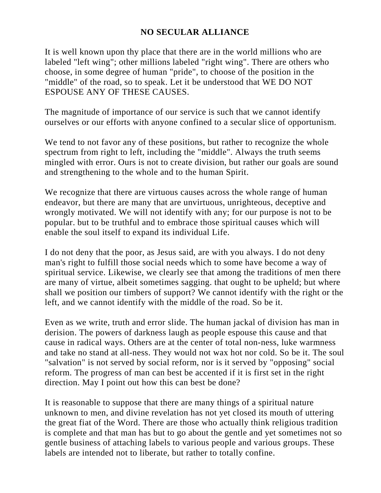## **NO SECULAR ALLIANCE**

It is well known upon thy place that there are in the world millions who are labeled "left wing"; other millions labeled "right wing". There are others who choose, in some degree of human "pride", to choose of the position in the "middle" of the road, so to speak. Let it be understood that WE DO NOT ESPOUSE ANY OF THESE CAUSES.

The magnitude of importance of our service is such that we cannot identify ourselves or our efforts with anyone confined to a secular slice of opportunism.

We tend to not favor any of these positions, but rather to recognize the whole spectrum from right to left, including the "middle". Always the truth seems mingled with error. Ours is not to create division, but rather our goals are sound and strengthening to the whole and to the human Spirit.

We recognize that there are virtuous causes across the whole range of human endeavor, but there are many that are unvirtuous, unrighteous, deceptive and wrongly motivated. We will not identify with any; for our purpose is not to be popular. but to be truthful and to embrace those spiritual causes which will enable the soul itself to expand its individual Life.

I do not deny that the poor, as Jesus said, are with you always. I do not deny man's right to fulfill those social needs which to some have become a way of spiritual service. Likewise, we clearly see that among the traditions of men there are many of virtue, albeit sometimes sagging. that ought to be upheld; but where shall we position our timbers of support? We cannot identify with the right or the left, and we cannot identify with the middle of the road. So be it.

Even as we write, truth and error slide. The human jackal of division has man in derision. The powers of darkness laugh as people espouse this cause and that cause in radical ways. Others are at the center of total non-ness, luke warmness and take no stand at all-ness. They would not wax hot nor cold. So be it. The soul "salvation" is not served by social reform, nor is it served by "opposing" social reform. The progress of man can best be accented if it is first set in the right direction. May I point out how this can best be done?

It is reasonable to suppose that there are many things of a spiritual nature unknown to men, and divine revelation has not yet closed its mouth of uttering the great fiat of the Word. There are those who actually think religious tradition is complete and that man has but to go about the gentle and yet sometimes not so gentle business of attaching labels to various people and various groups. These labels are intended not to liberate, but rather to totally confine.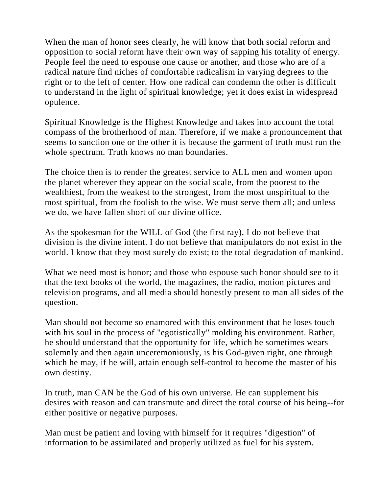When the man of honor sees clearly, he will know that both social reform and opposition to social reform have their own way of sapping his totality of energy. People feel the need to espouse one cause or another, and those who are of a radical nature find niches of comfortable radicalism in varying degrees to the right or to the left of center. How one radical can condemn the other is difficult to understand in the light of spiritual knowledge; yet it does exist in widespread opulence.

Spiritual Knowledge is the Highest Knowledge and takes into account the total compass of the brotherhood of man. Therefore, if we make a pronouncement that seems to sanction one or the other it is because the garment of truth must run the whole spectrum. Truth knows no man boundaries.

The choice then is to render the greatest service to ALL men and women upon the planet wherever they appear on the social scale, from the poorest to the wealthiest, from the weakest to the strongest, from the most unspiritual to the most spiritual, from the foolish to the wise. We must serve them all; and unless we do, we have fallen short of our divine office.

As the spokesman for the WILL of God (the first ray), I do not believe that division is the divine intent. I do not believe that manipulators do not exist in the world. I know that they most surely do exist; to the total degradation of mankind.

What we need most is honor; and those who espouse such honor should see to it that the text books of the world, the magazines, the radio, motion pictures and television programs, and all media should honestly present to man all sides of the question.

Man should not become so enamored with this environment that he loses touch with his soul in the process of "egotistically" molding his environment. Rather, he should understand that the opportunity for life, which he sometimes wears solemnly and then again unceremoniously, is his God-given right, one through which he may, if he will, attain enough self-control to become the master of his own destiny.

In truth, man CAN be the God of his own universe. He can supplement his desires with reason and can transmute and direct the total course of his being--for either positive or negative purposes.

Man must be patient and loving with himself for it requires "digestion" of information to be assimilated and properly utilized as fuel for his system.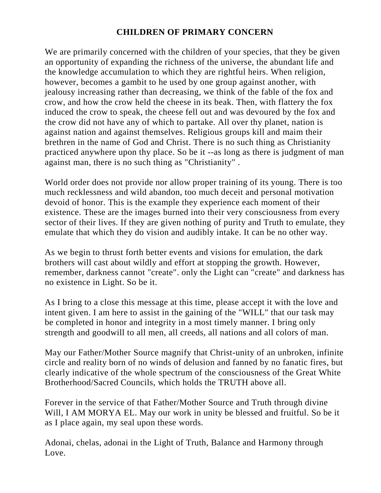# **CHILDREN OF PRIMARY CONCERN**

We are primarily concerned with the children of your species, that they be given an opportunity of expanding the richness of the universe, the abundant life and the knowledge accumulation to which they are rightful heirs. When religion, however, becomes a gambit to he used by one group against another, with jealousy increasing rather than decreasing, we think of the fable of the fox and crow, and how the crow held the cheese in its beak. Then, with flattery the fox induced the crow to speak, the cheese fell out and was devoured by the fox and the crow did not have any of which to partake. All over thy planet, nation is against nation and against themselves. Religious groups kill and maim their brethren in the name of God and Christ. There is no such thing as Christianity practiced anywhere upon thy place. So be it --as long as there is judgment of man against man, there is no such thing as "Christianity" .

World order does not provide nor allow proper training of its young. There is too much recklessness and wild abandon, too much deceit and personal motivation devoid of honor. This is the example they experience each moment of their existence. These are the images burned into their very consciousness from every sector of their lives. If they are given nothing of purity and Truth to emulate, they emulate that which they do vision and audibly intake. It can be no other way.

As we begin to thrust forth better events and visions for emulation, the dark brothers will cast about wildly and effort at stopping the growth. However, remember, darkness cannot "create". only the Light can "create" and darkness has no existence in Light. So be it.

As I bring to a close this message at this time, please accept it with the love and intent given. I am here to assist in the gaining of the "WILL" that our task may be completed in honor and integrity in a most timely manner. I bring only strength and goodwill to all men, all creeds, all nations and all colors of man.

May our Father/Mother Source magnify that Christ-unity of an unbroken, infinite circle and reality born of no winds of delusion and fanned by no fanatic fires, but clearly indicative of the whole spectrum of the consciousness of the Great White Brotherhood/Sacred Councils, which holds the TRUTH above all.

Forever in the service of that Father/Mother Source and Truth through divine Will, I AM MORYA EL. May our work in unity be blessed and fruitful. So be it as I place again, my seal upon these words.

Adonai, chelas, adonai in the Light of Truth, Balance and Harmony through Love.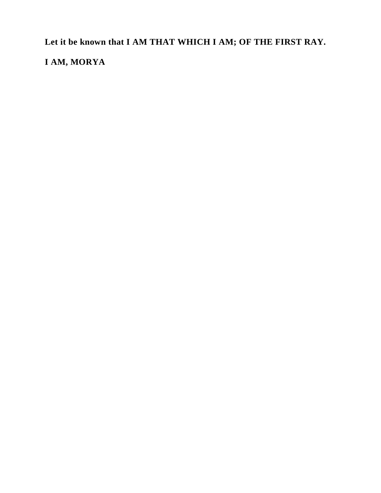**Let it be known that I AM THAT WHICH I AM; OF THE FIRST RAY.** 

# **I AM, MORYA**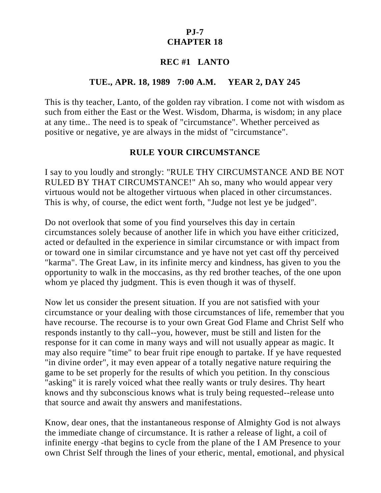## **PJ-7 CHAPTER 18**

### **REC #1 LANTO**

## **TUE., APR. 18, 1989 7:00 A.M. YEAR 2, DAY 245**

This is thy teacher, Lanto, of the golden ray vibration. I come not with wisdom as such from either the East or the West. Wisdom, Dharma, is wisdom; in any place at any time.. The need is to speak of "circumstance". Whether perceived as positive or negative, ye are always in the midst of "circumstance".

## **RULE YOUR CIRCUMSTANCE**

I say to you loudly and strongly: "RULE THY CIRCUMSTANCE AND BE NOT RULED BY THAT CIRCUMSTANCE!" Ah so, many who would appear very virtuous would not be altogether virtuous when placed in other circumstances. This is why, of course, the edict went forth, "Judge not lest ye be judged".

Do not overlook that some of you find yourselves this day in certain circumstances solely because of another life in which you have either criticized, acted or defaulted in the experience in similar circumstance or with impact from or toward one in similar circumstance and ye have not yet cast off thy perceived "karma". The Great Law, in its infinite mercy and kindness, has given to you the opportunity to walk in the moccasins, as thy red brother teaches, of the one upon whom ye placed thy judgment. This is even though it was of thyself.

Now let us consider the present situation. If you are not satisfied with your circumstance or your dealing with those circumstances of life, remember that you have recourse. The recourse is to your own Great God Flame and Christ Self who responds instantly to thy call--you, however, must be still and listen for the response for it can come in many ways and will not usually appear as magic. It may also require "time" to bear fruit ripe enough to partake. If ye have requested "in divine order", it may even appear of a totally negative nature requiring the game to be set properly for the results of which you petition. In thy conscious "asking" it is rarely voiced what thee really wants or truly desires. Thy heart knows and thy subconscious knows what is truly being requested--release unto that source and await thy answers and manifestations.

Know, dear ones, that the instantaneous response of Almighty God is not always the immediate change of circumstance. It is rather a release of light, a coil of infinite energy -that begins to cycle from the plane of the I AM Presence to your own Christ Self through the lines of your etheric, mental, emotional, and physical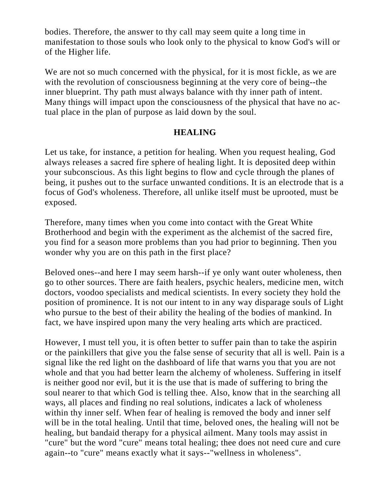bodies. Therefore, the answer to thy call may seem quite a long time in manifestation to those souls who look only to the physical to know God's will or of the Higher life.

We are not so much concerned with the physical, for it is most fickle, as we are with the revolution of consciousness beginning at the very core of being--the inner blueprint. Thy path must always balance with thy inner path of intent. Many things will impact upon the consciousness of the physical that have no actual place in the plan of purpose as laid down by the soul.

#### **HEALING**

Let us take, for instance, a petition for healing. When you request healing, God always releases a sacred fire sphere of healing light. It is deposited deep within your subconscious. As this light begins to flow and cycle through the planes of being, it pushes out to the surface unwanted conditions. It is an electrode that is a focus of God's wholeness. Therefore, all unlike itself must be uprooted, must be exposed.

Therefore, many times when you come into contact with the Great White Brotherhood and begin with the experiment as the alchemist of the sacred fire, you find for a season more problems than you had prior to beginning. Then you wonder why you are on this path in the first place?

Beloved ones--and here I may seem harsh--if ye only want outer wholeness, then go to other sources. There are faith healers, psychic healers, medicine men, witch doctors, voodoo specialists and medical scientists. In every society they hold the position of prominence. It is not our intent to in any way disparage souls of Light who pursue to the best of their ability the healing of the bodies of mankind. In fact, we have inspired upon many the very healing arts which are practiced.

However, I must tell you, it is often better to suffer pain than to take the aspirin or the painkillers that give you the false sense of security that all is well. Pain is a signal like the red light on the dashboard of life that warns you that you are not whole and that you had better learn the alchemy of wholeness. Suffering in itself is neither good nor evil, but it is the use that is made of suffering to bring the soul nearer to that which God is telling thee. Also, know that in the searching all ways, all places and finding no real solutions, indicates a lack of wholeness within thy inner self. When fear of healing is removed the body and inner self will be in the total healing. Until that time, beloved ones, the healing will not be healing, but bandaid therapy for a physical ailment. Many tools may assist in "cure" but the word "cure" means total healing; thee does not need cure and cure again--to "cure" means exactly what it says--"wellness in wholeness".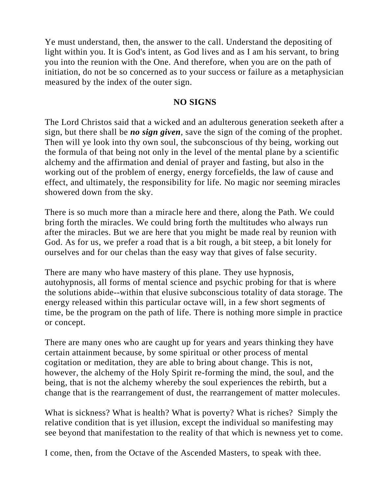Ye must understand, then, the answer to the call. Understand the depositing of light within you. It is God's intent, as God lives and as I am his servant, to bring you into the reunion with the One. And therefore, when you are on the path of initiation, do not be so concerned as to your success or failure as a metaphysician measured by the index of the outer sign.

### **NO SIGNS**

The Lord Christos said that a wicked and an adulterous generation seeketh after a sign, but there shall be *no sign given*, save the sign of the coming of the prophet. Then will ye look into thy own soul, the subconscious of thy being, working out the formula of that being not only in the level of the mental plane by a scientific alchemy and the affirmation and denial of prayer and fasting, but also in the working out of the problem of energy, energy forcefields, the law of cause and effect, and ultimately, the responsibility for life. No magic nor seeming miracles showered down from the sky.

There is so much more than a miracle here and there, along the Path. We could bring forth the miracles. We could bring forth the multitudes who always run after the miracles. But we are here that you might be made real by reunion with God. As for us, we prefer a road that is a bit rough, a bit steep, a bit lonely for ourselves and for our chelas than the easy way that gives of false security.

There are many who have mastery of this plane. They use hypnosis, autohypnosis, all forms of mental science and psychic probing for that is where the solutions abide--within that elusive subconscious totality of data storage. The energy released within this particular octave will, in a few short segments of time, be the program on the path of life. There is nothing more simple in practice or concept.

There are many ones who are caught up for years and years thinking they have certain attainment because, by some spiritual or other process of mental cogitation or meditation, they are able to bring about change. This is not, however, the alchemy of the Holy Spirit re-forming the mind, the soul, and the being, that is not the alchemy whereby the soul experiences the rebirth, but a change that is the rearrangement of dust, the rearrangement of matter molecules.

What is sickness? What is health? What is poverty? What is riches? Simply the relative condition that is yet illusion, except the individual so manifesting may see beyond that manifestation to the reality of that which is newness yet to come.

I come, then, from the Octave of the Ascended Masters, to speak with thee.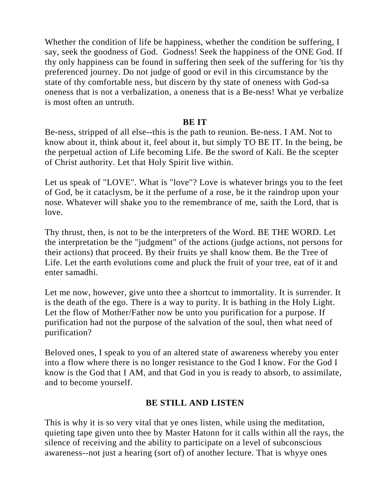Whether the condition of life be happiness, whether the condition be suffering, I say, seek the goodness of God. Godness! Seek the happiness of the ONE God. If thy only happiness can be found in suffering then seek of the suffering for 'tis thy preferenced journey. Do not judge of good or evil in this circumstance by the state of thy comfortable ness, but discern by thy state of oneness with God-sa oneness that is not a verbalization, a oneness that is a Be-ness! What ye verbalize is most often an untruth.

#### **BE IT**

Be-ness, stripped of all else--this is the path to reunion. Be-ness. I AM. Not to know about it, think about it, feel about it, but simply TO BE IT. In the being, be the perpetual action of Life becoming Life. Be the sword of Kali. Be the scepter of Christ authority. Let that Holy Spirit live within.

Let us speak of "LOVE". What is "love"? Love is whatever brings you to the feet of God, be it cataclysm, be it the perfume of a rose, be it the raindrop upon your nose. Whatever will shake you to the remembrance of me, saith the Lord, that is love.

Thy thrust, then, is not to be the interpreters of the Word. BE THE WORD. Let the interpretation be the "judgment" of the actions (judge actions, not persons for their actions) that proceed. By their fruits ye shall know them. Be the Tree of Life. Let the earth evolutions come and pluck the fruit of your tree, eat of it and enter samadhi.

Let me now, however, give unto thee a shortcut to immortality. It is surrender. It is the death of the ego. There is a way to purity. It is bathing in the Holy Light. Let the flow of Mother/Father now be unto you purification for a purpose. If purification had not the purpose of the salvation of the soul, then what need of purification?

Beloved ones, I speak to you of an altered state of awareness whereby you enter into a flow where there is no longer resistance to the God I know. For the God I know is the God that I AM, and that God in you is ready to absorb, to assimilate, and to become yourself.

#### **BE STILL AND LISTEN**

This is why it is so very vital that ye ones listen, while using the meditation, quieting tape given unto thee by Master Hatonn for it calls within all the rays, the silence of receiving and the ability to participate on a level of subconscious awareness--not just a hearing (sort of) of another lecture. That is whyye ones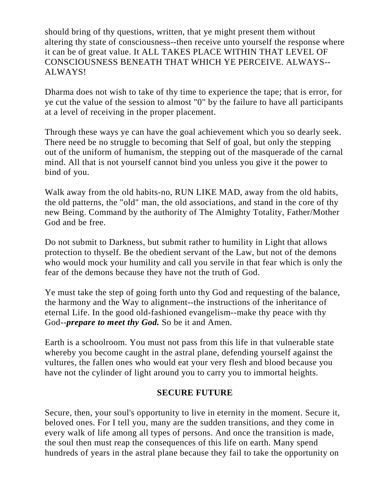should bring of thy questions, written, that ye might present them without altering thy state of consciousness--then receive unto yourself the response where it can be of great value. It ALL TAKES PLACE WITHIN THAT LEVEL OF CONSCIOUSNESS BENEATH THAT WHICH YE PERCEIVE. ALWAYS-- ALWAYS!

Dharma does not wish to take of thy time to experience the tape; that is error, for ye cut the value of the session to almost "0" by the failure to have all participants at a level of receiving in the proper placement.

Through these ways ye can have the goal achievement which you so dearly seek. There need be no struggle to becoming that Self of goal, but only the stepping out of the uniform of humanism, the stepping out of the masquerade of the carnal mind. All that is not yourself cannot bind you unless you give it the power to bind of you.

Walk away from the old habits-no, RUN LIKE MAD, away from the old habits, the old patterns, the "old" man, the old associations, and stand in the core of thy new Being. Command by the authority of The Almighty Totality, Father/Mother God and be free.

Do not submit to Darkness, but submit rather to humility in Light that allows protection to thyself. Be the obedient servant of the Law, but not of the demons who would mock your humility and call you servile in that fear which is only the fear of the demons because they have not the truth of God.

Ye must take the step of going forth unto thy God and requesting of the balance, the harmony and the Way to alignment--the instructions of the inheritance of eternal Life. In the good old-fashioned evangelism--make thy peace with thy God--*prepare to meet thy God.* So be it and Amen.

Earth is a schoolroom. You must not pass from this life in that vulnerable state whereby you become caught in the astral plane, defending yourself against the vultures, the fallen ones who would eat your very flesh and blood because you have not the cylinder of light around you to carry you to immortal heights.

#### **SECURE FUTURE**

Secure, then, your soul's opportunity to live in eternity in the moment. Secure it, beloved ones. For I tell you, many are the sudden transitions, and they come in every walk of life among all types of persons. And once the transition is made, the soul then must reap the consequences of this life on earth. Many spend hundreds of years in the astral plane because they fail to take the opportunity on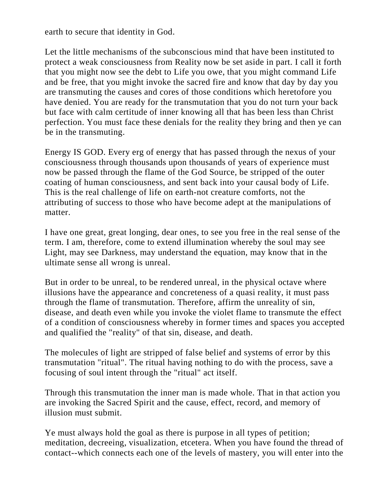earth to secure that identity in God.

Let the little mechanisms of the subconscious mind that have been instituted to protect a weak consciousness from Reality now be set aside in part. I call it forth that you might now see the debt to Life you owe, that you might command Life and be free, that you might invoke the sacred fire and know that day by day you are transmuting the causes and cores of those conditions which heretofore you have denied. You are ready for the transmutation that you do not turn your back but face with calm certitude of inner knowing all that has been less than Christ perfection. You must face these denials for the reality they bring and then ye can be in the transmuting.

Energy IS GOD. Every erg of energy that has passed through the nexus of your consciousness through thousands upon thousands of years of experience must now be passed through the flame of the God Source, be stripped of the outer coating of human consciousness, and sent back into your causal body of Life. This is the real challenge of life on earth-not creature comforts, not the attributing of success to those who have become adept at the manipulations of matter.

I have one great, great longing, dear ones, to see you free in the real sense of the term. I am, therefore, come to extend illumination whereby the soul may see Light, may see Darkness, may understand the equation, may know that in the ultimate sense all wrong is unreal.

But in order to be unreal, to be rendered unreal, in the physical octave where illusions have the appearance and concreteness of a quasi reality, it must pass through the flame of transmutation. Therefore, affirm the unreality of sin, disease, and death even while you invoke the violet flame to transmute the effect of a condition of consciousness whereby in former times and spaces you accepted and qualified the "reality" of that sin, disease, and death.

The molecules of light are stripped of false belief and systems of error by this transmutation "ritual". The ritual having nothing to do with the process, save a focusing of soul intent through the "ritual" act itself.

Through this transmutation the inner man is made whole. That in that action you are invoking the Sacred Spirit and the cause, effect, record, and memory of illusion must submit.

Ye must always hold the goal as there is purpose in all types of petition; meditation, decreeing, visualization, etcetera. When you have found the thread of contact--which connects each one of the levels of mastery, you will enter into the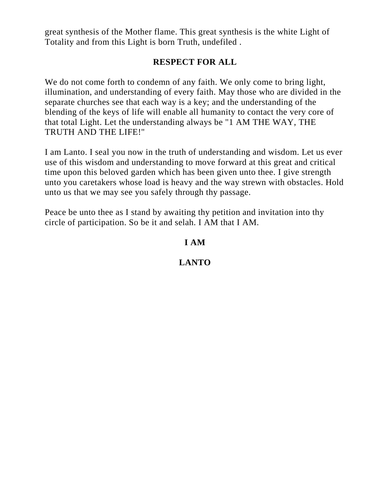great synthesis of the Mother flame. This great synthesis is the white Light of Totality and from this Light is born Truth, undefiled .

## **RESPECT FOR ALL**

We do not come forth to condemn of any faith. We only come to bring light, illumination, and understanding of every faith. May those who are divided in the separate churches see that each way is a key; and the understanding of the blending of the keys of life will enable all humanity to contact the very core of that total Light. Let the understanding always be "1 AM THE WAY, THE TRUTH AND THE LIFE!"

I am Lanto. I seal you now in the truth of understanding and wisdom. Let us ever use of this wisdom and understanding to move forward at this great and critical time upon this beloved garden which has been given unto thee. I give strength unto you caretakers whose load is heavy and the way strewn with obstacles. Hold unto us that we may see you safely through thy passage.

Peace be unto thee as I stand by awaiting thy petition and invitation into thy circle of participation. So be it and selah. I AM that I AM.

## **I AM**

## **LANTO**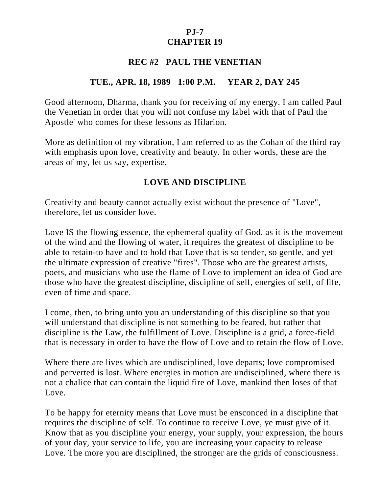## **PJ-7 CHAPTER 19**

#### **REC #2 PAUL THE VENETIAN**

## **TUE., APR. 18, 1989 1:00 P.M. YEAR 2, DAY 245**

Good afternoon, Dharma, thank you for receiving of my energy. I am called Paul the Venetian in order that you will not confuse my label with that of Paul the Apostle' who comes for these lessons as Hilarion.

More as definition of my vibration, I am referred to as the Cohan of the third ray with emphasis upon love, creativity and beauty. In other words, these are the areas of my, let us say, expertise.

## **LOVE AND DISCIPLINE**

Creativity and beauty cannot actually exist without the presence of "Love", therefore, let us consider love.

Love IS the flowing essence, the ephemeral quality of God, as it is the movement of the wind and the flowing of water, it requires the greatest of discipline to be able to retain-to have and to hold that Love that is so tender, so gentle, and yet the ultimate expression of creative "fires". Those who are the greatest artists, poets, and musicians who use the flame of Love to implement an idea of God are those who have the greatest discipline, discipline of self, energies of self, of life, even of time and space.

I come, then, to bring unto you an understanding of this discipline so that you will understand that discipline is not something to be feared, but rather that discipline is the Law, the fulfillment of Love. Discipline is a grid, a force-field that is necessary in order to have the flow of Love and to retain the flow of Love.

Where there are lives which are undisciplined, love departs; love compromised and perverted is lost. Where energies in motion are undisciplined, where there is not a chalice that can contain the liquid fire of Love, mankind then loses of that Love.

To be happy for eternity means that Love must be ensconced in a discipline that requires the discipline of self. To continue to receive Love, ye must give of it. Know that as you discipline your energy, your supply, your expression, the hours of your day, your service to life, you are increasing your capacity to release Love. The more you are disciplined, the stronger are the grids of consciousness.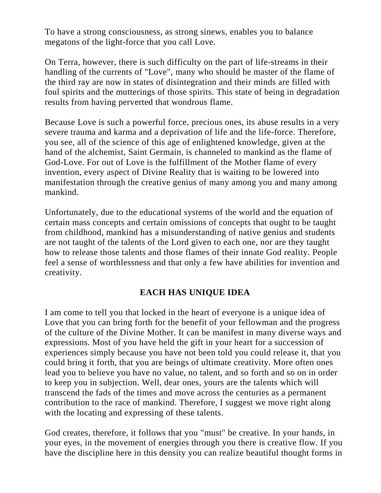To have a strong consciousness, as strong sinews, enables you to balance megatons of the light-force that you call Love.

On Terra, however, there is such difficulty on the part of life-streams in their handling of the currents of "Love", many who should be master of the flame of the third ray are now in states of disintegration and their minds are filled with foul spirits and the mutterings of those spirits. This state of being in degradation results from having perverted that wondrous flame.

Because Love is such a powerful force, precious ones, its abuse results in a very severe trauma and karma and a deprivation of life and the life-force. Therefore, you see, all of the science of this age of enlightened knowledge, given at the hand of the alchemist, Saint Germain, is channeled to mankind as the flame of God-Love. For out of Love is the fulfillment of the Mother flame of every invention, every aspect of Divine Reality that is waiting to be lowered into manifestation through the creative genius of many among you and many among mankind.

Unfortunately, due to the educational systems of the world and the equation of certain mass concepts and certain omissions of concepts that ought to be taught from childhood, mankind has a misunderstanding of native genius and students are not taught of the talents of the Lord given to each one, nor are they taught how to release those talents and those flames of their innate God reality. People feel a sense of worthlessness and that only a few have abilities for invention and creativity.

## **EACH HAS UNIQUE IDEA**

I am come to tell you that locked in the heart of everyone is a unique idea of Love that you can bring forth for the benefit of your fellowman and the progress of the culture of the Divine Mother. It can be manifest in many diverse ways and expressions. Most of you have held the gift in your heart for a succession of experiences simply because you have not been told you could release it, that you could bring it forth, that you are beings of ultimate creativity. More often ones lead you to believe you have no value, no talent, and so forth and so on in order to keep you in subjection. Well, dear ones, yours are the talents which will transcend the fads of the times and move across the centuries as a permanent contribution to the race of mankind. Therefore, I suggest we move right along with the locating and expressing of these talents.

God creates, therefore, it follows that you "must" be creative. In your hands, in your eyes, in the movement of energies through you there is creative flow. If you have the discipline here in this density you can realize beautiful thought forms in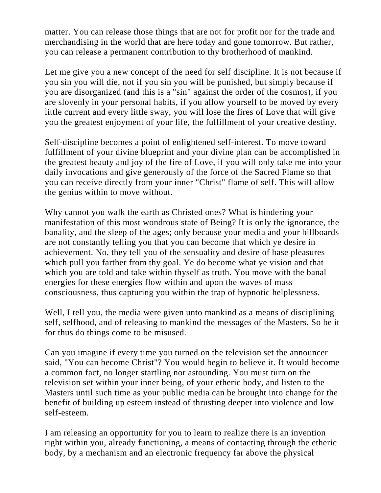matter. You can release those things that are not for profit nor for the trade and merchandising in the world that are here today and gone tomorrow. But rather, you can release a permanent contribution to thy brotherhood of mankind.

Let me give you a new concept of the need for self discipline. It is not because if you sin you will die, not if you sin you will be punished, but simply because if you are disorganized (and this is a "sin" against the order of the cosmos), if you are slovenly in your personal habits, if you allow yourself to be moved by every little current and every little sway, you will lose the fires of Love that will give you the greatest enjoyment of your life, the fulfillment of your creative destiny.

Self-discipline becomes a point of enlightened self-interest. To move toward fulfillment of your divine blueprint and your divine plan can be accomplished in the greatest beauty and joy of the fire of Love, if you will only take me into your daily invocations and give generously of the force of the Sacred Flame so that you can receive directly from your inner "Christ" flame of self. This will allow the genius within to move without.

Why cannot you walk the earth as Christed ones? What is hindering your manifestation of this most wondrous state of Being? It is only the ignorance, the banality, and the sleep of the ages; only because your media and your billboards are not constantly telling you that you can become that which ye desire in achievement. No, they tell you of the sensuality and desire of base pleasures which pull you farther from thy goal. Ye do become what ye vision and that which you are told and take within thyself as truth. You move with the banal energies for these energies flow within and upon the waves of mass consciousness, thus capturing you within the trap of hypnotic helplessness.

Well, I tell you, the media were given unto mankind as a means of disciplining self, selfhood, and of releasing to mankind the messages of the Masters. So be it for thus do things come to be misused.

Can you imagine if every time you turned on the television set the announcer said, "You can become Christ"? You would begin to believe it. It would become a common fact, no longer startling nor astounding. You must turn on the television set within your inner being, of your etheric body, and listen to the Masters until such time as your public media can be brought into change for the benefit of building up esteem instead of thrusting deeper into violence and low self-esteem.

I am releasing an opportunity for you to learn to realize there is an invention right within you, already functioning, a means of contacting through the etheric body, by a mechanism and an electronic frequency far above the physical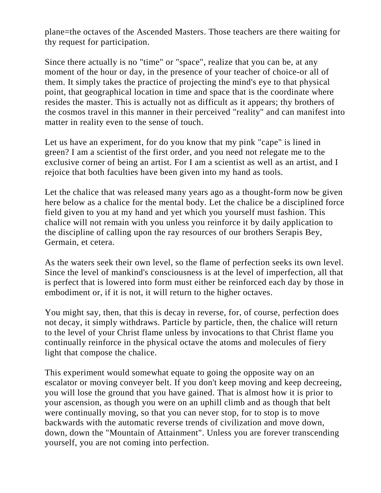plane=the octaves of the Ascended Masters. Those teachers are there waiting for thy request for participation.

Since there actually is no "time" or "space", realize that you can be, at any moment of the hour or day, in the presence of your teacher of choice-or all of them. It simply takes the practice of projecting the mind's eye to that physical point, that geographical location in time and space that is the coordinate where resides the master. This is actually not as difficult as it appears; thy brothers of the cosmos travel in this manner in their perceived "reality" and can manifest into matter in reality even to the sense of touch.

Let us have an experiment, for do you know that my pink "cape" is lined in green? I am a scientist of the first order, and you need not relegate me to the exclusive corner of being an artist. For I am a scientist as well as an artist, and I rejoice that both faculties have been given into my hand as tools.

Let the chalice that was released many years ago as a thought-form now be given here below as a chalice for the mental body. Let the chalice be a disciplined force field given to you at my hand and yet which you yourself must fashion. This chalice will not remain with you unless you reinforce it by daily application to the discipline of calling upon the ray resources of our brothers Serapis Bey, Germain, et cetera.

As the waters seek their own level, so the flame of perfection seeks its own level. Since the level of mankind's consciousness is at the level of imperfection, all that is perfect that is lowered into form must either be reinforced each day by those in embodiment or, if it is not, it will return to the higher octaves.

You might say, then, that this is decay in reverse, for, of course, perfection does not decay, it simply withdraws. Particle by particle, then, the chalice will return to the level of your Christ flame unless by invocations to that Christ flame you continually reinforce in the physical octave the atoms and molecules of fiery light that compose the chalice.

This experiment would somewhat equate to going the opposite way on an escalator or moving conveyer belt. If you don't keep moving and keep decreeing, you will lose the ground that you have gained. That is almost how it is prior to your ascension, as though you were on an uphill climb and as though that belt were continually moving, so that you can never stop, for to stop is to move backwards with the automatic reverse trends of civilization and move down, down, down the "Mountain of Attainment". Unless you are forever transcending yourself, you are not coming into perfection.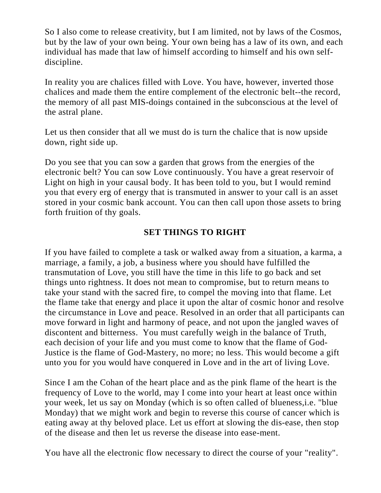So I also come to release creativity, but I am limited, not by laws of the Cosmos, but by the law of your own being. Your own being has a law of its own, and each individual has made that law of himself according to himself and his own selfdiscipline.

In reality you are chalices filled with Love. You have, however, inverted those chalices and made them the entire complement of the electronic belt--the record, the memory of all past MIS-doings contained in the subconscious at the level of the astral plane.

Let us then consider that all we must do is turn the chalice that is now upside down, right side up.

Do you see that you can sow a garden that grows from the energies of the electronic belt? You can sow Love continuously. You have a great reservoir of Light on high in your causal body. It has been told to you, but I would remind you that every erg of energy that is transmuted in answer to your call is an asset stored in your cosmic bank account. You can then call upon those assets to bring forth fruition of thy goals.

## **SET THINGS TO RIGHT**

If you have failed to complete a task or walked away from a situation, a karma, a marriage, a family, a job, a business where you should have fulfilled the transmutation of Love, you still have the time in this life to go back and set things unto rightness. It does not mean to compromise, but to return means to take your stand with the sacred fire, to compel the moving into that flame. Let the flame take that energy and place it upon the altar of cosmic honor and resolve the circumstance in Love and peace. Resolved in an order that all participants can move forward in light and harmony of peace, and not upon the jangled waves of discontent and bitterness. You must carefully weigh in the balance of Truth, each decision of your life and you must come to know that the flame of God-Justice is the flame of God-Mastery, no more; no less. This would become a gift unto you for you would have conquered in Love and in the art of living Love.

Since I am the Cohan of the heart place and as the pink flame of the heart is the frequency of Love to the world, may I come into your heart at least once within your week, let us say on Monday (which is so often called of blueness,i.e. "blue Monday) that we might work and begin to reverse this course of cancer which is eating away at thy beloved place. Let us effort at slowing the dis-ease, then stop of the disease and then let us reverse the disease into ease-ment.

You have all the electronic flow necessary to direct the course of your "reality".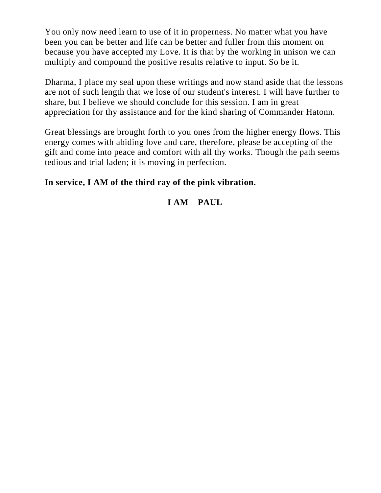You only now need learn to use of it in properness. No matter what you have been you can be better and life can be better and fuller from this moment on because you have accepted my Love. It is that by the working in unison we can multiply and compound the positive results relative to input. So be it.

Dharma, I place my seal upon these writings and now stand aside that the lessons are not of such length that we lose of our student's interest. I will have further to share, but I believe we should conclude for this session. I am in great appreciation for thy assistance and for the kind sharing of Commander Hatonn.

Great blessings are brought forth to you ones from the higher energy flows. This energy comes with abiding love and care, therefore, please be accepting of the gift and come into peace and comfort with all thy works. Though the path seems tedious and trial laden; it is moving in perfection.

## **In service, I AM of the third ray of the pink vibration.**

# **I AM PAUL**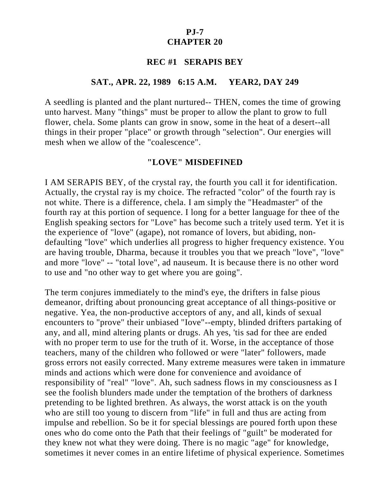## **PJ-7 CHAPTER 20**

#### **REC #1 SERAPIS BEY**

#### **SAT., APR. 22, 1989 6:15 A.M. YEAR2, DAY 249**

A seedling is planted and the plant nurtured-- THEN, comes the time of growing unto harvest. Many "things" must be proper to allow the plant to grow to full flower, chela. Some plants can grow in snow, some in the heat of a desert--all things in their proper "place" or growth through "selection". Our energies will mesh when we allow of the "coalescence".

#### **"LOVE" MISDEFINED**

I AM SERAPIS BEY, of the crystal ray, the fourth you call it for identification. Actually, the crystal ray is my choice. The refracted "color" of the fourth ray is not white. There is a difference, chela. I am simply the "Headmaster" of the fourth ray at this portion of sequence. I long for a better language for thee of the English speaking sectors for "Love" has become such a tritely used term. Yet it is the experience of "love" (agape), not romance of lovers, but abiding, nondefaulting "love" which underlies all progress to higher frequency existence. You are having trouble, Dharma, because it troubles you that we preach "love", "love" and more "love" -- "total love", ad nauseum. It is because there is no other word to use and "no other way to get where you are going".

The term conjures immediately to the mind's eye, the drifters in false pious demeanor, drifting about pronouncing great acceptance of all things-positive or negative. Yea, the non-productive acceptors of any, and all, kinds of sexual encounters to "prove" their unbiased "Iove"--empty, blinded drifters partaking of any, and all, mind altering plants or drugs. Ah yes, 'tis sad for thee are ended with no proper term to use for the truth of it. Worse, in the acceptance of those teachers, many of the children who followed or were "later" followers, made gross errors not easily corrected. Many extreme measures were taken in immature minds and actions which were done for convenience and avoidance of responsibility of "real" "love". Ah, such sadness flows in my consciousness as I see the foolish blunders made under the temptation of the brothers of darkness pretending to be lighted brethren. As always, the worst attack is on the youth who are still too young to discern from "life" in full and thus are acting from impulse and rebellion. So be it for special blessings are poured forth upon these ones who do come onto the Path that their feelings of "guilt" be moderated for they knew not what they were doing. There is no magic "age" for knowledge, sometimes it never comes in an entire lifetime of physical experience. Sometimes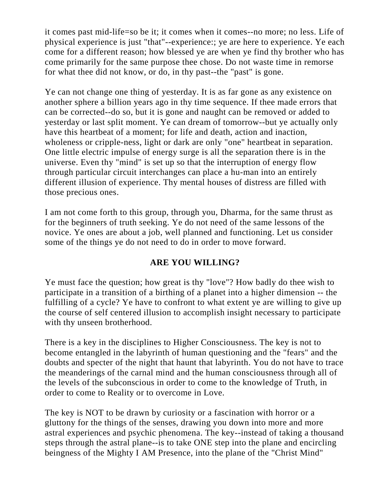it comes past mid-life=so be it; it comes when it comes--no more; no less. Life of physical experience is just "that"--experience:; ye are here to experience. Ye each come for a different reason; how blessed ye are when ye find thy brother who has come primarily for the same purpose thee chose. Do not waste time in remorse for what thee did not know, or do, in thy past--the "past" is gone.

Ye can not change one thing of yesterday. It is as far gone as any existence on another sphere a billion years ago in thy time sequence. If thee made errors that can be corrected--do so, but it is gone and naught can be removed or added to yesterday or last split moment. Ye can dream of tomorrow--but ye actually only have this heartbeat of a moment; for life and death, action and inaction, wholeness or cripple-ness, light or dark are only "one" heartbeat in separation. One little electric impulse of energy surge is all the separation there is in the universe. Even thy "mind" is set up so that the interruption of energy flow through particular circuit interchanges can place a hu-man into an entirely different illusion of experience. Thy mental houses of distress are filled with those precious ones.

I am not come forth to this group, through you, Dharma, for the same thrust as for the beginners of truth seeking. Ye do not need of the same lessons of the novice. Ye ones are about a job, well planned and functioning. Let us consider some of the things ye do not need to do in order to move forward.

## **ARE YOU WILLING?**

Ye must face the question; how great is thy "love"? How badly do thee wish to participate in a transition of a birthing of a planet into a higher dimension -- the fulfilling of a cycle? Ye have to confront to what extent ye are willing to give up the course of self centered illusion to accomplish insight necessary to participate with thy unseen brotherhood.

There is a key in the disciplines to Higher Consciousness. The key is not to become entangled in the labyrinth of human questioning and the "fears" and the doubts and specter of the night that haunt that labyrinth. You do not have to trace the meanderings of the carnal mind and the human consciousness through all of the levels of the subconscious in order to come to the knowledge of Truth, in order to come to Reality or to overcome in Love.

The key is NOT to be drawn by curiosity or a fascination with horror or a gluttony for the things of the senses, drawing you down into more and more astral experiences and psychic phenomena. The key--instead of taking a thousand steps through the astral plane--is to take ONE step into the plane and encircling beingness of the Mighty I AM Presence, into the plane of the "Christ Mind"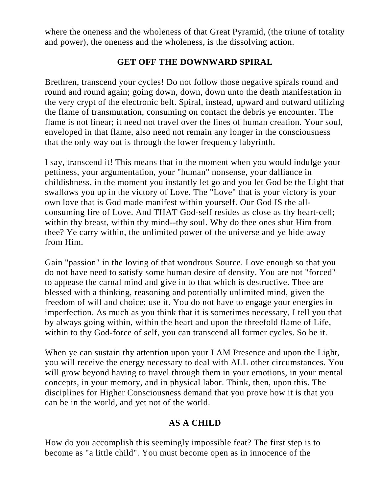where the oneness and the wholeness of that Great Pyramid, (the triune of totality and power), the oneness and the wholeness, is the dissolving action.

# **GET OFF THE DOWNWARD SPIRAL**

Brethren, transcend your cycles! Do not follow those negative spirals round and round and round again; going down, down, down unto the death manifestation in the very crypt of the electronic belt. Spiral, instead, upward and outward utilizing the flame of transmutation, consuming on contact the debris ye encounter. The flame is not linear; it need not travel over the lines of human creation. Your soul, enveloped in that flame, also need not remain any longer in the consciousness that the only way out is through the lower frequency labyrinth.

I say, transcend it! This means that in the moment when you would indulge your pettiness, your argumentation, your "human" nonsense, your dalliance in childishness, in the moment you instantly let go and you let God be the Light that swallows you up in the victory of Love. The "Love" that is your victory is your own love that is God made manifest within yourself. Our God IS the allconsuming fire of Love. And THAT God-self resides as close as thy heart-cell; within thy breast, within thy mind--thy soul. Why do thee ones shut Him from thee? Ye carry within, the unlimited power of the universe and ye hide away from Him.

Gain "passion" in the loving of that wondrous Source. Love enough so that you do not have need to satisfy some human desire of density. You are not "forced" to appease the carnal mind and give in to that which is destructive. Thee are blessed with a thinking, reasoning and potentially unlimited mind, given the freedom of will and choice; use it. You do not have to engage your energies in imperfection. As much as you think that it is sometimes necessary, I tell you that by always going within, within the heart and upon the threefold flame of Life, within to thy God-force of self, you can transcend all former cycles. So be it.

When ye can sustain thy attention upon your I AM Presence and upon the Light, you will receive the energy necessary to deal with ALL other circumstances. You will grow beyond having to travel through them in your emotions, in your mental concepts, in your memory, and in physical labor. Think, then, upon this. The disciplines for Higher Consciousness demand that you prove how it is that you can be in the world, and yet not of the world.

# **AS A CHILD**

How do you accomplish this seemingly impossible feat? The first step is to become as "a little child". You must become open as in innocence of the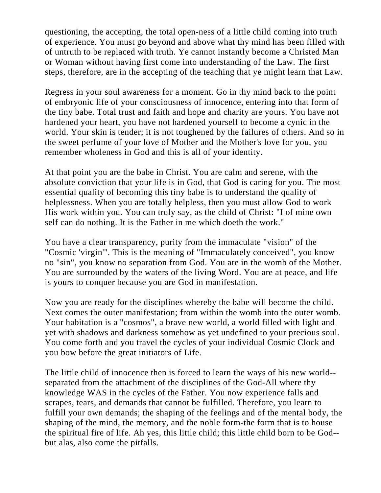questioning, the accepting, the total open-ness of a little child coming into truth of experience. You must go beyond and above what thy mind has been filled with of untruth to be replaced with truth. Ye cannot instantly become a Christed Man or Woman without having first come into understanding of the Law. The first steps, therefore, are in the accepting of the teaching that ye might learn that Law.

Regress in your soul awareness for a moment. Go in thy mind back to the point of embryonic life of your consciousness of innocence, entering into that form of the tiny babe. Total trust and faith and hope and charity are yours. You have not hardened your heart, you have not hardened yourself to become a cynic in the world. Your skin is tender; it is not toughened by the failures of others. And so in the sweet perfume of your love of Mother and the Mother's love for you, you remember wholeness in God and this is all of your identity.

At that point you are the babe in Christ. You are calm and serene, with the absolute conviction that your life is in God, that God is caring for you. The most essential quality of becoming this tiny babe is to understand the quality of helplessness. When you are totally helpless, then you must allow God to work His work within you. You can truly say, as the child of Christ: "I of mine own self can do nothing. It is the Father in me which doeth the work."

You have a clear transparency, purity from the immaculate "vision" of the "Cosmic 'virgin'''. This is the meaning of "Immaculately conceived", you know no "sin", you know no separation from God. You are in the womb of the Mother. You are surrounded by the waters of the living Word. You are at peace, and life is yours to conquer because you are God in manifestation.

Now you are ready for the disciplines whereby the babe will become the child. Next comes the outer manifestation; from within the womb into the outer womb. Your habitation is a "cosmos", a brave new world, a world filled with light and yet with shadows and darkness somehow as yet undefined to your precious soul. You come forth and you travel the cycles of your individual Cosmic Clock and you bow before the great initiators of Life.

The little child of innocence then is forced to learn the ways of his new world- separated from the attachment of the disciplines of the God-All where thy knowledge WAS in the cycles of the Father. You now experience falls and scrapes, tears, and demands that cannot be fulfilled. Therefore, you learn to fulfill your own demands; the shaping of the feelings and of the mental body, the shaping of the mind, the memory, and the noble form-the form that is to house the spiritual fire of life. Ah yes, this little child; this little child born to be God- but alas, also come the pitfalls.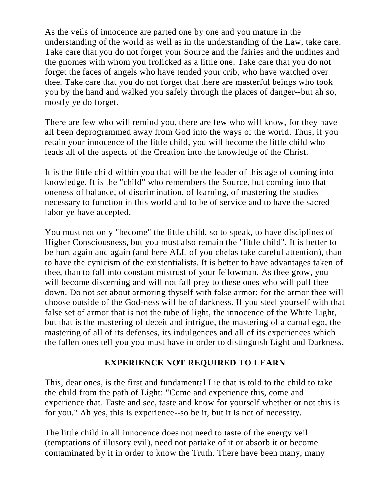As the veils of innocence are parted one by one and you mature in the understanding of the world as well as in the understanding of the Law, take care. Take care that you do not forget your Source and the fairies and the undines and the gnomes with whom you frolicked as a little one. Take care that you do not forget the faces of angels who have tended your crib, who have watched over thee. Take care that you do not forget that there are masterful beings who took you by the hand and walked you safely through the places of danger--but ah so, mostly ye do forget.

There are few who will remind you, there are few who will know, for they have all been deprogrammed away from God into the ways of the world. Thus, if you retain your innocence of the little child, you will become the little child who leads all of the aspects of the Creation into the knowledge of the Christ.

It is the little child within you that will be the leader of this age of coming into knowledge. It is the "child" who remembers the Source, but coming into that oneness of balance, of discrimination, of learning, of mastering the studies necessary to function in this world and to be of service and to have the sacred labor ye have accepted.

You must not only "become" the little child, so to speak, to have disciplines of Higher Consciousness, but you must also remain the "little child". It is better to be hurt again and again (and here ALL of you chelas take careful attention), than to have the cynicism of the existentialists. It is better to have advantages taken of thee, than to fall into constant mistrust of your fellowman. As thee grow, you will become discerning and will not fall prey to these ones who will pull thee down. Do not set about armoring thyself with false armor; for the armor thee will choose outside of the God-ness will be of darkness. If you steel yourself with that false set of armor that is not the tube of light, the innocence of the White Light, but that is the mastering of deceit and intrigue, the mastering of a carnal ego, the mastering of all of its defenses, its indulgences and all of its experiences which the fallen ones tell you you must have in order to distinguish Light and Darkness.

## **EXPERIENCE NOT REQUIRED TO LEARN**

This, dear ones, is the first and fundamental Lie that is told to the child to take the child from the path of Light: "Come and experience this, come and experience that. Taste and see, taste and know for yourself whether or not this is for you." Ah yes, this is experience--so be it, but it is not of necessity.

The little child in all innocence does not need to taste of the energy veil (temptations of illusory evil), need not partake of it or absorb it or become contaminated by it in order to know the Truth. There have been many, many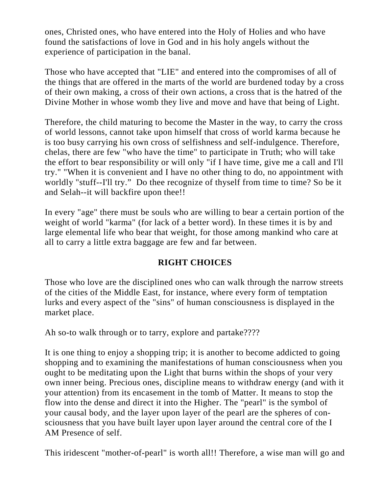ones, Christed ones, who have entered into the Holy of Holies and who have found the satisfactions of love in God and in his holy angels without the experience of participation in the banal.

Those who have accepted that "LIE" and entered into the compromises of all of the things that are offered in the marts of the world are burdened today by a cross of their own making, a cross of their own actions, a cross that is the hatred of the Divine Mother in whose womb they live and move and have that being of Light.

Therefore, the child maturing to become the Master in the way, to carry the cross of world lessons, cannot take upon himself that cross of world karma because he is too busy carrying his own cross of selfishness and self-indulgence. Therefore, chelas, there are few "who have the time" to participate in Truth; who will take the effort to bear responsibility or will only "if I have time, give me a call and I'll try." "When it is convenient and I have no other thing to do, no appointment with worldly "stuff--I'll try." Do thee recognize of thyself from time to time? So be it and Selah--it will backfire upon thee!!

In every "age" there must be souls who are willing to bear a certain portion of the weight of world "karma" (for lack of a better word). In these times it is by and large elemental life who bear that weight, for those among mankind who care at all to carry a little extra baggage are few and far between.

## **RIGHT CHOICES**

Those who love are the disciplined ones who can walk through the narrow streets of the cities of the Middle East, for instance, where every form of temptation lurks and every aspect of the "sins" of human consciousness is displayed in the market place.

Ah so-to walk through or to tarry, explore and partake????

It is one thing to enjoy a shopping trip; it is another to become addicted to going shopping and to examining the manifestations of human consciousness when you ought to be meditating upon the Light that burns within the shops of your very own inner being. Precious ones, discipline means to withdraw energy (and with it your attention) from its encasement in the tomb of Matter. It means to stop the flow into the dense and direct it into the Higher. The "pearl" is the symbol of your causal body, and the layer upon layer of the pearl are the spheres of consciousness that you have built layer upon layer around the central core of the I AM Presence of self.

This iridescent "mother-of-pearl" is worth all!! Therefore, a wise man will go and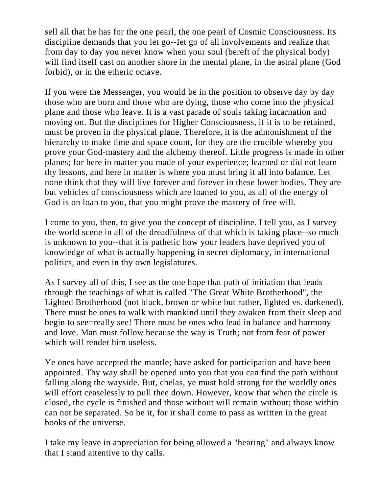sell all that he has for the one pearl, the one pearl of Cosmic Consciousness. Its discipline demands that you let go--Iet go of all involvements and realize that from day to day you never know when your soul (bereft of the physical body) will find itself cast on another shore in the mental plane, in the astral plane (God forbid), or in the etheric octave.

If you were the Messenger, you would be in the position to observe day by day those who are born and those who are dying, those who come into the physical plane and those who leave. It is a vast parade of souls taking incarnation and moving on. But the disciplines for Higher Consciousness, if it is to be retained, must be proven in the physical plane. Therefore, it is the admonishment of the hierarchy to make time and space count, for they are the crucible whereby you prove your God-mastery and the alchemy thereof. Little progress is made in other planes; for here in matter you made of your experience; learned or did not learn thy lessons, and here in matter is where you must bring it all into balance. Let none think that they will live forever and forever in these lower bodies. They are but vehicles of consciousness which are loaned to you, as all of the energy of God is on loan to you, that you might prove the mastery of free will.

I come to you, then, to give you the concept of discipline. I tell you, as I survey the world scene in all of the dreadfulness of that which is taking place--so much is unknown to you--that it is pathetic how your leaders have deprived you of knowledge of what is actually happening in secret diplomacy, in international politics, and even in thy own legislatures.

As I survey all of this, I see as the one hope that path of initiation that leads through the teachings of what is called "The Great White Brotherhood", the Lighted Brotherhood (not black, brown or white but rather, lighted vs. darkened). There must be ones to walk with mankind until they awaken from their sleep and begin to see=really see! There must be ones who lead in balance and harmony and love. Man must follow because the way is Truth; not from fear of power which will render him useless.

Ye ones have accepted the mantle; have asked for participation and have been appointed. Thy way shall be opened unto you that you can find the path without falling along the wayside. But, chelas, ye must hold strong for the worldly ones will effort ceaselessly to pull thee down. However, know that when the circle is closed, the cycle is finished and those without will remain without; those within can not be separated. So be it, for it shall come to pass as written in the great books of the universe.

I take my leave in appreciation for being allowed a "hearing" and always know that I stand attentive to thy calls.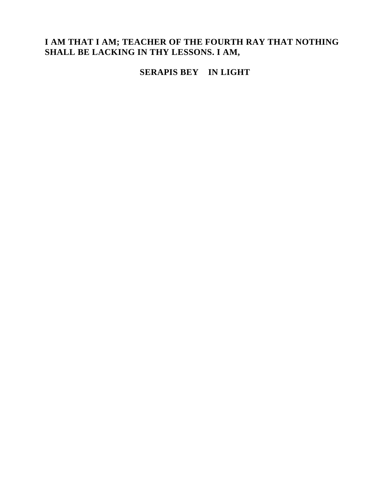## **I AM THAT I AM; TEACHER OF THE FOURTH RAY THAT NOTHING SHALL BE LACKING IN THY LESSONS. I AM,**

**SERAPIS BEY IN LIGHT**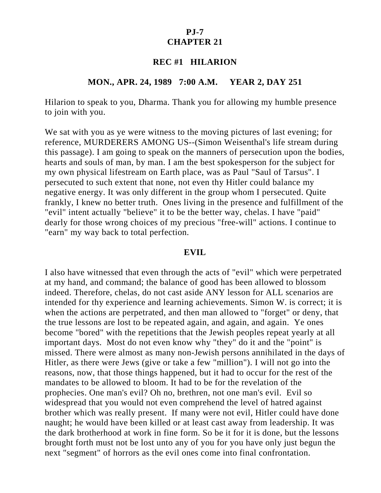### **PJ-7 CHAPTER 21**

#### **REC #1 HILARION**

### **MON., APR. 24, 1989 7:00 A.M. YEAR 2, DAY 251**

Hilarion to speak to you, Dharma. Thank you for allowing my humble presence to join with you.

We sat with you as ye were witness to the moving pictures of last evening; for reference, MURDERERS AMONG US--(Simon Weisenthal's life stream during this passage). I am going to speak on the manners of persecution upon the bodies, hearts and souls of man, by man. I am the best spokesperson for the subject for my own physical lifestream on Earth place, was as Paul "Saul of Tarsus". I persecuted to such extent that none, not even thy Hitler could balance my negative energy. It was only different in the group whom I persecuted. Quite frankly, I knew no better truth. Ones living in the presence and fulfillment of the "evil" intent actually "believe" it to be the better way, chelas. I have "paid" dearly for those wrong choices of my precious "free-will" actions. I continue to "earn" my way back to total perfection.

#### **EVIL**

I also have witnessed that even through the acts of "evil" which were perpetrated at my hand, and command; the balance of good has been allowed to blossom indeed. Therefore, chelas, do not cast aside ANY lesson for ALL scenarios are intended for thy experience and learning achievements. Simon W. is correct; it is when the actions are perpetrated, and then man allowed to "forget" or deny, that the true lessons are lost to be repeated again, and again, and again. Ye ones become "bored" with the repetitions that the Jewish peoples repeat yearly at all important days. Most do not even know why "they" do it and the "point" is missed. There were almost as many non-Jewish persons annihilated in the days of Hitler, as there were Jews (give or take a few "million"). I will not go into the reasons, now, that those things happened, but it had to occur for the rest of the mandates to be allowed to bloom. It had to be for the revelation of the prophecies. One man's evil? Oh no, brethren, not one man's evil. Evil so widespread that you would not even comprehend the level of hatred against brother which was really present. If many were not evil, Hitler could have done naught; he would have been killed or at least cast away from leadership. It was the dark brotherhood at work in fine form. So be it for it is done, but the lessons brought forth must not be lost unto any of you for you have only just begun the next "segment" of horrors as the evil ones come into final confrontation.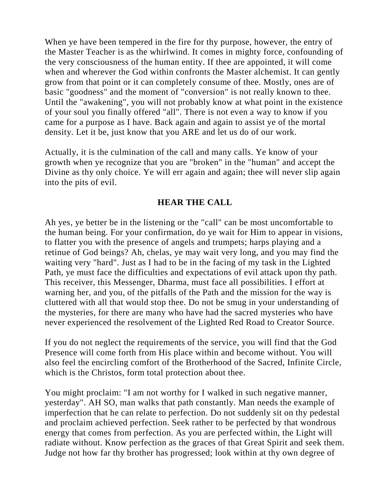When ye have been tempered in the fire for thy purpose, however, the entry of the Master Teacher is as the whirlwind. It comes in mighty force, confounding of the very consciousness of the human entity. If thee are appointed, it will come when and wherever the God within confronts the Master alchemist. It can gently grow from that point or it can completely consume of thee. Mostly, ones are of basic "goodness" and the moment of "conversion" is not really known to thee. Until the "awakening", you will not probably know at what point in the existence of your soul you finally offered "all". There is not even a way to know if you came for a purpose as I have. Back again and again to assist ye of the mortal density. Let it be, just know that you ARE and let us do of our work.

Actually, it is the culmination of the call and many calls. Ye know of your growth when ye recognize that you are "broken" in the "human" and accept the Divine as thy only choice. Ye will err again and again; thee will never slip again into the pits of evil.

## **HEAR THE CALL**

Ah yes, ye better be in the listening or the "call" can be most uncomfortable to the human being. For your confirmation, do ye wait for Him to appear in visions, to flatter you with the presence of angels and trumpets; harps playing and a retinue of God beings? Ah, chelas, ye may wait very long, and you may find the waiting very "hard". Just as I had to be in the facing of my task in the Lighted Path, ye must face the difficulties and expectations of evil attack upon thy path. This receiver, this Messenger, Dharma, must face all possibilities. I effort at warning her, and you, of the pitfalls of the Path and the mission for the way is cluttered with all that would stop thee. Do not be smug in your understanding of the mysteries, for there are many who have had the sacred mysteries who have never experienced the resolvement of the Lighted Red Road to Creator Source.

If you do not neglect the requirements of the service, you will find that the God Presence will come forth from His place within and become without. You will also feel the encircling comfort of the Brotherhood of the Sacred, Infinite Circle, which is the Christos, form total protection about thee.

You might proclaim: "I am not worthy for I walked in such negative manner, yesterday". AH SO, man walks that path constantly. Man needs the example of imperfection that he can relate to perfection. Do not suddenly sit on thy pedestal and proclaim achieved perfection. Seek rather to be perfected by that wondrous energy that comes from perfection. As you are perfected within, the Light will radiate without. Know perfection as the graces of that Great Spirit and seek them. Judge not how far thy brother has progressed; look within at thy own degree of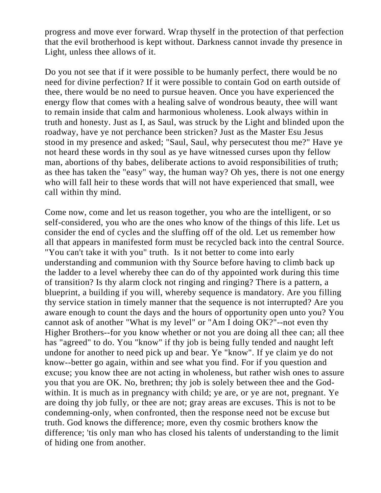progress and move ever forward. Wrap thyself in the protection of that perfection that the evil brotherhood is kept without. Darkness cannot invade thy presence in Light, unless thee allows of it.

Do you not see that if it were possible to be humanly perfect, there would be no need for divine perfection? If it were possible to contain God on earth outside of thee, there would be no need to pursue heaven. Once you have experienced the energy flow that comes with a healing salve of wondrous beauty, thee will want to remain inside that calm and harmonious wholeness. Look always within in truth and honesty. Just as I, as Saul, was struck by the Light and blinded upon the roadway, have ye not perchance been stricken? Just as the Master Esu Jesus stood in my presence and asked; "Saul, Saul, why persecutest thou me?" Have ye not heard these words in thy soul as ye have witnessed curses upon thy fellow man, abortions of thy babes, deliberate actions to avoid responsibilities of truth; as thee has taken the "easy" way, the human way? Oh yes, there is not one energy who will fall heir to these words that will not have experienced that small, wee call within thy mind.

Come now, come and let us reason together, you who are the intelligent, or so self-considered, you who are the ones who know of the things of this life. Let us consider the end of cycles and the sluffing off of the old. Let us remember how all that appears in manifested form must be recycled back into the central Source. "You can't take it with you" truth. Is it not better to come into early understanding and communion with thy Source before having to climb back up the ladder to a level whereby thee can do of thy appointed work during this time of transition? Is thy alarm clock not ringing and ringing? There is a pattern, a blueprint, a building if you will, whereby sequence is mandatory. Are you filling thy service station in timely manner that the sequence is not interrupted? Are you aware enough to count the days and the hours of opportunity open unto you? You cannot ask of another "What is my level" or "Am I doing OK?"--not even thy Higher Brothers--for you know whether or not you are doing all thee can; all thee has "agreed" to do. You "know" if thy job is being fully tended and naught left undone for another to need pick up and bear. Ye "know". If ye claim ye do not know--better go again, within and see what you find. For if you question and excuse; you know thee are not acting in wholeness, but rather wish ones to assure you that you are OK. No, brethren; thy job is solely between thee and the Godwithin. It is much as in pregnancy with child; ye are, or ye are not, pregnant. Ye are doing thy job fully, or thee are not; gray areas are excuses. This is not to be condemning-only, when confronted, then the response need not be excuse but truth. God knows the difference; more, even thy cosmic brothers know the difference; 'tis only man who has closed his talents of understanding to the limit of hiding one from another.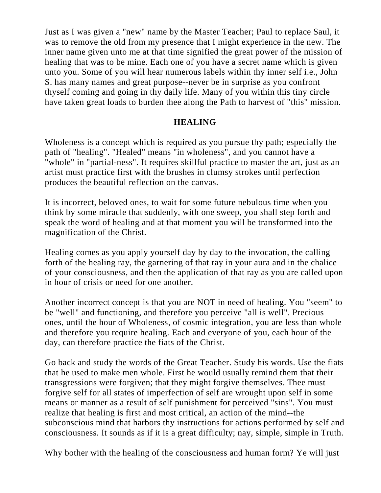Just as I was given a "new" name by the Master Teacher; Paul to replace Saul, it was to remove the old from my presence that I might experience in the new. The inner name given unto me at that time signified the great power of the mission of healing that was to be mine. Each one of you have a secret name which is given unto you. Some of you will hear numerous labels within thy inner self i.e., John S. has many names and great purpose--never be in surprise as you confront thyself coming and going in thy daily life. Many of you within this tiny circle have taken great loads to burden thee along the Path to harvest of "this" mission.

### **HEALING**

Wholeness is a concept which is required as you pursue thy path; especially the path of "healing". "Healed" means "in wholeness", and you cannot have a "whole" in "partial-ness". It requires skillful practice to master the art, just as an artist must practice first with the brushes in clumsy strokes until perfection produces the beautiful reflection on the canvas.

It is incorrect, beloved ones, to wait for some future nebulous time when you think by some miracle that suddenly, with one sweep, you shall step forth and speak the word of healing and at that moment you will be transformed into the magnification of the Christ.

Healing comes as you apply yourself day by day to the invocation, the calling forth of the healing ray, the garnering of that ray in your aura and in the chalice of your consciousness, and then the application of that ray as you are called upon in hour of crisis or need for one another.

Another incorrect concept is that you are NOT in need of healing. You "seem" to be "well" and functioning, and therefore you perceive "all is well". Precious ones, until the hour of Wholeness, of cosmic integration, you are less than whole and therefore you require healing. Each and everyone of you, each hour of the day, can therefore practice the fiats of the Christ.

Go back and study the words of the Great Teacher. Study his words. Use the fiats that he used to make men whole. First he would usually remind them that their transgressions were forgiven; that they might forgive themselves. Thee must forgive self for all states of imperfection of self are wrought upon self in some means or manner as a result of self punishment for perceived "sins". You must realize that healing is first and most critical, an action of the mind--the subconscious mind that harbors thy instructions for actions performed by self and consciousness. It sounds as if it is a great difficulty; nay, simple, simple in Truth.

Why bother with the healing of the consciousness and human form? Ye will just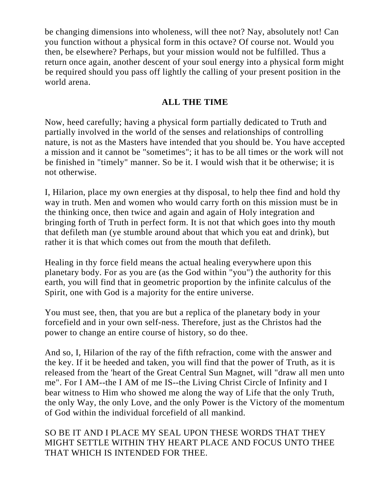be changing dimensions into wholeness, will thee not? Nay, absolutely not! Can you function without a physical form in this octave? Of course not. Would you then, be elsewhere? Perhaps, but your mission would not be fulfilled. Thus a return once again, another descent of your soul energy into a physical form might be required should you pass off lightly the calling of your present position in the world arena.

## **ALL THE TIME**

Now, heed carefully; having a physical form partially dedicated to Truth and partially involved in the world of the senses and relationships of controlling nature, is not as the Masters have intended that you should be. You have accepted a mission and it cannot be "sometimes"; it has to be all times or the work will not be finished in "timely" manner. So be it. I would wish that it be otherwise; it is not otherwise.

I, Hilarion, place my own energies at thy disposal, to help thee find and hold thy way in truth. Men and women who would carry forth on this mission must be in the thinking once, then twice and again and again of Holy integration and bringing forth of Truth in perfect form. It is not that which goes into thy mouth that defileth man (ye stumble around about that which you eat and drink), but rather it is that which comes out from the mouth that defileth.

Healing in thy force field means the actual healing everywhere upon this planetary body. For as you are (as the God within "you") the authority for this earth, you will find that in geometric proportion by the infinite calculus of the Spirit, one with God is a majority for the entire universe.

You must see, then, that you are but a replica of the planetary body in your forcefield and in your own self-ness. Therefore, just as the Christos had the power to change an entire course of history, so do thee.

And so, I, Hilarion of the ray of the fifth refraction, come with the answer and the key. If it be heeded and taken, you will find that the power of Truth, as it is released from the 'heart of the Great Central Sun Magnet, will "draw all men unto me". For I AM--the I AM of me IS--the Living Christ Circle of Infinity and I bear witness to Him who showed me along the way of Life that the only Truth, the only Way, the only Love, and the only Power is the Victory of the momentum of God within the individual forcefield of all mankind.

SO BE IT AND I PLACE MY SEAL UPON THESE WORDS THAT THEY MIGHT SETTLE WITHIN THY HEART PLACE AND FOCUS UNTO THEE THAT WHICH IS INTENDED FOR THEE.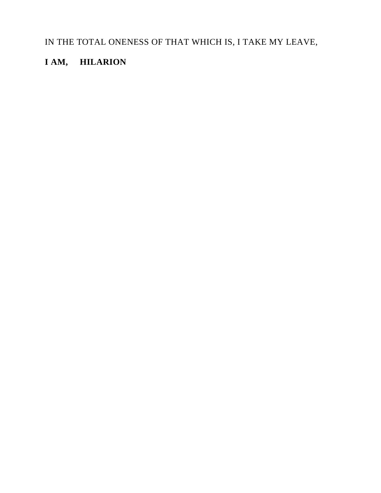IN THE TOTAL ONENESS OF THAT WHICH IS, I TAKE MY LEAVE,

# **I AM, HILARION**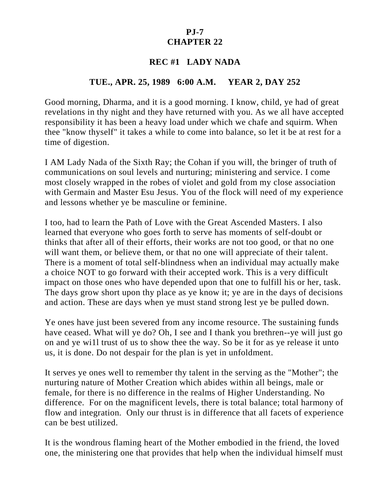## **PJ-7 CHAPTER 22**

### **REC #1 LADY NADA**

### **TUE., APR. 25, 1989 6:00 A.M. YEAR 2, DAY 252**

Good morning, Dharma, and it is a good morning. I know, child, ye had of great revelations in thy night and they have returned with you. As we all have accepted responsibility it has been a heavy load under which we chafe and squirm. When thee "know thyself" it takes a while to come into balance, so let it be at rest for a time of digestion.

I AM Lady Nada of the Sixth Ray; the Cohan if you will, the bringer of truth of communications on soul levels and nurturing; ministering and service. I come most closely wrapped in the robes of violet and gold from my close association with Germain and Master Esu Jesus. You of the flock will need of my experience and lessons whether ye be masculine or feminine.

I too, had to learn the Path of Love with the Great Ascended Masters. I also learned that everyone who goes forth to serve has moments of self-doubt or thinks that after all of their efforts, their works are not too good, or that no one will want them, or believe them, or that no one will appreciate of their talent. There is a moment of total self-blindness when an individual may actually make a choice NOT to go forward with their accepted work. This is a very difficult impact on those ones who have depended upon that one to fulfill his or her, task. The days grow short upon thy place as ye know it; ye are in the days of decisions and action. These are days when ye must stand strong lest ye be pulled down.

Ye ones have just been severed from any income resource. The sustaining funds have ceased. What will ye do? Oh, I see and I thank you brethren--ye will just go on and ye wi1l trust of us to show thee the way. So be it for as ye release it unto us, it is done. Do not despair for the plan is yet in unfoldment.

It serves ye ones well to remember thy talent in the serving as the "Mother"; the nurturing nature of Mother Creation which abides within all beings, male or female, for there is no difference in the realms of Higher Understanding. No difference. For on the magnificent levels, there is total balance; total harmony of flow and integration. Only our thrust is in difference that all facets of experience can be best utilized.

It is the wondrous flaming heart of the Mother embodied in the friend, the loved one, the ministering one that provides that help when the individual himself must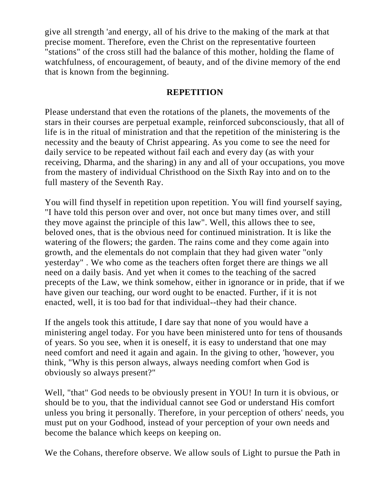give all strength 'and energy, all of his drive to the making of the mark at that precise moment. Therefore, even the Christ on the representative fourteen "stations" of the cross still had the balance of this mother, holding the flame of watchfulness, of encouragement, of beauty, and of the divine memory of the end that is known from the beginning.

### **REPETITION**

Please understand that even the rotations of the planets, the movements of the stars in their courses are perpetual example, reinforced subconsciously, that all of life is in the ritual of ministration and that the repetition of the ministering is the necessity and the beauty of Christ appearing. As you come to see the need for daily service to be repeated without fail each and every day (as with your receiving, Dharma, and the sharing) in any and all of your occupations, you move from the mastery of individual Christhood on the Sixth Ray into and on to the full mastery of the Seventh Ray.

You will find thyself in repetition upon repetition. You will find yourself saying, "I have told this person over and over, not once but many times over, and still they move against the principle of this law". Well, this allows thee to see, beloved ones, that is the obvious need for continued ministration. It is like the watering of the flowers; the garden. The rains come and they come again into growth, and the elementals do not complain that they had given water "only yesterday" . We who come as the teachers often forget there are things we all need on a daily basis. And yet when it comes to the teaching of the sacred precepts of the Law, we think somehow, either in ignorance or in pride, that if we have given our teaching, our word ought to be enacted. Further, if it is not enacted, well, it is too bad for that individual--they had their chance.

If the angels took this attitude, I dare say that none of you would have a ministering angel today. For you have been ministered unto for tens of thousands of years. So you see, when it is oneself, it is easy to understand that one may need comfort and need it again and again. In the giving to other, 'however, you think, "Why is this person always, always needing comfort when God is obviously so always present?"

Well, "that" God needs to be obviously present in YOU! In turn it is obvious, or should be to you, that the individual cannot see God or understand His comfort unless you bring it personally. Therefore, in your perception of others' needs, you must put on your Godhood, instead of your perception of your own needs and become the balance which keeps on keeping on.

We the Cohans, therefore observe. We allow souls of Light to pursue the Path in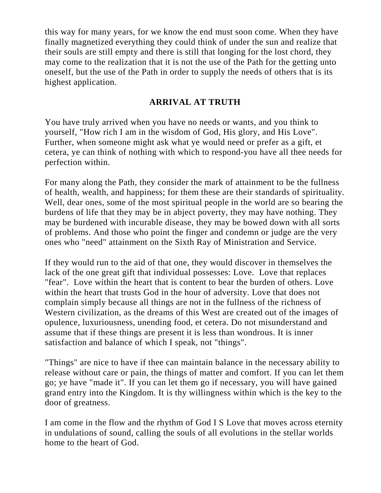this way for many years, for we know the end must soon come. When they have finally magnetized everything they could think of under the sun and realize that their souls are still empty and there is still that longing for the lost chord, they may come to the realization that it is not the use of the Path for the getting unto oneself, but the use of the Path in order to supply the needs of others that is its highest application.

## **ARRIVAL AT TRUTH**

You have truly arrived when you have no needs or wants, and you think to yourself, "How rich I am in the wisdom of God, His glory, and His Love". Further, when someone might ask what ye would need or prefer as a gift, et cetera, ye can think of nothing with which to respond-you have all thee needs for perfection within.

For many along the Path, they consider the mark of attainment to be the fullness of health, wealth, and happiness; for them these are their standards of spirituality. Well, dear ones, some of the most spiritual people in the world are so bearing the burdens of life that they may be in abject poverty, they may have nothing. They may be burdened with incurable disease, they may be bowed down with all sorts of problems. And those who point the finger and condemn or judge are the very ones who "need" attainment on the Sixth Ray of Ministration and Service.

If they would run to the aid of that one, they would discover in themselves the lack of the one great gift that individual possesses: Love. Love that replaces "fear". Love within the heart that is content to bear the burden of others. Love within the heart that trusts God in the hour of adversity. Love that does not complain simply because all things are not in the fullness of the richness of Western civilization, as the dreams of this West are created out of the images of opulence, luxuriousness, unending food, et cetera. Do not misunderstand and assume that if these things are present it is less than wondrous. It is inner satisfaction and balance of which I speak, not "things".

"Things" are nice to have if thee can maintain balance in the necessary ability to release without care or pain, the things of matter and comfort. If you can let them go; ye have "made it". If you can let them go if necessary, you will have gained grand entry into the Kingdom. It is thy willingness within which is the key to the door of greatness.

I am come in the flow and the rhythm of God I S Love that moves across eternity in undulations of sound, calling the souls of all evolutions in the stellar worlds home to the heart of God.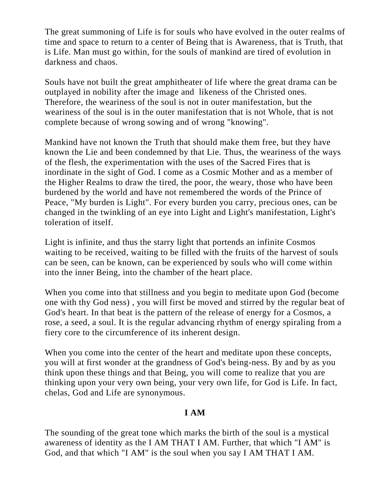The great summoning of Life is for souls who have evolved in the outer realms of time and space to return to a center of Being that is Awareness, that is Truth, that is Life. Man must go within, for the souls of mankind are tired of evolution in darkness and chaos.

Souls have not built the great amphitheater of life where the great drama can be outplayed in nobility after the image and likeness of the Christed ones. Therefore, the weariness of the soul is not in outer manifestation, but the weariness of the soul is in the outer manifestation that is not Whole, that is not complete because of wrong sowing and of wrong "knowing".

Mankind have not known the Truth that should make them free, but they have known the Lie and been condemned by that Lie. Thus, the weariness of the ways of the flesh, the experimentation with the uses of the Sacred Fires that is inordinate in the sight of God. I come as a Cosmic Mother and as a member of the Higher Realms to draw the tired, the poor, the weary, those who have been burdened by the world and have not remembered the words of the Prince of Peace, "My burden is Light". For every burden you carry, precious ones, can be changed in the twinkling of an eye into Light and Light's manifestation, Light's toleration of itself.

Light is infinite, and thus the starry light that portends an infinite Cosmos waiting to be received, waiting to be filled with the fruits of the harvest of souls can be seen, can be known, can be experienced by souls who will come within into the inner Being, into the chamber of the heart place.

When you come into that stillness and you begin to meditate upon God (become one with thy God ness) , you will first be moved and stirred by the regular beat of God's heart. In that beat is the pattern of the release of energy for a Cosmos, a rose, a seed, a soul. It is the regular advancing rhythm of energy spiraling from a fiery core to the circumference of its inherent design.

When you come into the center of the heart and meditate upon these concepts, you will at first wonder at the grandness of God's being-ness. By and by as you think upon these things and that Being, you will come to realize that you are thinking upon your very own being, your very own life, for God is Life. In fact, chelas, God and Life are synonymous.

## **I AM**

The sounding of the great tone which marks the birth of the soul is a mystical awareness of identity as the I AM THAT I AM. Further, that which "I AM" is God, and that which "I AM" is the soul when you say I AM THAT I AM.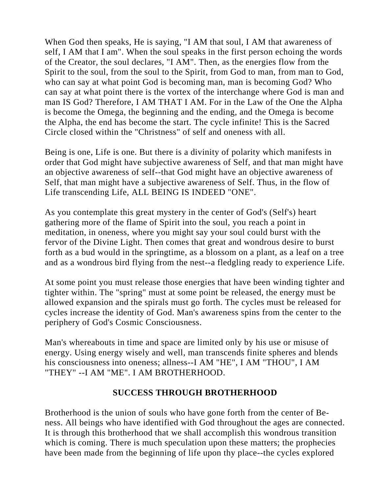When God then speaks, He is saying, "I AM that soul, I AM that awareness of self, I AM that I am". When the soul speaks in the first person echoing the words of the Creator, the soul declares, "I AM". Then, as the energies flow from the Spirit to the soul, from the soul to the Spirit, from God to man, from man to God, who can say at what point God is becoming man, man is becoming God? Who can say at what point there is the vortex of the interchange where God is man and man IS God? Therefore, I AM THAT I AM. For in the Law of the One the Alpha is become the Omega, the beginning and the ending, and the Omega is become the Alpha, the end has become the start. The cycle infinite! This is the Sacred Circle closed within the "Christness" of self and oneness with all.

Being is one, Life is one. But there is a divinity of polarity which manifests in order that God might have subjective awareness of Self, and that man might have an objective awareness of self--that God might have an objective awareness of Self, that man might have a subjective awareness of Self. Thus, in the flow of Life transcending Life, ALL BEING IS INDEED "ONE".

As you contemplate this great mystery in the center of God's (Self's) heart gathering more of the flame of Spirit into the soul, you reach a point in meditation, in oneness, where you might say your soul could burst with the fervor of the Divine Light. Then comes that great and wondrous desire to burst forth as a bud would in the springtime, as a blossom on a plant, as a leaf on a tree and as a wondrous bird flying from the nest--a fledgling ready to experience Life.

At some point you must release those energies that have been winding tighter and tighter within. The "spring" must at some point be released, the energy must be allowed expansion and the spirals must go forth. The cycles must be released for cycles increase the identity of God. Man's awareness spins from the center to the periphery of God's Cosmic Consciousness.

Man's whereabouts in time and space are limited only by his use or misuse of energy. Using energy wisely and well, man transcends finite spheres and blends his consciousness into oneness; allness--I AM "HE", I AM "THOU", I AM "THEY" --I AM "ME". I AM BROTHERHOOD.

## **SUCCESS THROUGH BROTHERHOOD**

Brotherhood is the union of souls who have gone forth from the center of Beness. All beings who have identified with God throughout the ages are connected. It is through this brotherhood that we shall accomplish this wondrous transition which is coming. There is much speculation upon these matters; the prophecies have been made from the beginning of life upon thy place--the cycles explored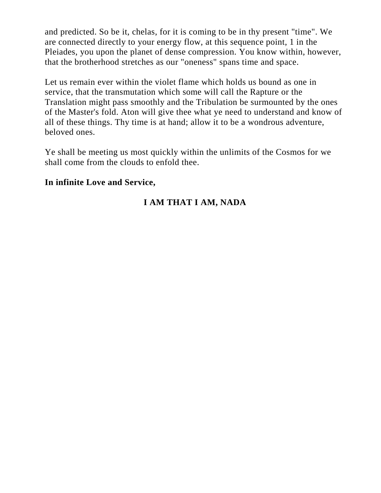and predicted. So be it, chelas, for it is coming to be in thy present "time". We are connected directly to your energy flow, at this sequence point, 1 in the Pleiades, you upon the planet of dense compression. You know within, however, that the brotherhood stretches as our "oneness" spans time and space.

Let us remain ever within the violet flame which holds us bound as one in service, that the transmutation which some will call the Rapture or the Translation might pass smoothly and the Tribulation be surmounted by the ones of the Master's fold. Aton will give thee what ye need to understand and know of all of these things. Thy time is at hand; allow it to be a wondrous adventure, beloved ones.

Ye shall be meeting us most quickly within the unlimits of the Cosmos for we shall come from the clouds to enfold thee.

## **In infinite Love and Service,**

# **I AM THAT I AM, NADA**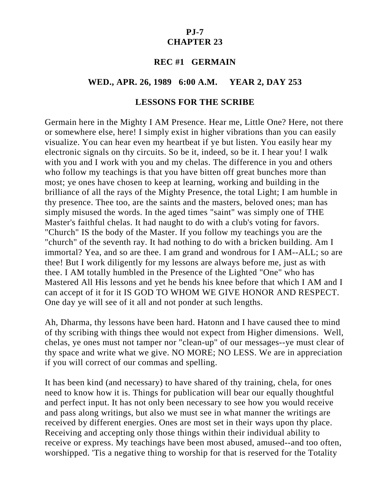### **PJ-7 CHAPTER 23**

#### **REC #1 GERMAIN**

#### **WED., APR. 26, 1989 6:00 A.M. YEAR 2, DAY 253**

#### **LESSONS FOR THE SCRIBE**

Germain here in the Mighty I AM Presence. Hear me, Little One? Here, not there or somewhere else, here! I simply exist in higher vibrations than you can easily visualize. You can hear even my heartbeat if ye but listen. You easily hear my electronic signals on thy circuits. So be it, indeed, so be it. I hear you! I walk with you and I work with you and my chelas. The difference in you and others who follow my teachings is that you have bitten off great bunches more than most; ye ones have chosen to keep at learning, working and building in the brilliance of all the rays of the Mighty Presence, the total Light; I am humble in thy presence. Thee too, are the saints and the masters, beloved ones; man has simply misused the words. In the aged times "saint" was simply one of THE Master's faithful chelas. It had naught to do with a club's voting for favors. "Church" IS the body of the Master. If you follow my teachings you are the "church" of the seventh ray. It had nothing to do with a bricken building. Am I immortal? Yea, and so are thee. I am grand and wondrous for I AM--ALL; so are thee! But I work diligently for my lessons are always before me, just as with thee. I AM totally humbled in the Presence of the Lighted "One" who has Mastered All His lessons and yet he bends his knee before that which I AM and I can accept of it for it IS GOD TO WHOM WE GIVE HONOR AND RESPECT. One day ye will see of it all and not ponder at such lengths.

Ah, Dharma, thy lessons have been hard. Hatonn and I have caused thee to mind of thy scribing with things thee would not expect from Higher dimensions. Well, chelas, ye ones must not tamper nor "clean-up" of our messages--ye must clear of thy space and write what we give. NO MORE; NO LESS. We are in appreciation if you will correct of our commas and spelling.

It has been kind (and necessary) to have shared of thy training, chela, for ones need to know how it is. Things for publication will bear our equally thoughtful and perfect input. It has not only been necessary to see how you would receive and pass along writings, but also we must see in what manner the writings are received by different energies. Ones are most set in their ways upon thy place. Receiving and accepting only those things within their individual ability to receive or express. My teachings have been most abused, amused--and too often, worshipped. 'Tis a negative thing to worship for that is reserved for the Totality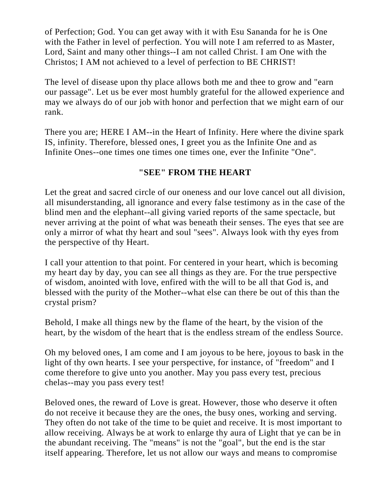of Perfection; God. You can get away with it with Esu Sananda for he is One with the Father in level of perfection. You will note I am referred to as Master, Lord, Saint and many other things--I am not called Christ. I am One with the Christos; I AM not achieved to a level of perfection to BE CHRIST!

The level of disease upon thy place allows both me and thee to grow and "earn our passage". Let us be ever most humbly grateful for the allowed experience and may we always do of our job with honor and perfection that we might earn of our rank.

There you are; HERE I AM--in the Heart of Infinity. Here where the divine spark IS, infinity. Therefore, blessed ones, I greet you as the Infinite One and as Infinite Ones--one times one times one times one, ever the Infinite "One".

## **"SEE" FROM THE HEART**

Let the great and sacred circle of our oneness and our love cancel out all division, all misunderstanding, all ignorance and every false testimony as in the case of the blind men and the elephant--all giving varied reports of the same spectacle, but never arriving at the point of what was beneath their senses. The eyes that see are only a mirror of what thy heart and soul "sees". Always look with thy eyes from the perspective of thy Heart.

I call your attention to that point. For centered in your heart, which is becoming my heart day by day, you can see all things as they are. For the true perspective of wisdom, anointed with love, enfired with the will to be all that God is, and blessed with the purity of the Mother--what else can there be out of this than the crystal prism?

Behold, I make all things new by the flame of the heart, by the vision of the heart, by the wisdom of the heart that is the endless stream of the endless Source.

Oh my beloved ones, I am come and I am joyous to be here, joyous to bask in the light of thy own hearts. I see your perspective, for instance, of "freedom" and I come therefore to give unto you another. May you pass every test, precious chelas--may you pass every test!

Beloved ones, the reward of Love is great. However, those who deserve it often do not receive it because they are the ones, the busy ones, working and serving. They often do not take of the time to be quiet and receive. It is most important to allow receiving. Always be at work to enlarge thy aura of Light that ye can be in the abundant receiving. The "means" is not the "goal", but the end is the star itself appearing. Therefore, let us not allow our ways and means to compromise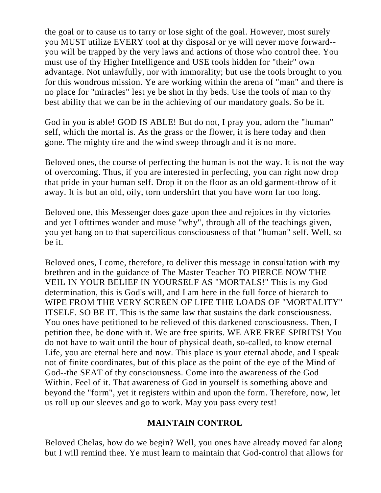the goal or to cause us to tarry or lose sight of the goal. However, most surely you MUST utilize EVERY tool at thy disposal or ye will never move forward- you will be trapped by the very laws and actions of those who control thee. You must use of thy Higher Intelligence and USE tools hidden for "their" own advantage. Not unlawfully, nor with immorality; but use the tools brought to you for this wondrous mission. Ye are working within the arena of "man" and there is no place for "miracles" lest ye be shot in thy beds. Use the tools of man to thy best ability that we can be in the achieving of our mandatory goals. So be it.

God in you is able! GOD IS ABLE! But do not, I pray you, adorn the "human" self, which the mortal is. As the grass or the flower, it is here today and then gone. The mighty tire and the wind sweep through and it is no more.

Beloved ones, the course of perfecting the human is not the way. It is not the way of overcoming. Thus, if you are interested in perfecting, you can right now drop that pride in your human self. Drop it on the floor as an old garment-throw of it away. It is but an old, oily, torn undershirt that you have worn far too long.

Beloved one, this Messenger does gaze upon thee and rejoices in thy victories and yet I ofttimes wonder and muse "why", through all of the teachings given, you yet hang on to that supercilious consciousness of that "human" self. Well, so be it.

Beloved ones, I come, therefore, to deliver this message in consultation with my brethren and in the guidance of The Master Teacher TO PIERCE NOW THE VEIL IN YOUR BELIEF IN YOURSELF AS "MORTALS!" This is my God determination, this is God's will, and I am here in the full force of hierarch to WIPE FROM THE VERY SCREEN OF LIFE THE LOADS OF "MORTALITY" ITSELF. SO BE IT. This is the same law that sustains the dark consciousness. You ones have petitioned to be relieved of this darkened consciousness. Then, I petition thee, be done with it. We are free spirits. WE ARE FREE SPIRITS! You do not have to wait until the hour of physical death, so-called, to know eternal Life, you are eternal here and now. This place is your eternal abode, and I speak not of finite coordinates, but of this place as the point of the eye of the Mind of God--the SEAT of thy consciousness. Come into the awareness of the God Within. Feel of it. That awareness of God in yourself is something above and beyond the "form", yet it registers within and upon the form. Therefore, now, let us roll up our sleeves and go to work. May you pass every test!

### **MAINTAIN CONTROL**

Beloved Chelas, how do we begin? Well, you ones have already moved far along but I will remind thee. Ye must learn to maintain that God-control that allows for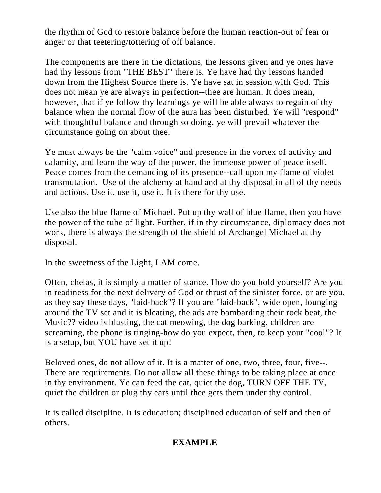the rhythm of God to restore balance before the human reaction-out of fear or anger or that teetering/tottering of off balance.

The components are there in the dictations, the lessons given and ye ones have had thy lessons from "THE BEST" there is. Ye have had thy lessons handed down from the Highest Source there is. Ye have sat in session with God. This does not mean ye are always in perfection--thee are human. It does mean, however, that if ye follow thy learnings ye will be able always to regain of thy balance when the normal flow of the aura has been disturbed. Ye will "respond" with thoughtful balance and through so doing, ye will prevail whatever the circumstance going on about thee.

Ye must always be the "calm voice" and presence in the vortex of activity and calamity, and learn the way of the power, the immense power of peace itself. Peace comes from the demanding of its presence--call upon my flame of violet transmutation. Use of the alchemy at hand and at thy disposal in all of thy needs and actions. Use it, use it, use it. It is there for thy use.

Use also the blue flame of Michael. Put up thy wall of blue flame, then you have the power of the tube of light. Further, if in thy circumstance, diplomacy does not work, there is always the strength of the shield of Archangel Michael at thy disposal.

In the sweetness of the Light, I AM come.

Often, chelas, it is simply a matter of stance. How do you hold yourself? Are you in readiness for the next delivery of God or thrust of the sinister force, or are you, as they say these days, "laid-back"? If you are "laid-back", wide open, lounging around the TV set and it is bleating, the ads are bombarding their rock beat, the Music?? video is blasting, the cat meowing, the dog barking, children are screaming, the phone is ringing-how do you expect, then, to keep your "cool"? It is a setup, but YOU have set it up!

Beloved ones, do not allow of it. It is a matter of one, two, three, four, five--. There are requirements. Do not allow all these things to be taking place at once in thy environment. Ye can feed the cat, quiet the dog, TURN OFF THE TV, quiet the children or plug thy ears until thee gets them under thy control.

It is called discipline. It is education; disciplined education of self and then of others.

## **EXAMPLE**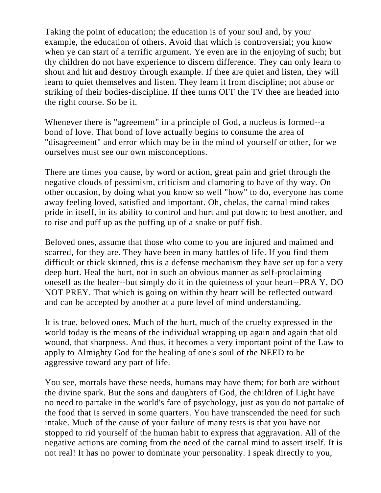Taking the point of education; the education is of your soul and, by your example, the education of others. Avoid that which is controversial; you know when ye can start of a terrific argument. Ye even are in the enjoying of such; but thy children do not have experience to discern difference. They can only learn to shout and hit and destroy through example. If thee are quiet and listen, they will learn to quiet themselves and listen. They learn it from discipline; not abuse or striking of their bodies-discipline. If thee turns OFF the TV thee are headed into the right course. So be it.

Whenever there is "agreement" in a principle of God, a nucleus is formed--a bond of love. That bond of love actually begins to consume the area of "disagreement" and error which may be in the mind of yourself or other, for we ourselves must see our own misconceptions.

There are times you cause, by word or action, great pain and grief through the negative clouds of pessimism, criticism and clamoring to have of thy way. On other occasion, by doing what you know so well "how" to do, everyone has come away feeling loved, satisfied and important. Oh, chelas, the carnal mind takes pride in itself, in its ability to control and hurt and put down; to best another, and to rise and puff up as the puffing up of a snake or puff fish.

Beloved ones, assume that those who come to you are injured and maimed and scarred, for they are. They have been in many battles of life. If you find them difficult or thick skinned, this is a defense mechanism they have set up for a very deep hurt. Heal the hurt, not in such an obvious manner as self-proclaiming oneself as the healer--but simply do it in the quietness of your heart--PRA Y, DO NOT PREY. That which is going on within thy heart will be reflected outward and can be accepted by another at a pure level of mind understanding.

It is true, beloved ones. Much of the hurt, much of the cruelty expressed in the world today is the means of the individual wrapping up again and again that old wound, that sharpness. And thus, it becomes a very important point of the Law to apply to Almighty God for the healing of one's soul of the NEED to be aggressive toward any part of life.

You see, mortals have these needs, humans may have them; for both are without the divine spark. But the sons and daughters of God, the children of Light have no need to partake in the world's fare of psychology, just as you do not partake of the food that is served in some quarters. You have transcended the need for such intake. Much of the cause of your failure of many tests is that you have not stopped to rid yourself of the human habit to express that aggravation. All of the negative actions are coming from the need of the carnal mind to assert itself. It is not real! It has no power to dominate your personality. I speak directly to you,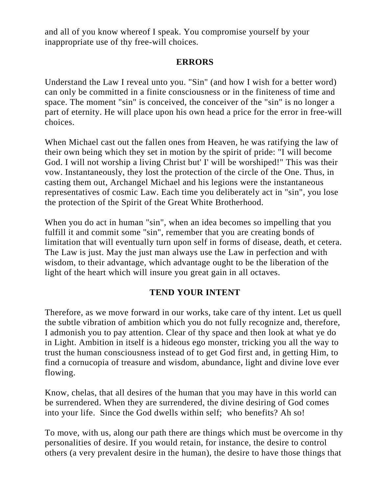and all of you know whereof I speak. You compromise yourself by your inappropriate use of thy free-will choices.

### **ERRORS**

Understand the Law I reveal unto you. "Sin" (and how I wish for a better word) can only be committed in a finite consciousness or in the finiteness of time and space. The moment "sin" is conceived, the conceiver of the "sin" is no longer a part of eternity. He will place upon his own head a price for the error in free-will choices.

When Michael cast out the fallen ones from Heaven, he was ratifying the law of their own being which they set in motion by the spirit of pride: "I will become God. I will not worship a living Christ but' I' will be worshiped!" This was their vow. Instantaneously, they lost the protection of the circle of the One. Thus, in casting them out, Archangel Michael and his legions were the instantaneous representatives of cosmic Law. Each time you deliberately act in "sin", you lose the protection of the Spirit of the Great White Brotherhood.

When you do act in human "sin", when an idea becomes so impelling that you fulfill it and commit some "sin", remember that you are creating bonds of limitation that will eventually turn upon self in forms of disease, death, et cetera. The Law is just. May the just man always use the Law in perfection and with wisdom, to their advantage, which advantage ought to be the liberation of the light of the heart which will insure you great gain in all octaves.

## **TEND YOUR INTENT**

Therefore, as we move forward in our works, take care of thy intent. Let us quell the subtle vibration of ambition which you do not fully recognize and, therefore, I admonish you to pay attention. Clear of thy space and then look at what ye do in Light. Ambition in itself is a hideous ego monster, tricking you all the way to trust the human consciousness instead of to get God first and, in getting Him, to find a cornucopia of treasure and wisdom, abundance, light and divine love ever flowing.

Know, chelas, that all desires of the human that you may have in this world can be surrendered. When they are surrendered, the divine desiring of God comes into your life. Since the God dwells within self; who benefits? Ah so!

To move, with us, along our path there are things which must be overcome in thy personalities of desire. If you would retain, for instance, the desire to control others (a very prevalent desire in the human), the desire to have those things that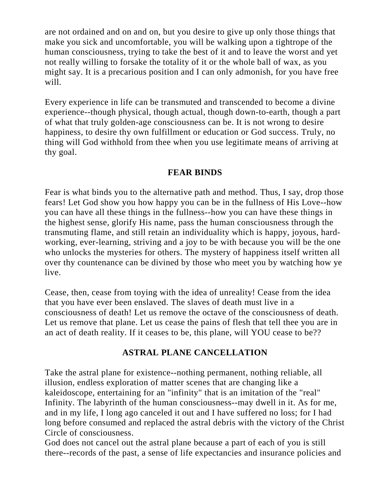are not ordained and on and on, but you desire to give up only those things that make you sick and uncomfortable, you will be walking upon a tightrope of the human consciousness, trying to take the best of it and to leave the worst and yet not really willing to forsake the totality of it or the whole ball of wax, as you might say. It is a precarious position and I can only admonish, for you have free will.

Every experience in life can be transmuted and transcended to become a divine experience--though physical, though actual, though down-to-earth, though a part of what that truly golden-age consciousness can be. It is not wrong to desire happiness, to desire thy own fulfillment or education or God success. Truly, no thing will God withhold from thee when you use legitimate means of arriving at thy goal.

## **FEAR BINDS**

Fear is what binds you to the alternative path and method. Thus, I say, drop those fears! Let God show you how happy you can be in the fullness of His Love--how you can have all these things in the fullness--how you can have these things in the highest sense, glorify His name, pass the human consciousness through the transmuting flame, and still retain an individuality which is happy, joyous, hardworking, ever-learning, striving and a joy to be with because you will be the one who unlocks the mysteries for others. The mystery of happiness itself written all over thy countenance can be divined by those who meet you by watching how ye live.

Cease, then, cease from toying with the idea of unreality! Cease from the idea that you have ever been enslaved. The slaves of death must live in a consciousness of death! Let us remove the octave of the consciousness of death. Let us remove that plane. Let us cease the pains of flesh that tell thee you are in an act of death reality. If it ceases to be, this plane, will YOU cease to be??

# **ASTRAL PLANE CANCELLATION**

Take the astral plane for existence--nothing permanent, nothing reliable, all illusion, endless exploration of matter scenes that are changing like a kaleidoscope, entertaining for an "infinity" that is an imitation of the "real" Infinity. The labyrinth of the human consciousness--may dwell in it. As for me, and in my life, I long ago canceled it out and I have suffered no loss; for I had long before consumed and replaced the astral debris with the victory of the Christ Circle of consciousness.

God does not cancel out the astral plane because a part of each of you is still there--records of the past, a sense of life expectancies and insurance policies and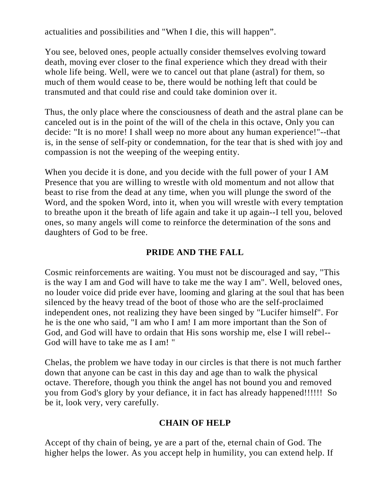actualities and possibilities and "When I die, this will happen".

You see, beloved ones, people actually consider themselves evolving toward death, moving ever closer to the final experience which they dread with their whole life being. Well, were we to cancel out that plane (astral) for them, so much of them would cease to be, there would be nothing left that could be transmuted and that could rise and could take dominion over it.

Thus, the only place where the consciousness of death and the astral plane can be canceled out is in the point of the will of the chela in this octave, Only you can decide: "It is no more! I shall weep no more about any human experience!"--that is, in the sense of self-pity or condemnation, for the tear that is shed with joy and compassion is not the weeping of the weeping entity.

When you decide it is done, and you decide with the full power of your I AM Presence that you are willing to wrestle with old momentum and not allow that beast to rise from the dead at any time, when you will plunge the sword of the Word, and the spoken Word, into it, when you will wrestle with every temptation to breathe upon it the breath of life again and take it up again--I tell you, beloved ones, so many angels will come to reinforce the determination of the sons and daughters of God to be free.

## **PRIDE AND THE FALL**

Cosmic reinforcements are waiting. You must not be discouraged and say, "This is the way I am and God will have to take me the way I am". Well, beloved ones, no louder voice did pride ever have, looming and glaring at the soul that has been silenced by the heavy tread of the boot of those who are the self-proclaimed independent ones, not realizing they have been singed by "Lucifer himself". For he is the one who said, "I am who I am! I am more important than the Son of God, and God will have to ordain that His sons worship me, else I will rebel-- God will have to take me as I am! "

Chelas, the problem we have today in our circles is that there is not much farther down that anyone can be cast in this day and age than to walk the physical octave. Therefore, though you think the angel has not bound you and removed you from God's glory by your defiance, it in fact has already happened!!!!!! So be it, look very, very carefully.

## **CHAIN OF HELP**

Accept of thy chain of being, ye are a part of the, eternal chain of God. The higher helps the lower. As you accept help in humility, you can extend help. If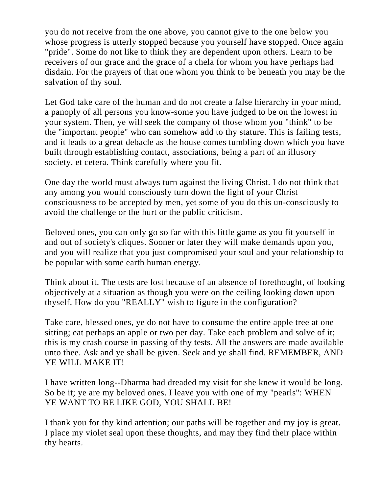you do not receive from the one above, you cannot give to the one below you whose progress is utterly stopped because you yourself have stopped. Once again "pride". Some do not like to think they are dependent upon others. Learn to be receivers of our grace and the grace of a chela for whom you have perhaps had disdain. For the prayers of that one whom you think to be beneath you may be the salvation of thy soul.

Let God take care of the human and do not create a false hierarchy in your mind, a panoply of all persons you know-some you have judged to be on the lowest in your system. Then, ye will seek the company of those whom you "think" to be the "important people" who can somehow add to thy stature. This is failing tests, and it leads to a great debacle as the house comes tumbling down which you have built through establishing contact, associations, being a part of an illusory society, et cetera. Think carefully where you fit.

One day the world must always turn against the living Christ. I do not think that any among you would consciously turn down the light of your Christ consciousness to be accepted by men, yet some of you do this un-consciously to avoid the challenge or the hurt or the public criticism.

Beloved ones, you can only go so far with this little game as you fit yourself in and out of society's cliques. Sooner or later they will make demands upon you, and you will realize that you just compromised your soul and your relationship to be popular with some earth human energy.

Think about it. The tests are lost because of an absence of forethought, of looking objectively at a situation as though you were on the ceiling looking down upon thyself. How do you "REALLY" wish to figure in the configuration?

Take care, blessed ones, ye do not have to consume the entire apple tree at one sitting; eat perhaps an apple or two per day. Take each problem and solve of it; this is my crash course in passing of thy tests. All the answers are made available unto thee. Ask and ye shall be given. Seek and ye shall find. REMEMBER, AND YE WILL MAKE IT!

I have written long--Dharma had dreaded my visit for she knew it would be long. So be it; ye are my beloved ones. I leave you with one of my "pearls": WHEN YE WANT TO BE LIKE GOD, YOU SHALL BE!

I thank you for thy kind attention; our paths will be together and my joy is great. I place my violet seal upon these thoughts, and may they find their place within thy hearts.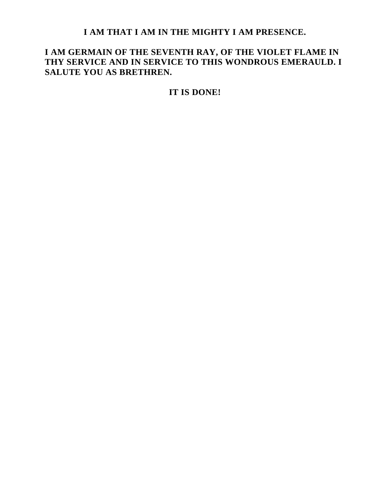## **I AM THAT I AM IN THE MIGHTY I AM PRESENCE.**

### **I AM GERMAIN OF THE SEVENTH RAY, OF THE VIOLET FLAME IN THY SERVICE AND IN SERVICE TO THIS WONDROUS EMERAULD. I SALUTE YOU AS BRETHREN.**

**IT IS DONE!**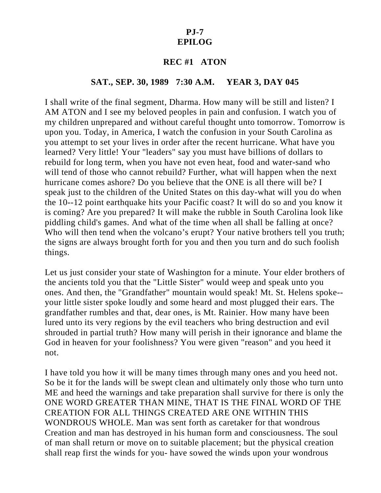### **PJ-7 EPILOG**

### **REC #1 ATON**

#### **SAT., SEP. 30, 1989 7:30 A.M. YEAR 3, DAY 045**

I shall write of the final segment, Dharma. How many will be still and listen? I AM ATON and I see my beloved peoples in pain and confusion. I watch you of my children unprepared and without careful thought unto tomorrow. Tomorrow is upon you. Today, in America, I watch the confusion in your South Carolina as you attempt to set your lives in order after the recent hurricane. What have you learned? Very little! Your "leaders" say you must have billions of dollars to rebuild for long term, when you have not even heat, food and water-sand who will tend of those who cannot rebuild? Further, what will happen when the next hurricane comes ashore? Do you believe that the ONE is all there will be? I speak just to the children of the United States on this day-what will you do when the 10--12 point earthquake hits your Pacific coast? It will do so and you know it is coming? Are you prepared? It will make the rubble in South Carolina look like piddling child's games. And what of the time when all shall be falling at once? Who will then tend when the volcano's erupt? Your native brothers tell you truth; the signs are always brought forth for you and then you turn and do such foolish things.

Let us just consider your state of Washington for a minute. Your elder brothers of the ancients told you that the "Little Sister" would weep and speak unto you ones. And then, the "Grandfather" mountain would speak! Mt. St. Helens spoke- your little sister spoke loudly and some heard and most plugged their ears. The grandfather rumbles and that, dear ones, is Mt. Rainier. How many have been lured unto its very regions by the evil teachers who bring destruction and evil shrouded in partial truth? How many will perish in their ignorance and blame the God in heaven for your foolishness? You were given "reason" and you heed it not.

I have told you how it will be many times through many ones and you heed not. So be it for the lands will be swept clean and ultimately only those who turn unto ME and heed the warnings and take preparation shall survive for there is only the ONE WORD GREATER THAN MINE, THAT IS THE FINAL WORD OF THE CREATION FOR ALL THINGS CREATED ARE ONE WITHIN THIS WONDROUS WHOLE. Man was sent forth as caretaker for that wondrous Creation and man has destroyed in his human form and consciousness. The soul of man shall return or move on to suitable placement; but the physical creation shall reap first the winds for you- have sowed the winds upon your wondrous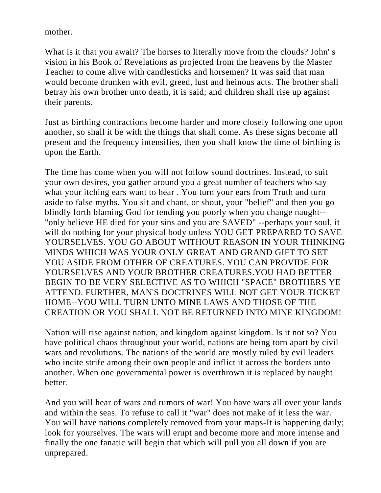mother.

What is it that you await? The horses to literally move from the clouds? John' s vision in his Book of Revelations as projected from the heavens by the Master Teacher to come alive with candlesticks and horsemen? It was said that man would become drunken with evil, greed, lust and heinous acts. The brother shall betray his own brother unto death, it is said; and children shall rise up against their parents.

Just as birthing contractions become harder and more closely following one upon another, so shall it be with the things that shall come. As these signs become all present and the frequency intensifies, then you shall know the time of birthing is upon the Earth.

The time has come when you will not follow sound doctrines. Instead, to suit your own desires, you gather around you a great number of teachers who say what your itching ears want to hear . You turn your ears from Truth and turn aside to false myths. You sit and chant, or shout, your "belief" and then you go blindly forth blaming God for tending you poorly when you change naught-- "only believe HE died for your sins and you are SAVED" --perhaps your soul, it will do nothing for your physical body unless YOU GET PREPARED TO SAVE YOURSELVES. YOU GO ABOUT WITHOUT REASON IN YOUR THINKING MINDS WHICH WAS YOUR ONLY GREAT AND GRAND GIFT TO SET YOU ASIDE FROM OTHER OF CREATURES. YOU CAN PROVIDE FOR YOURSELVES AND YOUR BROTHER CREATURES.YOU HAD BETTER BEGIN TO BE VERY SELECTIVE AS TO WHICH "SPACE" BROTHERS YE ATTEND. FURTHER, MAN'S DOCTRINES WILL NOT GET YOUR TICKET HOME--YOU WILL TURN UNTO MINE LAWS AND THOSE OF THE CREATION OR YOU SHALL NOT BE RETURNED INTO MINE KINGDOM!

Nation will rise against nation, and kingdom against kingdom. Is it not so? You have political chaos throughout your world, nations are being torn apart by civil wars and revolutions. The nations of the world are mostly ruled by evil leaders who incite strife among their own people and inflict it across the borders unto another. When one governmental power is overthrown it is replaced by naught better.

And you will hear of wars and rumors of war! You have wars all over your lands and within the seas. To refuse to call it "war" does not make of it less the war. You will have nations completely removed from your maps-It is happening daily; look for yourselves. The wars will erupt and become more and more intense and finally the one fanatic will begin that which will pull you all down if you are unprepared.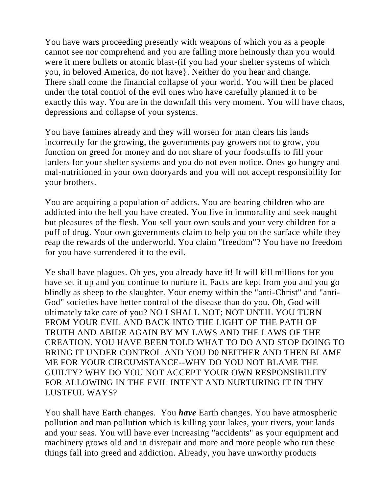You have wars proceeding presently with weapons of which you as a people cannot see nor comprehend and you are falling more heinously than you would were it mere bullets or atomic blast-(if you had your shelter systems of which you, in beloved America, do not have}. Neither do you hear and change. There shall come the financial collapse of your world. You will then be placed under the total control of the evil ones who have carefully planned it to be exactly this way. You are in the downfall this very moment. You will have chaos, depressions and collapse of your systems.

You have famines already and they will worsen for man clears his lands incorrectly for the growing, the governments pay growers not to grow, you function on greed for money and do not share of your foodstuffs to fill your larders for your shelter systems and you do not even notice. Ones go hungry and mal-nutritioned in your own dooryards and you will not accept responsibility for your brothers.

You are acquiring a population of addicts. You are bearing children who are addicted into the hell you have created. You live in immorality and seek naught but pleasures of the flesh. You sell your own souls and your very children for a puff of drug. Your own governments claim to help you on the surface while they reap the rewards of the underworld. You claim "freedom"? You have no freedom for you have surrendered it to the evil.

Ye shall have plagues. Oh yes, you already have it! It will kill millions for you have set it up and you continue to nurture it. Facts are kept from you and you go blindly as sheep to the slaughter. Your enemy within the "anti-Christ" and "anti-God" societies have better control of the disease than do you. Oh, God will ultimately take care of you? NO I SHALL NOT; NOT UNTIL YOU TURN FROM YOUR EVIL AND BACK INTO THE LIGHT OF THE PATH OF TRUTH AND ABIDE AGAIN BY MY LAWS AND THE LAWS OF THE CREATION. YOU HAVE BEEN TOLD WHAT TO DO AND STOP DOING TO BRING IT UNDER CONTROL AND YOU D0 NEITHER AND THEN BLAME ME FOR YOUR CIRCUMSTANCE--WHY DO YOU NOT BLAME THE GUILTY? WHY DO YOU NOT ACCEPT YOUR OWN RESPONSIBILITY FOR ALLOWING IN THE EVIL INTENT AND NURTURING IT IN THY LUSTFUL WAYS?

You shall have Earth changes. You *have* Earth changes. You have atmospheric pollution and man pollution which is killing your lakes, your rivers, your lands and your seas. You will have ever increasing "accidents" as your equipment and machinery grows old and in disrepair and more and more people who run these things fall into greed and addiction. Already, you have unworthy products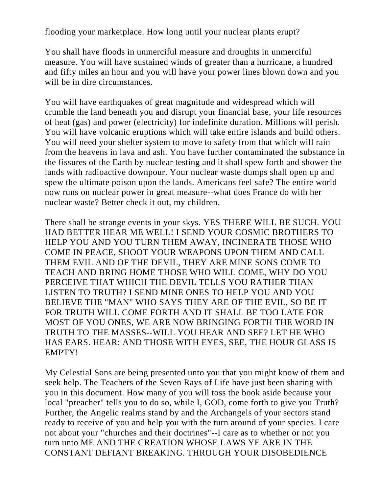flooding your marketplace. How long until your nuclear plants erupt?

You shall have floods in unmerciful measure and droughts in unmerciful measure. You will have sustained winds of greater than a hurricane, a hundred and fifty miles an hour and you will have your power lines blown down and you will be in dire circumstances.

You will have earthquakes of great magnitude and widespread which will crumble the land beneath you and disrupt your financial base, your life resources of heat (gas) and power (electricity) for indefinite duration. Millions will perish. You will have volcanic eruptions which will take entire islands and build others. You will need your shelter system to move to safety from that which will rain from the heavens in lava and ash. You have further contaminated the substance in the fissures of the Earth by nuclear testing and it shall spew forth and shower the lands with radioactive downpour. Your nuclear waste dumps shall open up and spew the ultimate poison upon the lands. Americans feel safe? The entire world now runs on nuclear power in great measure--what does France do with her nuclear waste? Better check it out, my children.

There shall be strange events in your skys. YES THERE WILL BE SUCH. YOU HAD BETTER HEAR ME WELL! I SEND YOUR COSMIC BROTHERS TO HELP YOU AND YOU TURN THEM AWAY, INCINERATE THOSE WHO COME IN PEACE, SHOOT YOUR WEAPONS UPON THEM AND CALL THEM EVIL AND OF THE DEVIL, THEY ARE MINE SONS COME TO TEACH AND BRING HOME THOSE WHO WILL COME, WHY DO YOU PERCEIVE THAT WHICH THE DEVIL TELLS YOU RATHER THAN LISTEN TO TRUTH? I SEND MINE ONES TO HELP YOU AND YOU BELIEVE THE "MAN" WHO SAYS THEY ARE OF THE EVIL, SO BE IT FOR TRUTH WILL COME FORTH AND IT SHALL BE TOO LATE FOR MOST OF YOU ONES, WE ARE NOW BRINGING FORTH THE WORD IN TRUTH TO THE MASSES--WILL YOU HEAR AND SEE? LET HE WHO HAS EARS. HEAR: AND THOSE WITH EYES, SEE, THE HOUR GLASS IS EMPTY!

My Celestial Sons are being presented unto you that you might know of them and seek help. The Teachers of the Seven Rays of Life have just been sharing with you in this document. How many of you will toss the book aside because your local "preacher" tells you to do so, while I, GOD, come forth to give you Truth? Further, the Angelic realms stand by and the Archangels of your sectors stand ready to receive of you and help you with the turn around of your species. I care not about your "churches and their doctrines"--I care as to whether or not you turn unto ME AND THE CREATION WHOSE LAWS YE ARE IN THE CONSTANT DEFIANT BREAKING. THROUGH YOUR DISOBEDIENCE